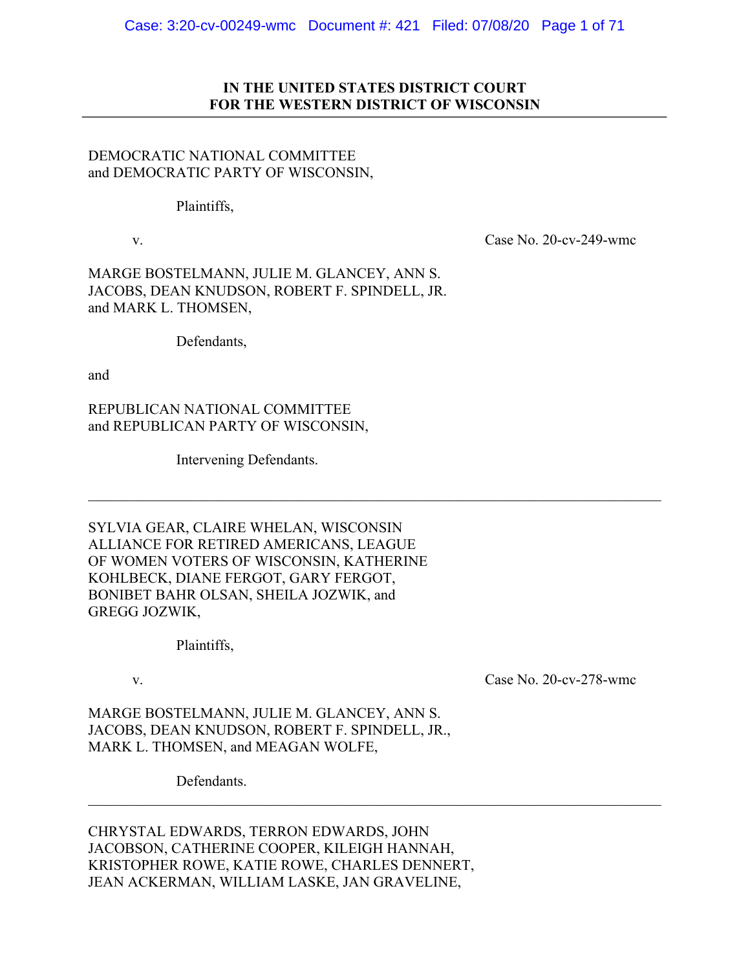# **IN THE UNITED STATES DISTRICT COURT FOR THE WESTERN DISTRICT OF WISCONSIN**

# DEMOCRATIC NATIONAL COMMITTEE and DEMOCRATIC PARTY OF WISCONSIN,

## Plaintiffs,

v. Case No. 20-cv-249-wmc

MARGE BOSTELMANN, JULIE M. GLANCEY, ANN S. JACOBS, DEAN KNUDSON, ROBERT F. SPINDELL, JR. and MARK L. THOMSEN,

Defendants,

and

REPUBLICAN NATIONAL COMMITTEE and REPUBLICAN PARTY OF WISCONSIN,

Intervening Defendants.

SYLVIA GEAR, CLAIRE WHELAN, WISCONSIN ALLIANCE FOR RETIRED AMERICANS, LEAGUE OF WOMEN VOTERS OF WISCONSIN, KATHERINE KOHLBECK, DIANE FERGOT, GARY FERGOT, BONIBET BAHR OLSAN, SHEILA JOZWIK, and GREGG JOZWIK,

Plaintiffs,

v. Case No. 20-cv-278-wmc

MARGE BOSTELMANN, JULIE M. GLANCEY, ANN S. JACOBS, DEAN KNUDSON, ROBERT F. SPINDELL, JR., MARK L. THOMSEN, and MEAGAN WOLFE,

Defendants.

CHRYSTAL EDWARDS, TERRON EDWARDS, JOHN JACOBSON, CATHERINE COOPER, KILEIGH HANNAH, KRISTOPHER ROWE, KATIE ROWE, CHARLES DENNERT, JEAN ACKERMAN, WILLIAM LASKE, JAN GRAVELINE,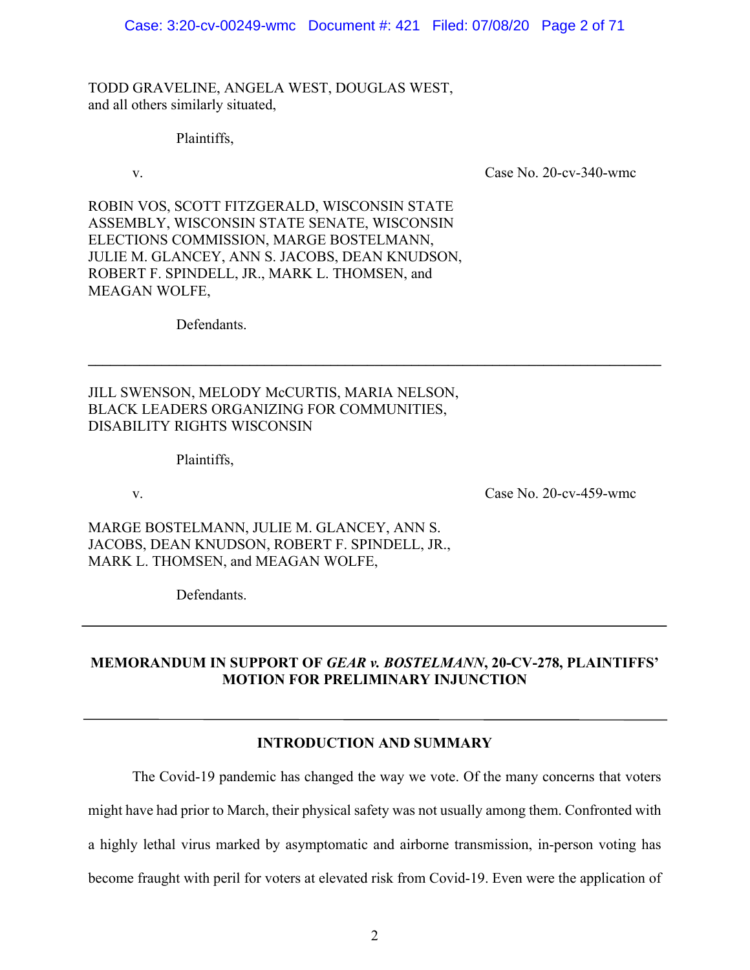TODD GRAVELINE, ANGELA WEST, DOUGLAS WEST, and all others similarly situated,

Plaintiffs,

v. Case No. 20-cv-340-wmc

ROBIN VOS, SCOTT FITZGERALD, WISCONSIN STATE ASSEMBLY, WISCONSIN STATE SENATE, WISCONSIN ELECTIONS COMMISSION, MARGE BOSTELMANN, JULIE M. GLANCEY, ANN S. JACOBS, DEAN KNUDSON, ROBERT F. SPINDELL, JR., MARK L. THOMSEN, and MEAGAN WOLFE,

Defendants.

JILL SWENSON, MELODY McCURTIS, MARIA NELSON, BLACK LEADERS ORGANIZING FOR COMMUNITIES, DISABILITY RIGHTS WISCONSIN

Plaintiffs,

v. Case No. 20-cv-459-wmc

MARGE BOSTELMANN, JULIE M. GLANCEY, ANN S. JACOBS, DEAN KNUDSON, ROBERT F. SPINDELL, JR., MARK L. THOMSEN, and MEAGAN WOLFE,

Defendants.

# **MEMORANDUM IN SUPPORT OF** *GEAR v. BOSTELMANN***, 20-CV-278, PLAINTIFFS' MOTION FOR PRELIMINARY INJUNCTION**

 $\mathcal{L}_\mathcal{L} = \{ \mathcal{L}_\mathcal{L} = \{ \mathcal{L}_\mathcal{L} = \{ \mathcal{L}_\mathcal{L} = \{ \mathcal{L}_\mathcal{L} = \{ \mathcal{L}_\mathcal{L} = \{ \mathcal{L}_\mathcal{L} = \{ \mathcal{L}_\mathcal{L} = \{ \mathcal{L}_\mathcal{L} = \{ \mathcal{L}_\mathcal{L} = \{ \mathcal{L}_\mathcal{L} = \{ \mathcal{L}_\mathcal{L} = \{ \mathcal{L}_\mathcal{L} = \{ \mathcal{L}_\mathcal{L} = \{ \mathcal{L}_\mathcal{$ 

# **INTRODUCTION AND SUMMARY**

The Covid-19 pandemic has changed the way we vote. Of the many concerns that voters might have had prior to March, their physical safety was not usually among them. Confronted with a highly lethal virus marked by asymptomatic and airborne transmission, in-person voting has become fraught with peril for voters at elevated risk from Covid-19. Even were the application of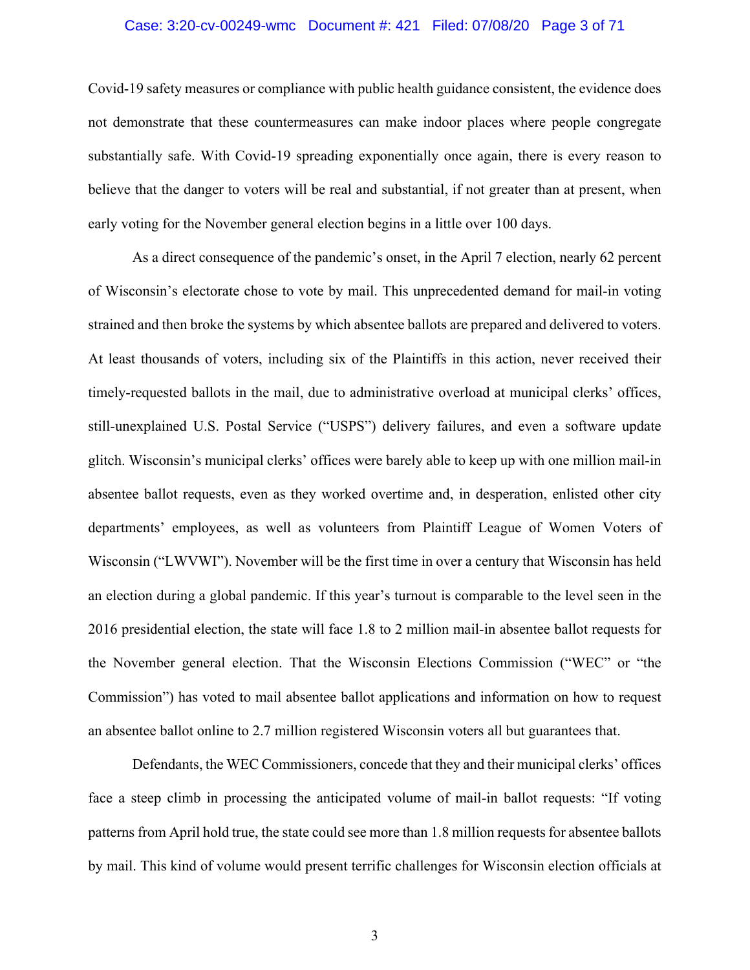#### Case: 3:20-cv-00249-wmc Document #: 421 Filed: 07/08/20 Page 3 of 71

Covid-19 safety measures or compliance with public health guidance consistent, the evidence does not demonstrate that these countermeasures can make indoor places where people congregate substantially safe. With Covid-19 spreading exponentially once again, there is every reason to believe that the danger to voters will be real and substantial, if not greater than at present, when early voting for the November general election begins in a little over 100 days.

As a direct consequence of the pandemic's onset, in the April 7 election, nearly 62 percent of Wisconsin's electorate chose to vote by mail. This unprecedented demand for mail-in voting strained and then broke the systems by which absentee ballots are prepared and delivered to voters. At least thousands of voters, including six of the Plaintiffs in this action, never received their timely-requested ballots in the mail, due to administrative overload at municipal clerks' offices, still-unexplained U.S. Postal Service ("USPS") delivery failures, and even a software update glitch. Wisconsin's municipal clerks' offices were barely able to keep up with one million mail-in absentee ballot requests, even as they worked overtime and, in desperation, enlisted other city departments' employees, as well as volunteers from Plaintiff League of Women Voters of Wisconsin ("LWVWI"). November will be the first time in over a century that Wisconsin has held an election during a global pandemic. If this year's turnout is comparable to the level seen in the 2016 presidential election, the state will face 1.8 to 2 million mail-in absentee ballot requests for the November general election. That the Wisconsin Elections Commission ("WEC" or "the Commission") has voted to mail absentee ballot applications and information on how to request an absentee ballot online to 2.7 million registered Wisconsin voters all but guarantees that.

Defendants, the WEC Commissioners, concede that they and their municipal clerks' offices face a steep climb in processing the anticipated volume of mail-in ballot requests: "If voting patterns from April hold true, the state could see more than 1.8 million requests for absentee ballots by mail. This kind of volume would present terrific challenges for Wisconsin election officials at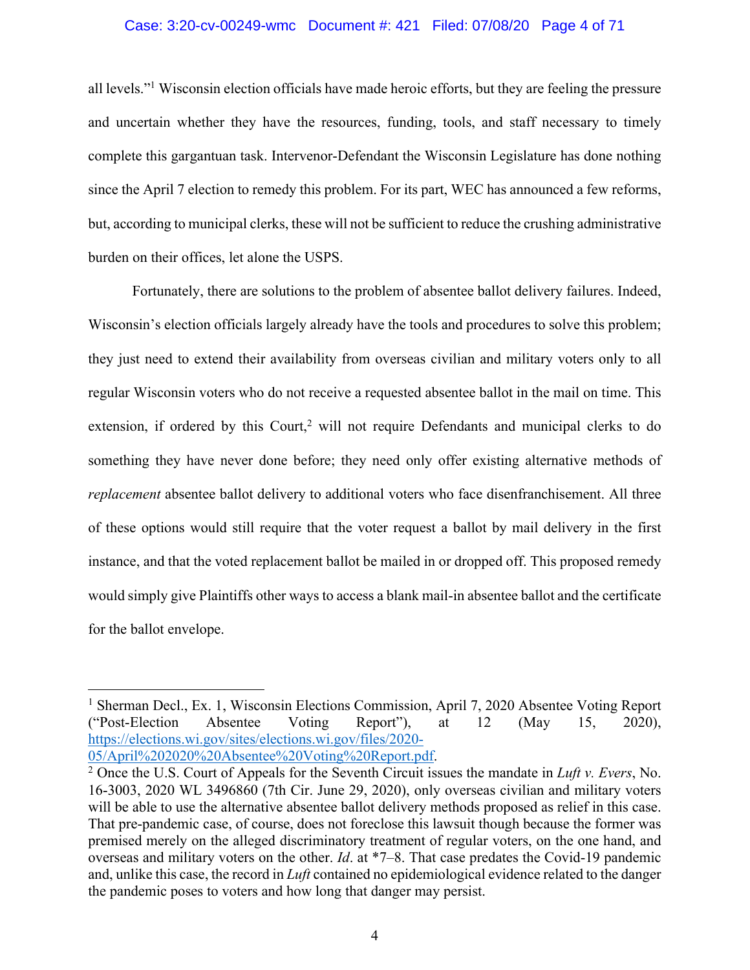#### Case: 3:20-cv-00249-wmc Document #: 421 Filed: 07/08/20 Page 4 of 71

all levels."1 Wisconsin election officials have made heroic efforts, but they are feeling the pressure and uncertain whether they have the resources, funding, tools, and staff necessary to timely complete this gargantuan task. Intervenor-Defendant the Wisconsin Legislature has done nothing since the April 7 election to remedy this problem. For its part, WEC has announced a few reforms, but, according to municipal clerks, these will not be sufficient to reduce the crushing administrative burden on their offices, let alone the USPS.

Fortunately, there are solutions to the problem of absentee ballot delivery failures. Indeed, Wisconsin's election officials largely already have the tools and procedures to solve this problem; they just need to extend their availability from overseas civilian and military voters only to all regular Wisconsin voters who do not receive a requested absentee ballot in the mail on time. This extension, if ordered by this Court,<sup>2</sup> will not require Defendants and municipal clerks to do something they have never done before; they need only offer existing alternative methods of *replacement* absentee ballot delivery to additional voters who face disenfranchisement. All three of these options would still require that the voter request a ballot by mail delivery in the first instance, and that the voted replacement ballot be mailed in or dropped off. This proposed remedy would simply give Plaintiffs other ways to access a blank mail-in absentee ballot and the certificate for the ballot envelope.

<sup>&</sup>lt;sup>1</sup> Sherman Decl., Ex. 1, Wisconsin Elections Commission, April 7, 2020 Absentee Voting Report ("Post-Election Absentee Voting Report"), at 12 (May 15, 2020), https://elections.wi.gov/sites/elections.wi.gov/files/2020-<br>05/April%202020%20Absentee%20Voting%20Report.pdf.

<sup>&</sup>lt;sup>2</sup> Once the U.S. Court of Appeals for the Seventh Circuit issues the mandate in *Luft v. Evers*, No. 16-3003, 2020 WL 3496860 (7th Cir. June 29, 2020), only overseas civilian and military voters will be able to use the alternative absentee ballot delivery methods proposed as relief in this case. That pre-pandemic case, of course, does not foreclose this lawsuit though because the former was premised merely on the alleged discriminatory treatment of regular voters, on the one hand, and overseas and military voters on the other. *Id*. at \*7–8. That case predates the Covid-19 pandemic and, unlike this case, the record in *Luft* contained no epidemiological evidence related to the danger the pandemic poses to voters and how long that danger may persist.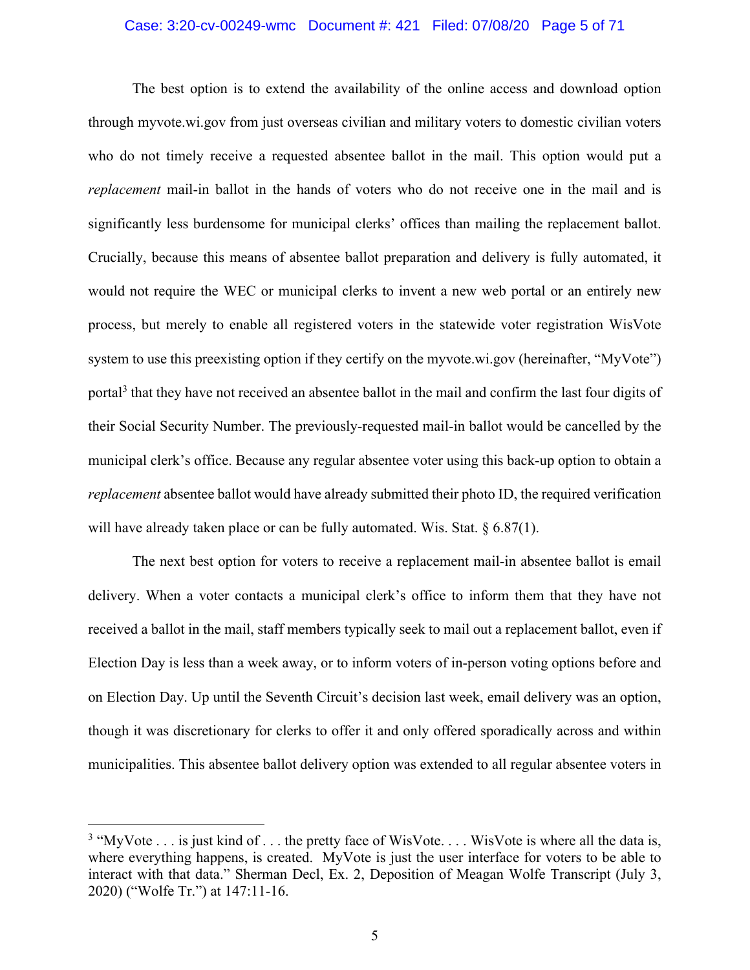#### Case: 3:20-cv-00249-wmc Document #: 421 Filed: 07/08/20 Page 5 of 71

The best option is to extend the availability of the online access and download option through myvote.wi.gov from just overseas civilian and military voters to domestic civilian voters who do not timely receive a requested absentee ballot in the mail. This option would put a *replacement* mail-in ballot in the hands of voters who do not receive one in the mail and is significantly less burdensome for municipal clerks' offices than mailing the replacement ballot. Crucially, because this means of absentee ballot preparation and delivery is fully automated, it would not require the WEC or municipal clerks to invent a new web portal or an entirely new process, but merely to enable all registered voters in the statewide voter registration WisVote system to use this preexisting option if they certify on the myvote.wi.gov (hereinafter, "MyVote") portal3 that they have not received an absentee ballot in the mail and confirm the last four digits of their Social Security Number. The previously-requested mail-in ballot would be cancelled by the municipal clerk's office. Because any regular absentee voter using this back-up option to obtain a *replacement* absentee ballot would have already submitted their photo ID, the required verification will have already taken place or can be fully automated. Wis. Stat. § 6.87(1).

The next best option for voters to receive a replacement mail-in absentee ballot is email delivery. When a voter contacts a municipal clerk's office to inform them that they have not received a ballot in the mail, staff members typically seek to mail out a replacement ballot, even if Election Day is less than a week away, or to inform voters of in-person voting options before and on Election Day. Up until the Seventh Circuit's decision last week, email delivery was an option, though it was discretionary for clerks to offer it and only offered sporadically across and within municipalities. This absentee ballot delivery option was extended to all regular absentee voters in

<sup>&</sup>lt;sup>3</sup> "MyVote . . . is just kind of . . . the pretty face of WisVote. . . . WisVote is where all the data is, where everything happens, is created. MyVote is just the user interface for voters to be able to interact with that data." Sherman Decl, Ex. 2, Deposition of Meagan Wolfe Transcript (July 3, 2020) ("Wolfe Tr.") at 147:11-16.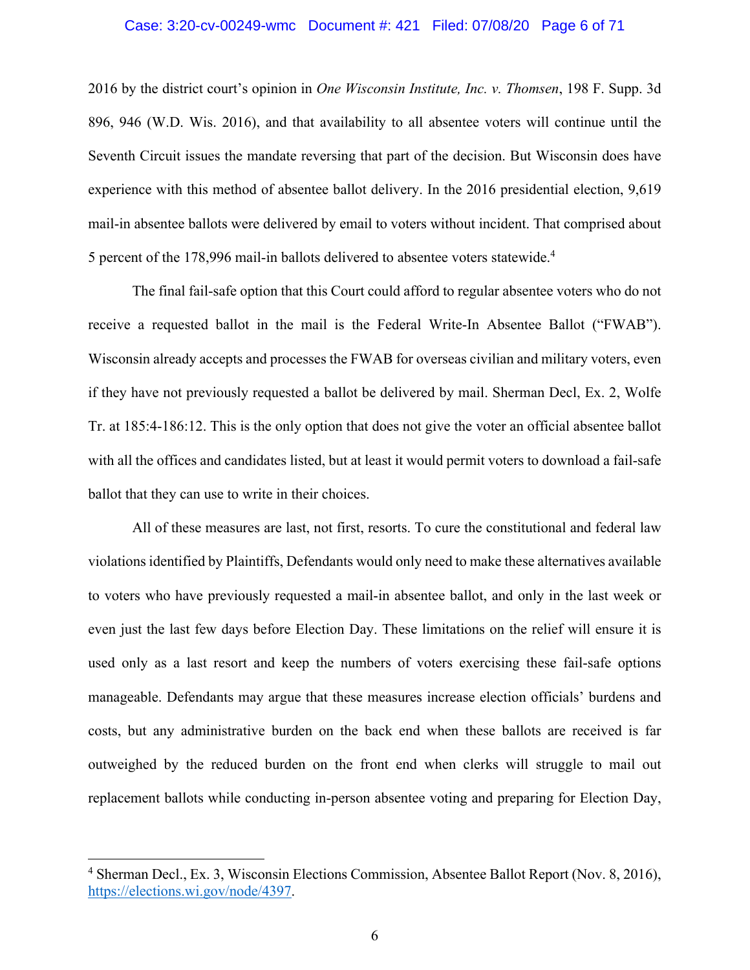#### Case: 3:20-cv-00249-wmc Document #: 421 Filed: 07/08/20 Page 6 of 71

2016 by the district court's opinion in *One Wisconsin Institute, Inc. v. Thomsen*, 198 F. Supp. 3d 896, 946 (W.D. Wis. 2016), and that availability to all absentee voters will continue until the Seventh Circuit issues the mandate reversing that part of the decision. But Wisconsin does have experience with this method of absentee ballot delivery. In the 2016 presidential election, 9,619 mail-in absentee ballots were delivered by email to voters without incident. That comprised about 5 percent of the 178,996 mail-in ballots delivered to absentee voters statewide. 4

The final fail-safe option that this Court could afford to regular absentee voters who do not receive a requested ballot in the mail is the Federal Write-In Absentee Ballot ("FWAB"). Wisconsin already accepts and processes the FWAB for overseas civilian and military voters, even if they have not previously requested a ballot be delivered by mail. Sherman Decl, Ex. 2, Wolfe Tr. at 185:4-186:12. This is the only option that does not give the voter an official absentee ballot with all the offices and candidates listed, but at least it would permit voters to download a fail-safe ballot that they can use to write in their choices.

All of these measures are last, not first, resorts. To cure the constitutional and federal law violations identified by Plaintiffs, Defendants would only need to make these alternatives available to voters who have previously requested a mail-in absentee ballot, and only in the last week or even just the last few days before Election Day. These limitations on the relief will ensure it is used only as a last resort and keep the numbers of voters exercising these fail-safe options manageable. Defendants may argue that these measures increase election officials' burdens and costs, but any administrative burden on the back end when these ballots are received is far outweighed by the reduced burden on the front end when clerks will struggle to mail out replacement ballots while conducting in-person absentee voting and preparing for Election Day,

<sup>4</sup> Sherman Decl., Ex. 3, Wisconsin Elections Commission, Absentee Ballot Report (Nov. 8, 2016), https://elections.wi.gov/node/4397.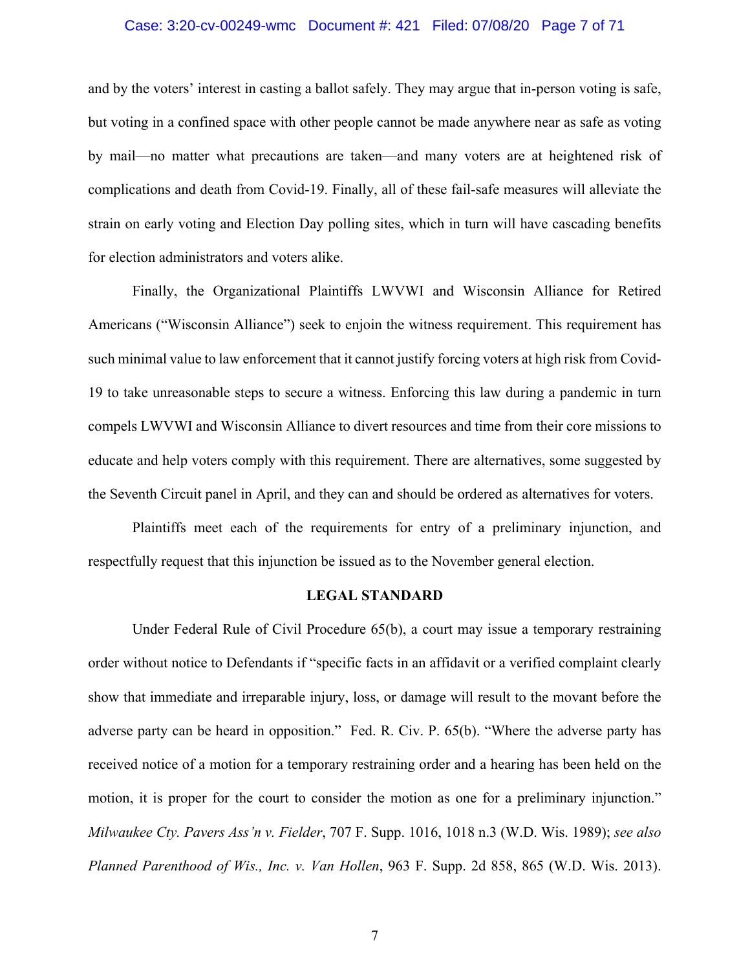#### Case: 3:20-cv-00249-wmc Document #: 421 Filed: 07/08/20 Page 7 of 71

and by the voters' interest in casting a ballot safely. They may argue that in-person voting is safe, but voting in a confined space with other people cannot be made anywhere near as safe as voting by mail—no matter what precautions are taken—and many voters are at heightened risk of complications and death from Covid-19. Finally, all of these fail-safe measures will alleviate the strain on early voting and Election Day polling sites, which in turn will have cascading benefits for election administrators and voters alike.

Finally, the Organizational Plaintiffs LWVWI and Wisconsin Alliance for Retired Americans ("Wisconsin Alliance") seek to enjoin the witness requirement. This requirement has such minimal value to law enforcement that it cannot justify forcing voters at high risk from Covid-19 to take unreasonable steps to secure a witness. Enforcing this law during a pandemic in turn compels LWVWI and Wisconsin Alliance to divert resources and time from their core missions to educate and help voters comply with this requirement. There are alternatives, some suggested by the Seventh Circuit panel in April, and they can and should be ordered as alternatives for voters.

Plaintiffs meet each of the requirements for entry of a preliminary injunction, and respectfully request that this injunction be issued as to the November general election.

#### **LEGAL STANDARD**

Under Federal Rule of Civil Procedure 65(b), a court may issue a temporary restraining order without notice to Defendants if "specific facts in an affidavit or a verified complaint clearly show that immediate and irreparable injury, loss, or damage will result to the movant before the adverse party can be heard in opposition." Fed. R. Civ. P. 65(b). "Where the adverse party has received notice of a motion for a temporary restraining order and a hearing has been held on the motion, it is proper for the court to consider the motion as one for a preliminary injunction." *Milwaukee Cty. Pavers Ass'n v. Fielder*, 707 F. Supp. 1016, 1018 n.3 (W.D. Wis. 1989); *see also Planned Parenthood of Wis., Inc. v. Van Hollen*, 963 F. Supp. 2d 858, 865 (W.D. Wis. 2013).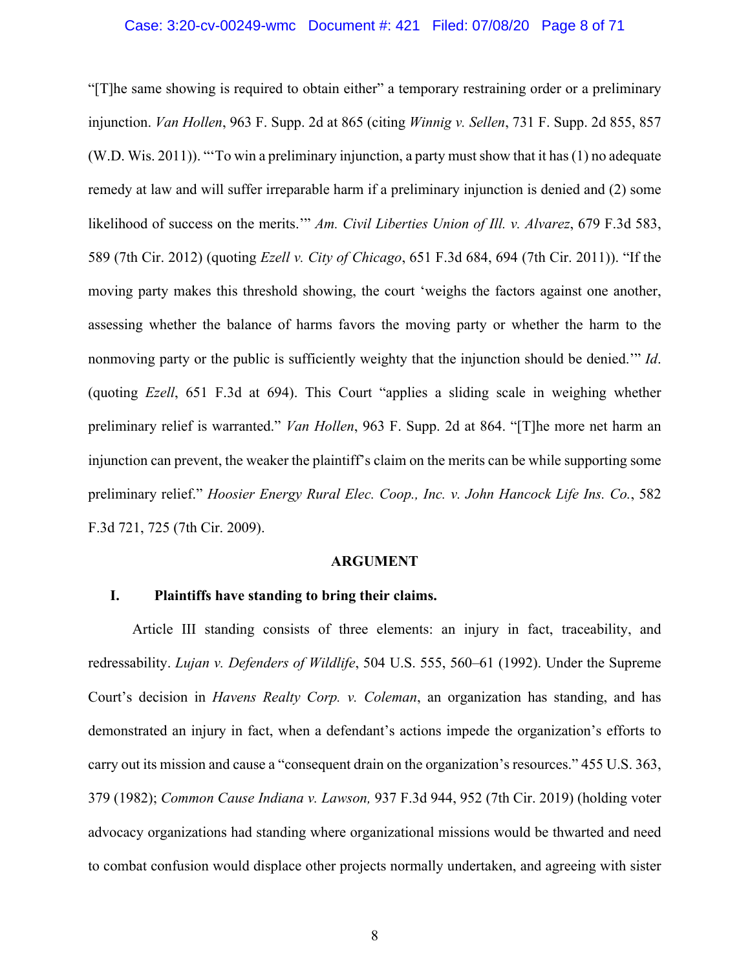"[T]he same showing is required to obtain either" a temporary restraining order or a preliminary injunction. *Van Hollen*, 963 F. Supp. 2d at 865 (citing *Winnig v. Sellen*, 731 F. Supp. 2d 855, 857 (W.D. Wis. 2011)). "'To win a preliminary injunction, a party must show that it has(1) no adequate remedy at law and will suffer irreparable harm if a preliminary injunction is denied and (2) some likelihood of success on the merits.'" *Am. Civil Liberties Union of Ill. v. Alvarez*, 679 F.3d 583, 589 (7th Cir. 2012) (quoting *Ezell v. City of Chicago*, 651 F.3d 684, 694 (7th Cir. 2011)). "If the moving party makes this threshold showing, the court 'weighs the factors against one another, assessing whether the balance of harms favors the moving party or whether the harm to the nonmoving party or the public is sufficiently weighty that the injunction should be denied.'" *Id*. (quoting *Ezell*, 651 F.3d at 694). This Court "applies a sliding scale in weighing whether preliminary relief is warranted." *Van Hollen*, 963 F. Supp. 2d at 864. "[T]he more net harm an injunction can prevent, the weaker the plaintiff's claim on the merits can be while supporting some preliminary relief." *Hoosier Energy Rural Elec. Coop., Inc. v. John Hancock Life Ins. Co.*, 582 F.3d 721, 725 (7th Cir. 2009).

#### **ARGUMENT**

# **I. Plaintiffs have standing to bring their claims.**

Article III standing consists of three elements: an injury in fact, traceability, and redressability. *Lujan v. Defenders of Wildlife*, 504 U.S. 555, 560–61 (1992). Under the Supreme Court's decision in *Havens Realty Corp. v. Coleman*, an organization has standing, and has demonstrated an injury in fact, when a defendant's actions impede the organization's efforts to carry out its mission and cause a "consequent drain on the organization's resources." 455 U.S. 363, 379 (1982); *Common Cause Indiana v. Lawson,* 937 F.3d 944, 952 (7th Cir. 2019) (holding voter advocacy organizations had standing where organizational missions would be thwarted and need to combat confusion would displace other projects normally undertaken, and agreeing with sister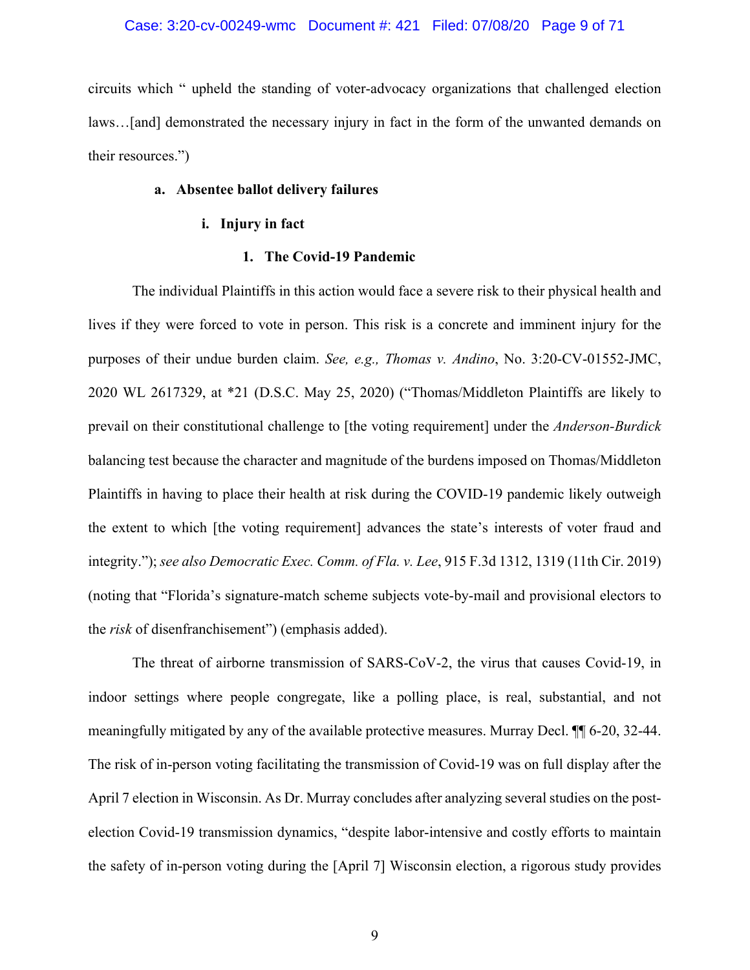#### Case: 3:20-cv-00249-wmc Document #: 421 Filed: 07/08/20 Page 9 of 71

circuits which " upheld the standing of voter-advocacy organizations that challenged election laws…[and] demonstrated the necessary injury in fact in the form of the unwanted demands on their resources.")

# **a. Absentee ballot delivery failures**

## **i. Injury in fact**

# **1. The Covid-19 Pandemic**

The individual Plaintiffs in this action would face a severe risk to their physical health and lives if they were forced to vote in person. This risk is a concrete and imminent injury for the purposes of their undue burden claim. *See, e.g., Thomas v. Andino*, No. 3:20-CV-01552-JMC, 2020 WL 2617329, at \*21 (D.S.C. May 25, 2020) ("Thomas/Middleton Plaintiffs are likely to prevail on their constitutional challenge to [the voting requirement] under the *Anderson-Burdick* balancing test because the character and magnitude of the burdens imposed on Thomas/Middleton Plaintiffs in having to place their health at risk during the COVID-19 pandemic likely outweigh the extent to which [the voting requirement] advances the state's interests of voter fraud and integrity."); *see also Democratic Exec. Comm. of Fla. v. Lee*, 915 F.3d 1312, 1319 (11th Cir. 2019) (noting that "Florida's signature-match scheme subjects vote-by-mail and provisional electors to the *risk* of disenfranchisement") (emphasis added).

The threat of airborne transmission of SARS-CoV-2, the virus that causes Covid-19, in indoor settings where people congregate, like a polling place, is real, substantial, and not meaningfully mitigated by any of the available protective measures. Murray Decl. ¶¶ 6-20, 32-44. The risk of in-person voting facilitating the transmission of Covid-19 was on full display after the April 7 election in Wisconsin. As Dr. Murray concludes after analyzing several studies on the postelection Covid-19 transmission dynamics, "despite labor-intensive and costly efforts to maintain the safety of in-person voting during the [April 7] Wisconsin election, a rigorous study provides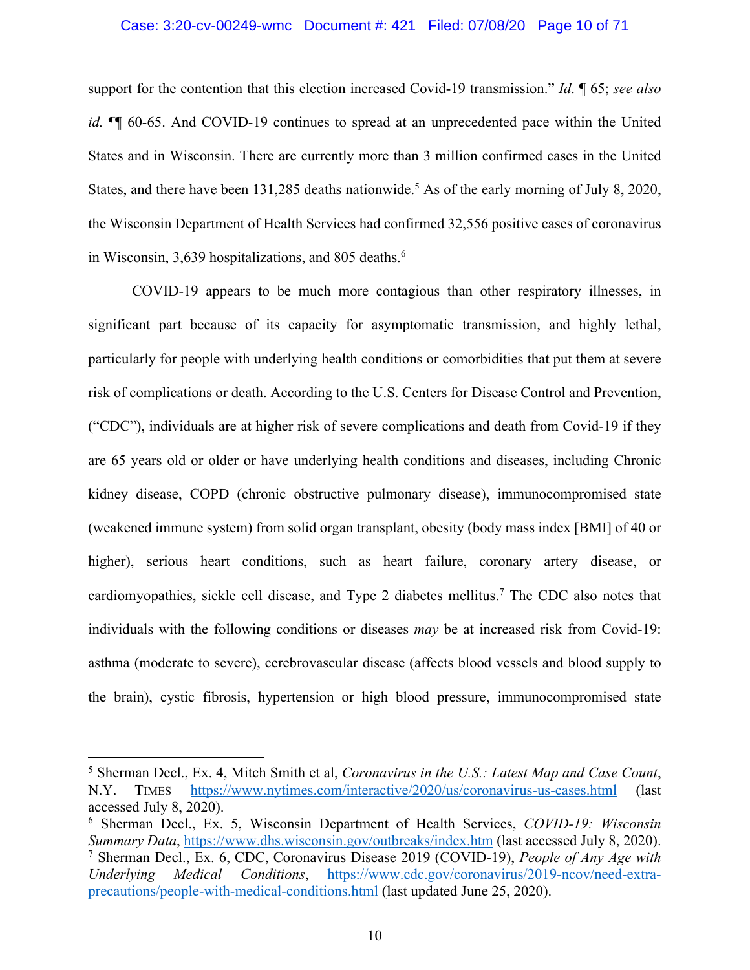#### Case: 3:20-cv-00249-wmc Document #: 421 Filed: 07/08/20 Page 10 of 71

support for the contention that this election increased Covid-19 transmission." *Id*. ¶ 65; *see also id.*  $\P$  60-65. And COVID-19 continues to spread at an unprecedented pace within the United States and in Wisconsin. There are currently more than 3 million confirmed cases in the United States, and there have been  $131,285$  deaths nationwide.<sup>5</sup> As of the early morning of July 8, 2020, the Wisconsin Department of Health Services had confirmed 32,556 positive cases of coronavirus in Wisconsin, 3,639 hospitalizations, and 805 deaths. $6\overline{ }$ 

COVID-19 appears to be much more contagious than other respiratory illnesses, in significant part because of its capacity for asymptomatic transmission, and highly lethal, particularly for people with underlying health conditions or comorbidities that put them at severe risk of complications or death. According to the U.S. Centers for Disease Control and Prevention, ("CDC"), individuals are at higher risk of severe complications and death from Covid-19 if they are 65 years old or older or have underlying health conditions and diseases, including Chronic kidney disease, COPD (chronic obstructive pulmonary disease), immunocompromised state (weakened immune system) from solid organ transplant, obesity (body mass index [BMI] of 40 or higher), serious heart conditions, such as heart failure, coronary artery disease, or cardiomyopathies, sickle cell disease, and Type 2 diabetes mellitus. <sup>7</sup> The CDC also notes that individuals with the following conditions or diseases *may* be at increased risk from Covid-19: asthma (moderate to severe), cerebrovascular disease (affects blood vessels and blood supply to the brain), cystic fibrosis, hypertension or high blood pressure, immunocompromised state

<sup>5</sup> Sherman Decl., Ex. 4, Mitch Smith et al, *Coronavirus in the U.S.: Latest Map and Case Count*, N.Y. TIMES https://www.nytimes.com/interactive/2020/us/coronavirus-us-cases.html (last accessed July 8, 2020).

<sup>6</sup> Sherman Decl., Ex. 5, Wisconsin Department of Health Services, *COVID-19: Wisconsin Summary Data*, https://www.dhs.wisconsin.gov/outbreaks/index.htm (last accessed July 8, 2020). <sup>7</sup> Sherman Decl., Ex. 6, CDC, Coronavirus Disease 2019 (COVID-19), *People of Any Age with Underlying Medical Conditions*, https://www.cdc.gov/coronavirus/2019-ncov/need-extraprecautions/people-with-medical-conditions.html (last updated June 25, 2020).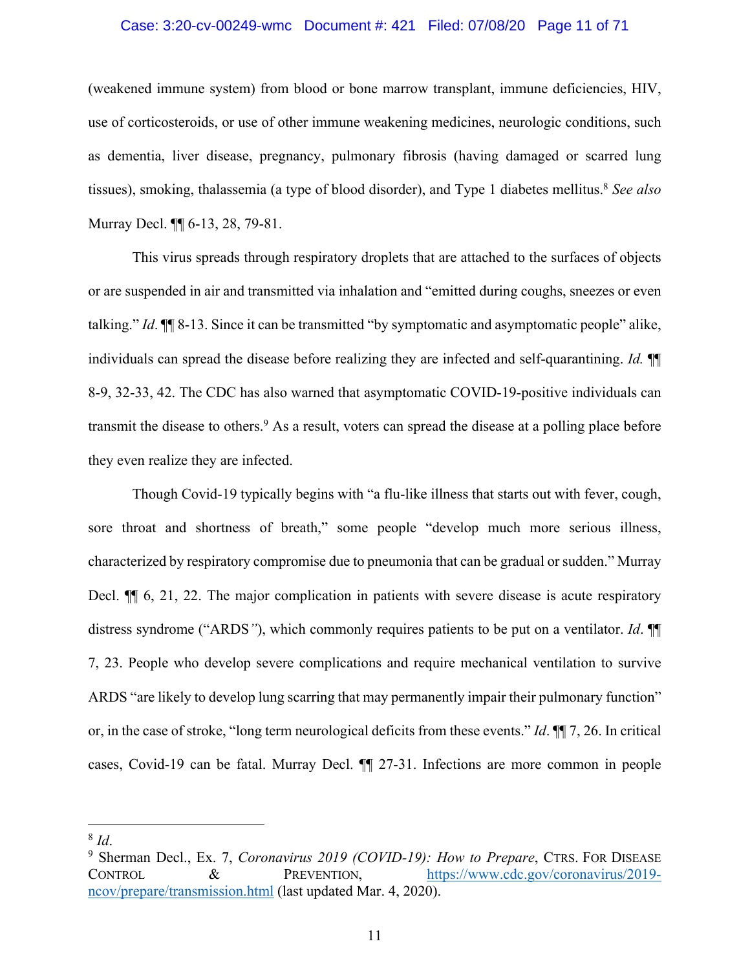#### Case: 3:20-cv-00249-wmc Document #: 421 Filed: 07/08/20 Page 11 of 71

(weakened immune system) from blood or bone marrow transplant, immune deficiencies, HIV, use of corticosteroids, or use of other immune weakening medicines, neurologic conditions, such as dementia, liver disease, pregnancy, pulmonary fibrosis (having damaged or scarred lung tissues), smoking, thalassemia (a type of blood disorder), and Type 1 diabetes mellitus.<sup>8</sup> *See also* Murray Decl. ¶¶ 6-13, 28, 79-81.

This virus spreads through respiratory droplets that are attached to the surfaces of objects or are suspended in air and transmitted via inhalation and "emitted during coughs, sneezes or even talking." *Id*. ¶¶ 8-13. Since it can be transmitted "by symptomatic and asymptomatic people" alike, individuals can spread the disease before realizing they are infected and self-quarantining. *Id.* ¶¶ 8-9, 32-33, 42. The CDC has also warned that asymptomatic COVID-19-positive individuals can transmit the disease to others.<sup>9</sup> As a result, voters can spread the disease at a polling place before they even realize they are infected.

Though Covid-19 typically begins with "a flu-like illness that starts out with fever, cough, sore throat and shortness of breath," some people "develop much more serious illness, characterized by respiratory compromise due to pneumonia that can be gradual or sudden." Murray Decl.  $\P$  6, 21, 22. The major complication in patients with severe disease is acute respiratory distress syndrome ("ARDS*"*), which commonly requires patients to be put on a ventilator. *Id*. ¶¶ 7, 23. People who develop severe complications and require mechanical ventilation to survive ARDS "are likely to develop lung scarring that may permanently impair their pulmonary function" or, in the case of stroke, "long term neurological deficits from these events." *Id*. ¶¶ 7, 26. In critical cases, Covid-19 can be fatal. Murray Decl. ¶¶ 27-31. Infections are more common in people

<sup>&</sup>lt;sup>8</sup> *Id.* 9 Sherman Decl., Ex. 7, *Coronavirus 2019 (COVID-19): How to Prepare*, CTRS. FOR DISEASE CONTROL & PREVENTION, https://www.cdc.gov/coronavirus/2019 ncov/prepare/transmission.html (last updated Mar. 4, 2020).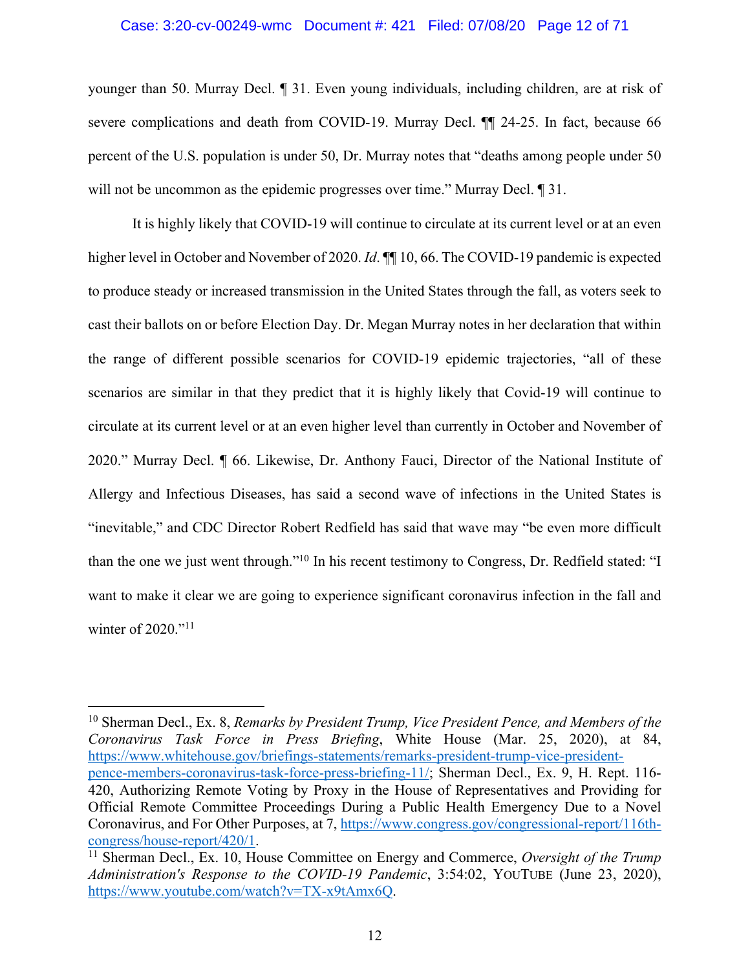#### Case: 3:20-cv-00249-wmc Document #: 421 Filed: 07/08/20 Page 12 of 71

younger than 50. Murray Decl. ¶ 31. Even young individuals, including children, are at risk of severe complications and death from COVID-19. Murray Decl. <sup>¶</sup> 24-25. In fact, because 66 percent of the U.S. population is under 50, Dr. Murray notes that "deaths among people under 50 will not be uncommon as the epidemic progresses over time." Murray Decl.  $\P$  31.

It is highly likely that COVID-19 will continue to circulate at its current level or at an even higher level in October and November of 2020. *Id*. ¶¶ 10, 66. The COVID-19 pandemic is expected to produce steady or increased transmission in the United States through the fall, as voters seek to cast their ballots on or before Election Day. Dr. Megan Murray notes in her declaration that within the range of different possible scenarios for COVID-19 epidemic trajectories, "all of these scenarios are similar in that they predict that it is highly likely that Covid-19 will continue to circulate at its current level or at an even higher level than currently in October and November of 2020." Murray Decl. ¶ 66. Likewise, Dr. Anthony Fauci, Director of the National Institute of Allergy and Infectious Diseases, has said a second wave of infections in the United States is "inevitable," and CDC Director Robert Redfield has said that wave may "be even more difficult than the one we just went through."10 In his recent testimony to Congress, Dr. Redfield stated: "I want to make it clear we are going to experience significant coronavirus infection in the fall and winter of 2020."<sup>11</sup>

<sup>10</sup> Sherman Decl., Ex. 8, *Remarks by President Trump, Vice President Pence, and Members of the Coronavirus Task Force in Press Briefing*, White House (Mar. 25, 2020), at 84, https://www.whitehouse.gov/briefings-statements/remarks-president-trump-vice-presidentpence-members-coronavirus-task-force-press-briefing-11/; Sherman Decl., Ex. 9, H. Rept. 116- 420, Authorizing Remote Voting by Proxy in the House of Representatives and Providing for Official Remote Committee Proceedings During a Public Health Emergency Due to a Novel Coronavirus, and For Other Purposes, at 7, https://www.congress.gov/congressional-report/116thcongress/house-report/420/1.

<sup>&</sup>lt;sup>11</sup> Sherman Decl., Ex. 10, House Committee on Energy and Commerce, *Oversight of the Trump Administration's Response to the COVID-19 Pandemic*, 3:54:02, YOUTUBE (June 23, 2020), https://www.youtube.com/watch?v=TX-x9tAmx6Q.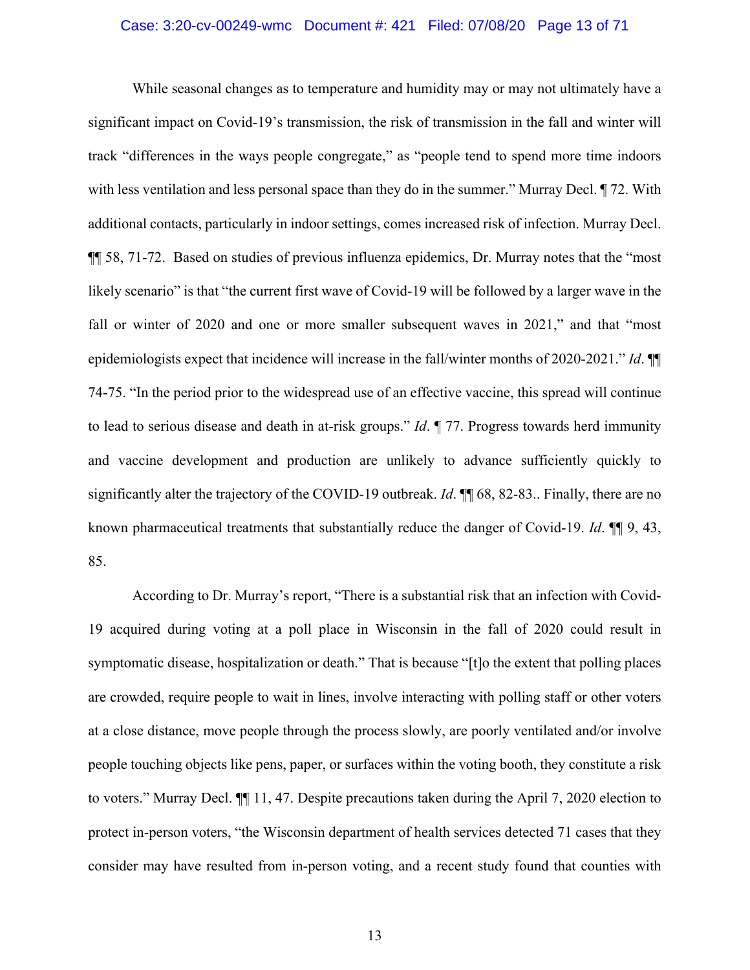## Case: 3:20-cv-00249-wmc Document #: 421 Filed: 07/08/20 Page 13 of 71

While seasonal changes as to temperature and humidity may or may not ultimately have a significant impact on Covid-19's transmission, the risk of transmission in the fall and winter will track "differences in the ways people congregate," as "people tend to spend more time indoors with less ventilation and less personal space than they do in the summer." Murray Decl. ¶ 72. With additional contacts, particularly in indoor settings, comes increased risk of infection. Murray Decl. ¶¶ 58, 71-72. Based on studies of previous influenza epidemics, Dr. Murray notes that the "most likely scenario" is that "the current first wave of Covid-19 will be followed by a larger wave in the fall or winter of 2020 and one or more smaller subsequent waves in 2021," and that "most epidemiologists expect that incidence will increase in the fall/winter months of 2020-2021." *Id*. ¶¶ 74-75. "In the period prior to the widespread use of an effective vaccine, this spread will continue to lead to serious disease and death in at-risk groups." *Id*. ¶ 77. Progress towards herd immunity and vaccine development and production are unlikely to advance sufficiently quickly to significantly alter the trajectory of the COVID-19 outbreak. *Id*. ¶¶ 68, 82-83.. Finally, there are no known pharmaceutical treatments that substantially reduce the danger of Covid-19. *Id*. ¶¶ 9, 43, 85.

According to Dr. Murray's report, "There is a substantial risk that an infection with Covid-19 acquired during voting at a poll place in Wisconsin in the fall of 2020 could result in symptomatic disease, hospitalization or death." That is because "[t]o the extent that polling places are crowded, require people to wait in lines, involve interacting with polling staff or other voters at a close distance, move people through the process slowly, are poorly ventilated and/or involve people touching objects like pens, paper, or surfaces within the voting booth, they constitute a risk to voters." Murray Decl. ¶¶ 11, 47. Despite precautions taken during the April 7, 2020 election to protect in-person voters, "the Wisconsin department of health services detected 71 cases that they consider may have resulted from in-person voting, and a recent study found that counties with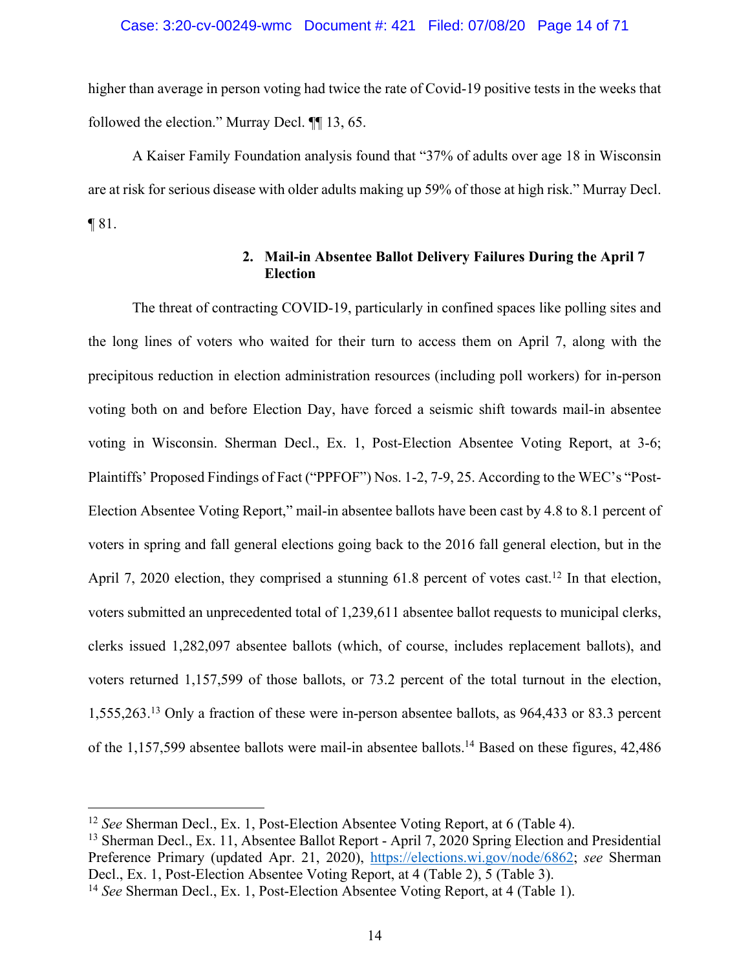higher than average in person voting had twice the rate of Covid-19 positive tests in the weeks that followed the election." Murray Decl. ¶¶ 13, 65.

A Kaiser Family Foundation analysis found that "37% of adults over age 18 in Wisconsin are at risk for serious disease with older adults making up 59% of those at high risk." Murray Decl.  $\P$ 81.

# **2. Mail-in Absentee Ballot Delivery Failures During the April 7 Election**

The threat of contracting COVID-19, particularly in confined spaces like polling sites and the long lines of voters who waited for their turn to access them on April 7, along with the precipitous reduction in election administration resources (including poll workers) for in-person voting both on and before Election Day, have forced a seismic shift towards mail-in absentee voting in Wisconsin. Sherman Decl., Ex. 1, Post-Election Absentee Voting Report, at 3-6; Plaintiffs' Proposed Findings of Fact ("PPFOF") Nos. 1-2, 7-9, 25. According to the WEC's "Post-Election Absentee Voting Report," mail-in absentee ballots have been cast by 4.8 to 8.1 percent of voters in spring and fall general elections going back to the 2016 fall general election, but in the April 7, 2020 election, they comprised a stunning  $61.8$  percent of votes cast.<sup>12</sup> In that election, voters submitted an unprecedented total of 1,239,611 absentee ballot requests to municipal clerks, clerks issued 1,282,097 absentee ballots (which, of course, includes replacement ballots), and voters returned 1,157,599 of those ballots, or 73.2 percent of the total turnout in the election, 1,555,263.13 Only a fraction of these were in-person absentee ballots, as 964,433 or 83.3 percent of the 1,157,599 absentee ballots were mail-in absentee ballots.14 Based on these figures, 42,486

<sup>13</sup> Sherman Decl., Ex. 11, Absentee Ballot Report - April 7, 2020 Spring Election and Presidential Preference Primary (updated Apr. 21, 2020), https://elections.wi.gov/node/6862; *see* Sherman Decl., Ex. 1, Post-Election Absentee Voting Report, at 4 (Table 2), 5 (Table 3).

<sup>12</sup> *See* Sherman Decl., Ex. 1, Post-Election Absentee Voting Report, at 6 (Table 4).

<sup>14</sup> *See* Sherman Decl., Ex. 1, Post-Election Absentee Voting Report, at 4 (Table 1).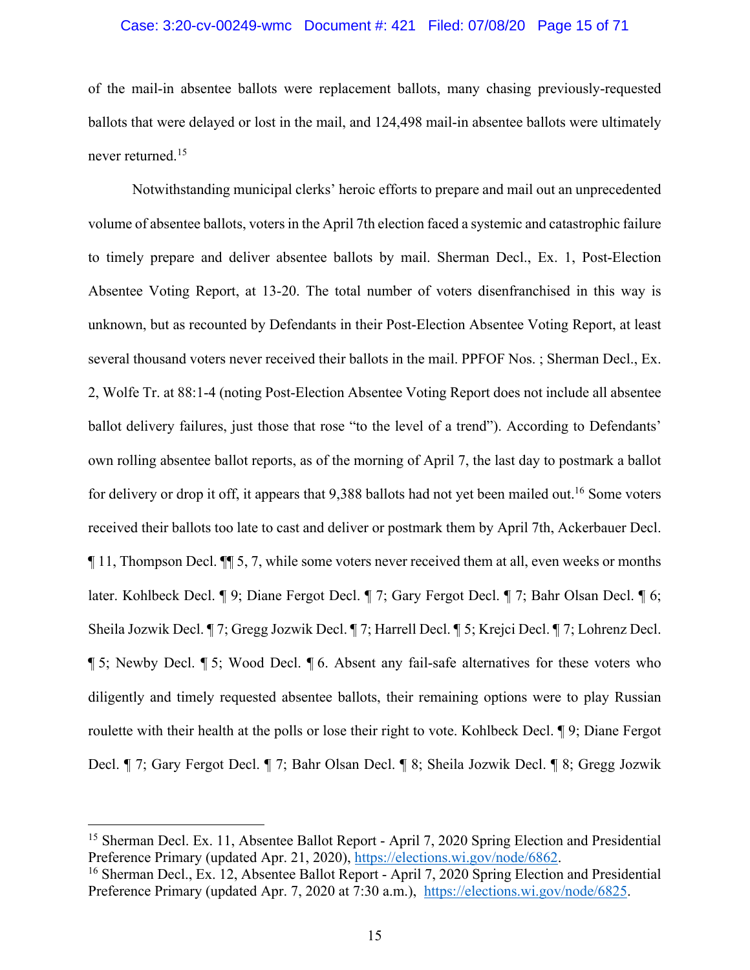### Case: 3:20-cv-00249-wmc Document #: 421 Filed: 07/08/20 Page 15 of 71

of the mail-in absentee ballots were replacement ballots, many chasing previously-requested ballots that were delayed or lost in the mail, and 124,498 mail-in absentee ballots were ultimately never returned.15

Notwithstanding municipal clerks' heroic efforts to prepare and mail out an unprecedented volume of absentee ballots, voters in the April 7th election faced a systemic and catastrophic failure to timely prepare and deliver absentee ballots by mail. Sherman Decl., Ex. 1, Post-Election Absentee Voting Report, at 13-20. The total number of voters disenfranchised in this way is unknown, but as recounted by Defendants in their Post-Election Absentee Voting Report, at least several thousand voters never received their ballots in the mail. PPFOF Nos. ; Sherman Decl., Ex. 2, Wolfe Tr. at 88:1-4 (noting Post-Election Absentee Voting Report does not include all absentee ballot delivery failures, just those that rose "to the level of a trend"). According to Defendants' own rolling absentee ballot reports, as of the morning of April 7, the last day to postmark a ballot for delivery or drop it off, it appears that 9,388 ballots had not yet been mailed out.<sup>16</sup> Some voters received their ballots too late to cast and deliver or postmark them by April 7th, Ackerbauer Decl. ¶ 11, Thompson Decl. ¶¶ 5, 7, while some voters never received them at all, even weeks or months later. Kohlbeck Decl. ¶ 9; Diane Fergot Decl. ¶ 7; Gary Fergot Decl. ¶ 7; Bahr Olsan Decl. ¶ 6; Sheila Jozwik Decl. ¶ 7; Gregg Jozwik Decl. ¶ 7; Harrell Decl. ¶ 5; Krejci Decl. ¶ 7; Lohrenz Decl. ¶ 5; Newby Decl. ¶ 5; Wood Decl. ¶ 6. Absent any fail-safe alternatives for these voters who diligently and timely requested absentee ballots, their remaining options were to play Russian roulette with their health at the polls or lose their right to vote. Kohlbeck Decl.  $\P$ 9; Diane Fergot Decl. ¶ 7; Gary Fergot Decl. ¶ 7; Bahr Olsan Decl. ¶ 8; Sheila Jozwik Decl. ¶ 8; Gregg Jozwik

<sup>&</sup>lt;sup>15</sup> Sherman Decl. Ex. 11, Absentee Ballot Report - April 7, 2020 Spring Election and Presidential Preference Primary (updated Apr. 21, 2020), https://elections.wi.gov/node/6862.

<sup>&</sup>lt;sup>16</sup> Sherman Decl., Ex. 12, Absentee Ballot Report - April 7, 2020 Spring Election and Presidential Preference Primary (updated Apr. 7, 2020 at 7:30 a.m.), https://elections.wi.gov/node/6825.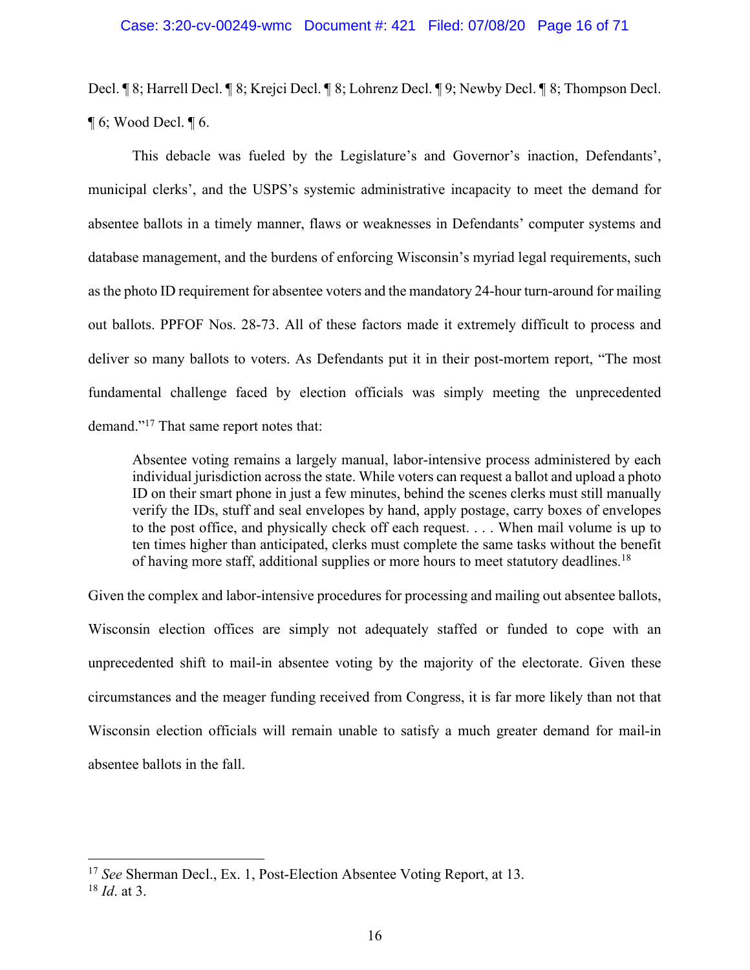Decl. ¶ 8; Harrell Decl. ¶ 8; Krejci Decl. ¶ 8; Lohrenz Decl. ¶ 9; Newby Decl. ¶ 8; Thompson Decl.  $\P$  6; Wood Decl.  $\P$  6.

This debacle was fueled by the Legislature's and Governor's inaction, Defendants', municipal clerks', and the USPS's systemic administrative incapacity to meet the demand for absentee ballots in a timely manner, flaws or weaknesses in Defendants' computer systems and database management, and the burdens of enforcing Wisconsin's myriad legal requirements, such as the photo ID requirement for absentee voters and the mandatory 24-hour turn-around for mailing out ballots. PPFOF Nos. 28-73. All of these factors made it extremely difficult to process and deliver so many ballots to voters. As Defendants put it in their post-mortem report, "The most fundamental challenge faced by election officials was simply meeting the unprecedented demand."17 That same report notes that:

Absentee voting remains a largely manual, labor-intensive process administered by each individual jurisdiction across the state. While voters can request a ballot and upload a photo ID on their smart phone in just a few minutes, behind the scenes clerks must still manually verify the IDs, stuff and seal envelopes by hand, apply postage, carry boxes of envelopes to the post office, and physically check off each request. . . . When mail volume is up to ten times higher than anticipated, clerks must complete the same tasks without the benefit of having more staff, additional supplies or more hours to meet statutory deadlines.<sup>18</sup>

Given the complex and labor-intensive procedures for processing and mailing out absentee ballots, Wisconsin election offices are simply not adequately staffed or funded to cope with an unprecedented shift to mail-in absentee voting by the majority of the electorate. Given these circumstances and the meager funding received from Congress, it is far more likely than not that Wisconsin election officials will remain unable to satisfy a much greater demand for mail-in absentee ballots in the fall.

<sup>17</sup> *See* Sherman Decl., Ex. 1, Post-Election Absentee Voting Report, at 13.

<sup>18</sup> *Id*. at 3.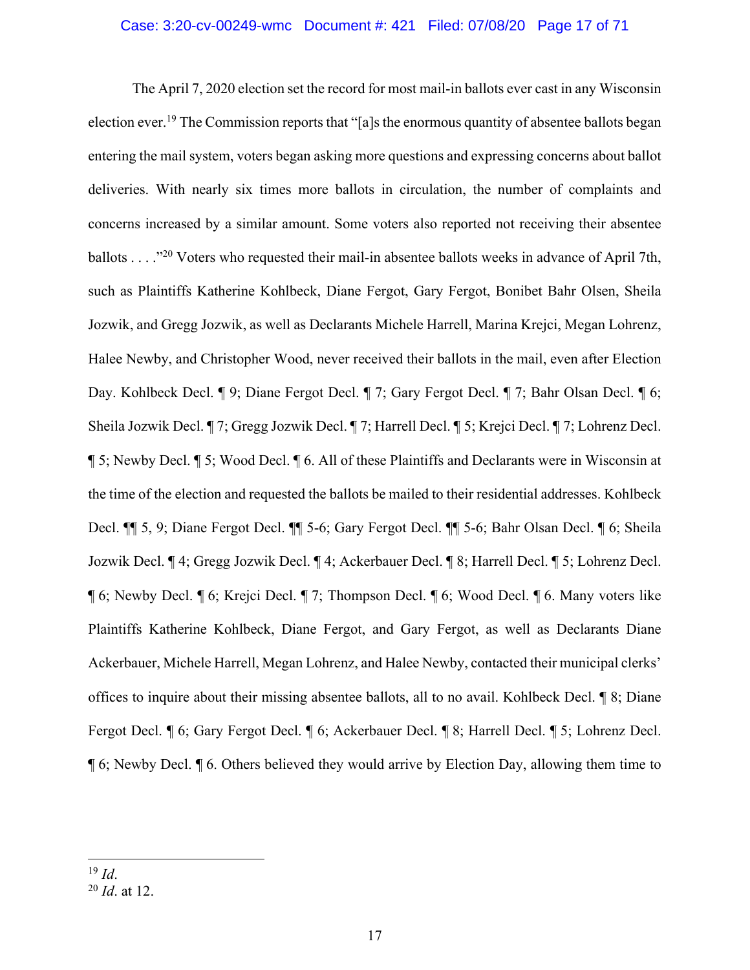### Case: 3:20-cv-00249-wmc Document #: 421 Filed: 07/08/20 Page 17 of 71

The April 7, 2020 election set the record for most mail-in ballots ever cast in any Wisconsin election ever.19 The Commission reports that "[a]s the enormous quantity of absentee ballots began entering the mail system, voters began asking more questions and expressing concerns about ballot deliveries. With nearly six times more ballots in circulation, the number of complaints and concerns increased by a similar amount. Some voters also reported not receiving their absentee ballots . . . ."20 Voters who requested their mail-in absentee ballots weeks in advance of April 7th, such as Plaintiffs Katherine Kohlbeck, Diane Fergot, Gary Fergot, Bonibet Bahr Olsen, Sheila Jozwik, and Gregg Jozwik, as well as Declarants Michele Harrell, Marina Krejci, Megan Lohrenz, Halee Newby, and Christopher Wood, never received their ballots in the mail, even after Election Day. Kohlbeck Decl. ¶ 9; Diane Fergot Decl. ¶ 7; Gary Fergot Decl. ¶ 7; Bahr Olsan Decl. ¶ 6; Sheila Jozwik Decl. ¶ 7; Gregg Jozwik Decl. ¶ 7; Harrell Decl. ¶ 5; Krejci Decl. ¶ 7; Lohrenz Decl. ¶ 5; Newby Decl. ¶ 5; Wood Decl. ¶ 6. All of these Plaintiffs and Declarants were in Wisconsin at the time of the election and requested the ballots be mailed to their residential addresses. Kohlbeck Decl. ¶¶ 5, 9; Diane Fergot Decl. ¶¶ 5-6; Gary Fergot Decl. ¶¶ 5-6; Bahr Olsan Decl. ¶ 6; Sheila Jozwik Decl. ¶ 4; Gregg Jozwik Decl. ¶ 4; Ackerbauer Decl. ¶ 8; Harrell Decl. ¶ 5; Lohrenz Decl. ¶ 6; Newby Decl. ¶ 6; Krejci Decl. ¶ 7; Thompson Decl. ¶ 6; Wood Decl. ¶ 6. Many voters like Plaintiffs Katherine Kohlbeck, Diane Fergot, and Gary Fergot, as well as Declarants Diane Ackerbauer, Michele Harrell, Megan Lohrenz, and Halee Newby, contacted their municipal clerks' offices to inquire about their missing absentee ballots, all to no avail. Kohlbeck Decl. ¶ 8; Diane Fergot Decl. ¶ 6; Gary Fergot Decl. ¶ 6; Ackerbauer Decl. ¶ 8; Harrell Decl. ¶ 5; Lohrenz Decl. ¶ 6; Newby Decl. ¶ 6. Others believed they would arrive by Election Day, allowing them time to

<sup>20</sup> *Id*. at 12.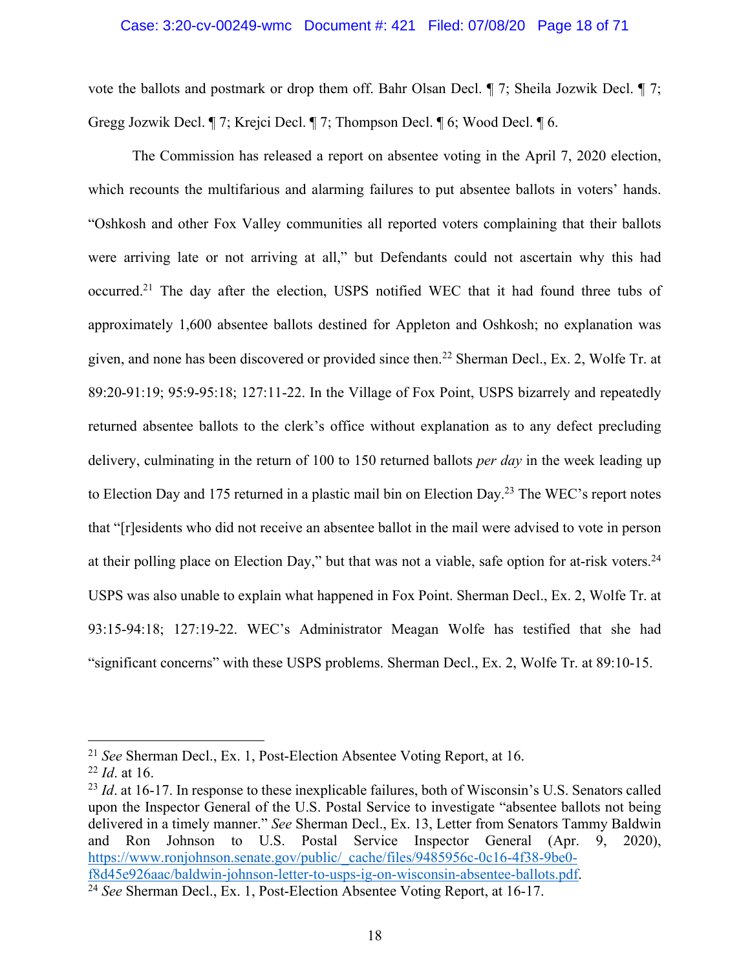#### Case: 3:20-cv-00249-wmc Document #: 421 Filed: 07/08/20 Page 18 of 71

vote the ballots and postmark or drop them off. Bahr Olsan Decl. ¶ 7; Sheila Jozwik Decl. ¶ 7; Gregg Jozwik Decl. ¶ 7; Krejci Decl. ¶ 7; Thompson Decl. ¶ 6; Wood Decl. ¶ 6.

The Commission has released a report on absentee voting in the April 7, 2020 election, which recounts the multifarious and alarming failures to put absentee ballots in voters' hands. "Oshkosh and other Fox Valley communities all reported voters complaining that their ballots were arriving late or not arriving at all," but Defendants could not ascertain why this had occurred.21 The day after the election, USPS notified WEC that it had found three tubs of approximately 1,600 absentee ballots destined for Appleton and Oshkosh; no explanation was given, and none has been discovered or provided since then. <sup>22</sup> Sherman Decl., Ex. 2, Wolfe Tr. at 89:20-91:19; 95:9-95:18; 127:11-22. In the Village of Fox Point, USPS bizarrely and repeatedly returned absentee ballots to the clerk's office without explanation as to any defect precluding delivery, culminating in the return of 100 to 150 returned ballots *per day* in the week leading up to Election Day and 175 returned in a plastic mail bin on Election Day.23 The WEC's report notes that "[r]esidents who did not receive an absentee ballot in the mail were advised to vote in person at their polling place on Election Day," but that was not a viable, safe option for at-risk voters.<sup>24</sup> USPS was also unable to explain what happened in Fox Point. Sherman Decl., Ex. 2, Wolfe Tr. at 93:15-94:18; 127:19-22. WEC's Administrator Meagan Wolfe has testified that she had "significant concerns" with these USPS problems. Sherman Decl., Ex. 2, Wolfe Tr. at 89:10-15.

<sup>21</sup> *See* Sherman Decl., Ex. 1, Post-Election Absentee Voting Report, at 16.

<sup>22</sup> *Id*. at 16.

<sup>&</sup>lt;sup>23</sup> *Id.* at 16-17. In response to these inexplicable failures, both of Wisconsin's U.S. Senators called upon the Inspector General of the U.S. Postal Service to investigate "absentee ballots not being delivered in a timely manner." *See* Sherman Decl., Ex. 13, Letter from Senators Tammy Baldwin and Ron Johnson to U.S. Postal Service Inspector General (Apr. 9, 2020), https://www.ronjohnson.senate.gov/public/\_cache/files/9485956c-0c16-4f38-9be0 f8d45e926aac/baldwin-johnson-letter-to-usps-ig-on-wisconsin-absentee-ballots.pdf. 24 *See* Sherman Decl., Ex. 1, Post-Election Absentee Voting Report, at 16-17.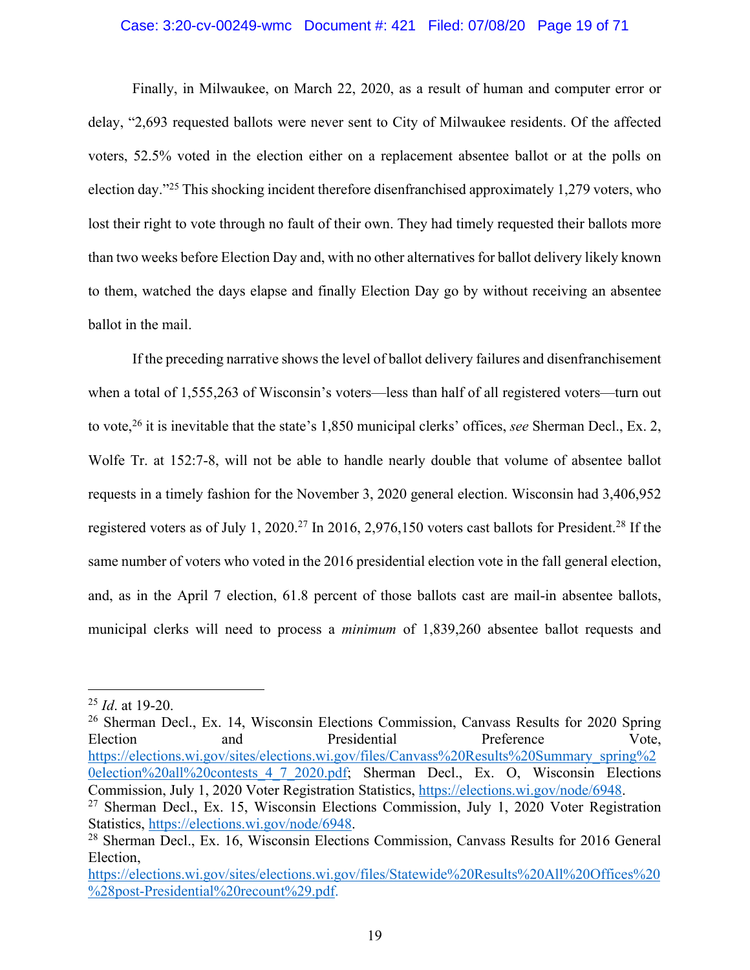#### Case: 3:20-cv-00249-wmc Document #: 421 Filed: 07/08/20 Page 19 of 71

Finally, in Milwaukee, on March 22, 2020, as a result of human and computer error or delay, "2,693 requested ballots were never sent to City of Milwaukee residents. Of the affected voters, 52.5% voted in the election either on a replacement absentee ballot or at the polls on election day."25 This shocking incident therefore disenfranchised approximately 1,279 voters, who lost their right to vote through no fault of their own. They had timely requested their ballots more than two weeks before Election Day and, with no other alternatives for ballot delivery likely known to them, watched the days elapse and finally Election Day go by without receiving an absentee ballot in the mail.

If the preceding narrative shows the level of ballot delivery failures and disenfranchisement when a total of 1,555,263 of Wisconsin's voters—less than half of all registered voters—turn out to vote,26 it is inevitable that the state's 1,850 municipal clerks' offices, *see* Sherman Decl., Ex. 2, Wolfe Tr. at 152:7-8, will not be able to handle nearly double that volume of absentee ballot requests in a timely fashion for the November 3, 2020 general election. Wisconsin had 3,406,952 registered voters as of July 1, 2020.<sup>27</sup> In 2016, 2,976,150 voters cast ballots for President.<sup>28</sup> If the same number of voters who voted in the 2016 presidential election vote in the fall general election, and, as in the April 7 election, 61.8 percent of those ballots cast are mail-in absentee ballots, municipal clerks will need to process a *minimum* of 1,839,260 absentee ballot requests and

<sup>25</sup> *Id*. at 19-20.

<sup>&</sup>lt;sup>26</sup> Sherman Decl., Ex. 14, Wisconsin Elections Commission, Canvass Results for 2020 Spring Election and Presidential Preference Vote, https://elections.wi.gov/sites/elections.wi.gov/files/Canvass%20Results%20Summary\_spring%2 0election%20all%20contests 4 7 2020.pdf; Sherman Decl., Ex. O, Wisconsin Elections Commission, July 1, 2020 Voter Registration Statistics, https://elections.wi.gov/node/6948.<br><sup>27</sup> Sherman Decl., Ex. 15, Wisconsin Elections Commission, July 1, 2020 Voter Registration

Statistics, https://elections.wi.gov/node/6948.

<sup>28</sup> Sherman Decl., Ex. 16, Wisconsin Elections Commission, Canvass Results for 2016 General Election,

https://elections.wi.gov/sites/elections.wi.gov/files/Statewide%20Results%20All%20Offices%20 %28post-Presidential%20recount%29.pdf.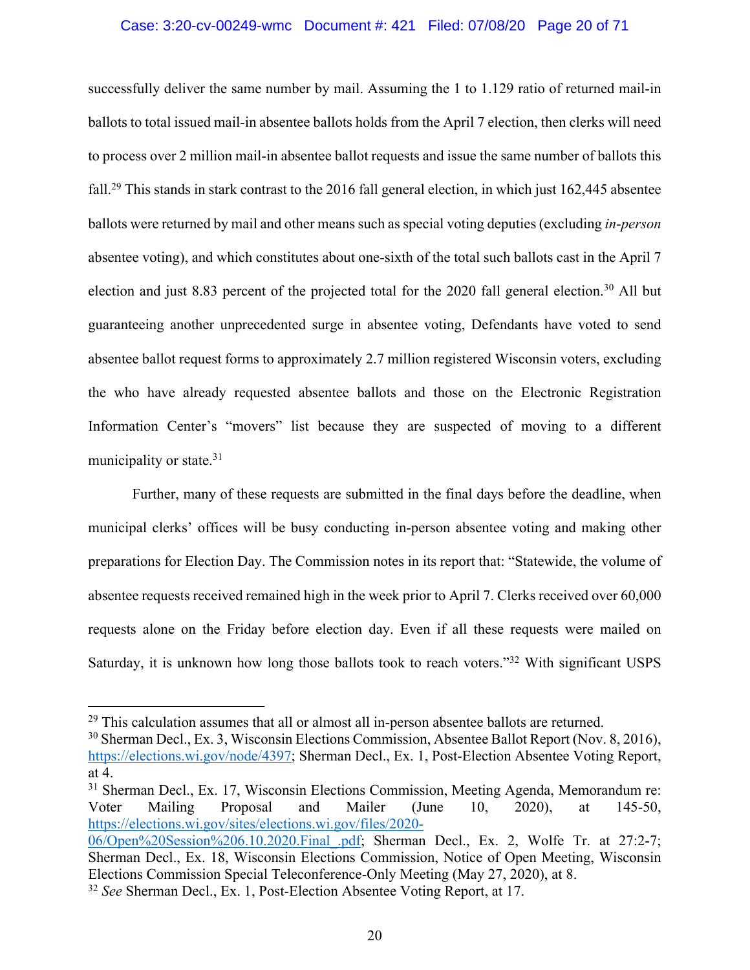#### Case: 3:20-cv-00249-wmc Document #: 421 Filed: 07/08/20 Page 20 of 71

successfully deliver the same number by mail. Assuming the 1 to 1.129 ratio of returned mail-in ballots to total issued mail-in absentee ballots holds from the April 7 election, then clerks will need to process over 2 million mail-in absentee ballot requests and issue the same number of ballots this fall.29 This stands in stark contrast to the 2016 fall general election, in which just 162,445 absentee ballots were returned by mail and other means such as special voting deputies (excluding *in-person*  absentee voting), and which constitutes about one-sixth of the total such ballots cast in the April 7 election and just 8.83 percent of the projected total for the 2020 fall general election.<sup>30</sup> All but guaranteeing another unprecedented surge in absentee voting, Defendants have voted to send absentee ballot request forms to approximately 2.7 million registered Wisconsin voters, excluding the who have already requested absentee ballots and those on the Electronic Registration Information Center's "movers" list because they are suspected of moving to a different municipality or state.<sup>31</sup>

Further, many of these requests are submitted in the final days before the deadline, when municipal clerks' offices will be busy conducting in-person absentee voting and making other preparations for Election Day. The Commission notes in its report that: "Statewide, the volume of absentee requests received remained high in the week prior to April 7. Clerks received over 60,000 requests alone on the Friday before election day. Even if all these requests were mailed on Saturday, it is unknown how long those ballots took to reach voters."32 With significant USPS

 $29$  This calculation assumes that all or almost all in-person absentee ballots are returned.

<sup>30</sup> Sherman Decl., Ex. 3, Wisconsin Elections Commission, Absentee Ballot Report (Nov. 8, 2016), https://elections.wi.gov/node/4397; Sherman Decl., Ex. 1, Post-Election Absentee Voting Report, at 4.

<sup>&</sup>lt;sup>31</sup> Sherman Decl., Ex. 17, Wisconsin Elections Commission, Meeting Agenda, Memorandum re: Voter Mailing Proposal and Mailer (June 10, 2020), at 145-50, https://elections.wi.gov/sites/elections.wi.gov/files/2020-

<sup>06/</sup>Open%20Session%206.10.2020.Final\_.pdf; Sherman Decl., Ex. 2, Wolfe Tr. at 27:2-7; Sherman Decl., Ex. 18, Wisconsin Elections Commission, Notice of Open Meeting, Wisconsin Elections Commission Special Teleconference-Only Meeting (May 27, 2020), at 8.

<sup>32</sup> *See* Sherman Decl., Ex. 1, Post-Election Absentee Voting Report, at 17.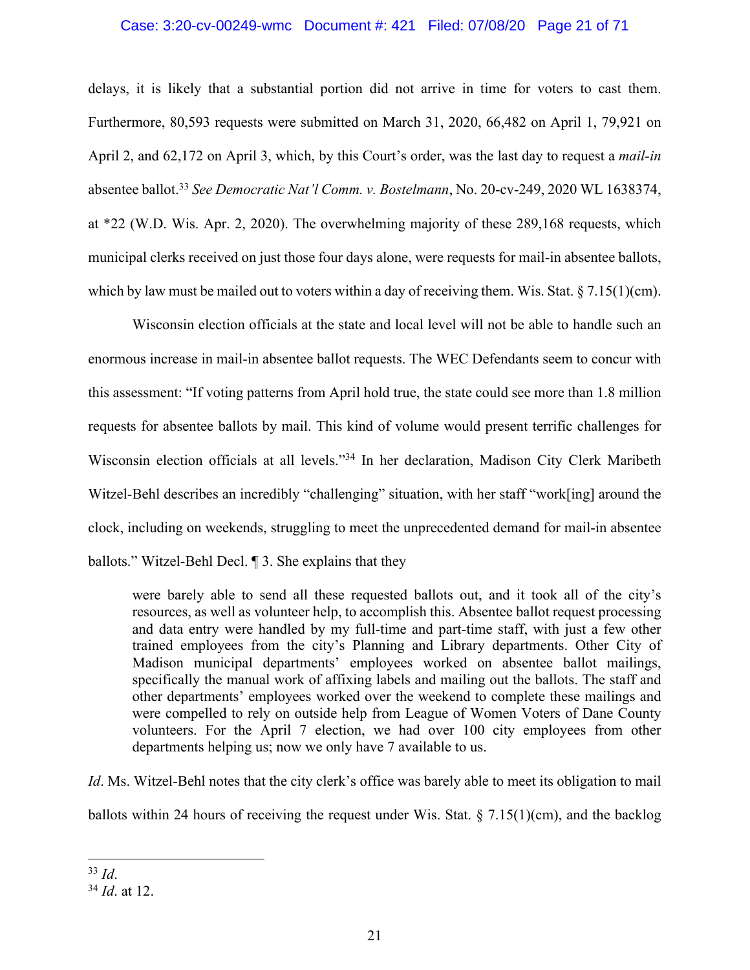# Case: 3:20-cv-00249-wmc Document #: 421 Filed: 07/08/20 Page 21 of 71

delays, it is likely that a substantial portion did not arrive in time for voters to cast them. Furthermore, 80,593 requests were submitted on March 31, 2020, 66,482 on April 1, 79,921 on April 2, and 62,172 on April 3, which, by this Court's order, was the last day to request a *mail-in*  absentee ballot.33 *See Democratic Nat'l Comm. v. Bostelmann*, No. 20-cv-249, 2020 WL 1638374, at \*22 (W.D. Wis. Apr. 2, 2020). The overwhelming majority of these 289,168 requests, which municipal clerks received on just those four days alone, were requests for mail-in absentee ballots, which by law must be mailed out to voters within a day of receiving them. Wis. Stat.  $\S 7.15(1)(cm)$ .

Wisconsin election officials at the state and local level will not be able to handle such an enormous increase in mail-in absentee ballot requests. The WEC Defendants seem to concur with this assessment: "If voting patterns from April hold true, the state could see more than 1.8 million requests for absentee ballots by mail. This kind of volume would present terrific challenges for Wisconsin election officials at all levels."34 In her declaration, Madison City Clerk Maribeth Witzel-Behl describes an incredibly "challenging" situation, with her staff "work[ing] around the clock, including on weekends, struggling to meet the unprecedented demand for mail-in absentee ballots." Witzel-Behl Decl. ¶ 3. She explains that they

were barely able to send all these requested ballots out, and it took all of the city's resources, as well as volunteer help, to accomplish this. Absentee ballot request processing and data entry were handled by my full-time and part-time staff, with just a few other trained employees from the city's Planning and Library departments. Other City of Madison municipal departments' employees worked on absentee ballot mailings, specifically the manual work of affixing labels and mailing out the ballots. The staff and other departments' employees worked over the weekend to complete these mailings and were compelled to rely on outside help from League of Women Voters of Dane County volunteers. For the April 7 election, we had over 100 city employees from other departments helping us; now we only have 7 available to us.

*Id*. Ms. Witzel-Behl notes that the city clerk's office was barely able to meet its obligation to mail ballots within 24 hours of receiving the request under Wis. Stat. § 7.15(1)(cm), and the backlog

<sup>33</sup> *Id*.

<sup>34</sup> *Id*. at 12.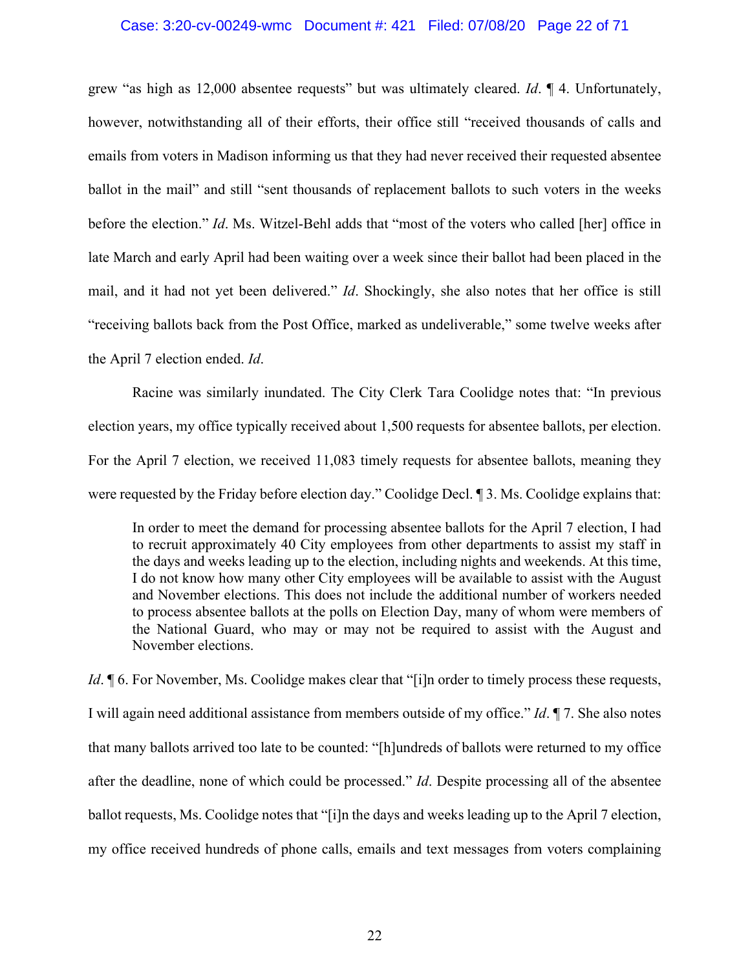#### Case: 3:20-cv-00249-wmc Document #: 421 Filed: 07/08/20 Page 22 of 71

grew "as high as 12,000 absentee requests" but was ultimately cleared. *Id*. ¶ 4. Unfortunately, however, notwithstanding all of their efforts, their office still "received thousands of calls and emails from voters in Madison informing us that they had never received their requested absentee ballot in the mail" and still "sent thousands of replacement ballots to such voters in the weeks before the election." *Id*. Ms. Witzel-Behl adds that "most of the voters who called [her] office in late March and early April had been waiting over a week since their ballot had been placed in the mail, and it had not yet been delivered." *Id*. Shockingly, she also notes that her office is still "receiving ballots back from the Post Office, marked as undeliverable," some twelve weeks after the April 7 election ended. *Id*.

Racine was similarly inundated. The City Clerk Tara Coolidge notes that: "In previous election years, my office typically received about 1,500 requests for absentee ballots, per election. For the April 7 election, we received 11,083 timely requests for absentee ballots, meaning they were requested by the Friday before election day." Coolidge Decl. ¶ 3. Ms. Coolidge explains that:

In order to meet the demand for processing absentee ballots for the April 7 election, I had to recruit approximately 40 City employees from other departments to assist my staff in the days and weeks leading up to the election, including nights and weekends. At this time, I do not know how many other City employees will be available to assist with the August and November elections. This does not include the additional number of workers needed to process absentee ballots at the polls on Election Day, many of whom were members of the National Guard, who may or may not be required to assist with the August and November elections.

*Id*. **[6. For November, Ms. Coolidge makes clear that "[i]n order to timely process these requests,** I will again need additional assistance from members outside of my office." *Id*. ¶ 7. She also notes that many ballots arrived too late to be counted: "[h]undreds of ballots were returned to my office after the deadline, none of which could be processed." *Id*. Despite processing all of the absentee ballot requests, Ms. Coolidge notes that "[i]n the days and weeks leading up to the April 7 election, my office received hundreds of phone calls, emails and text messages from voters complaining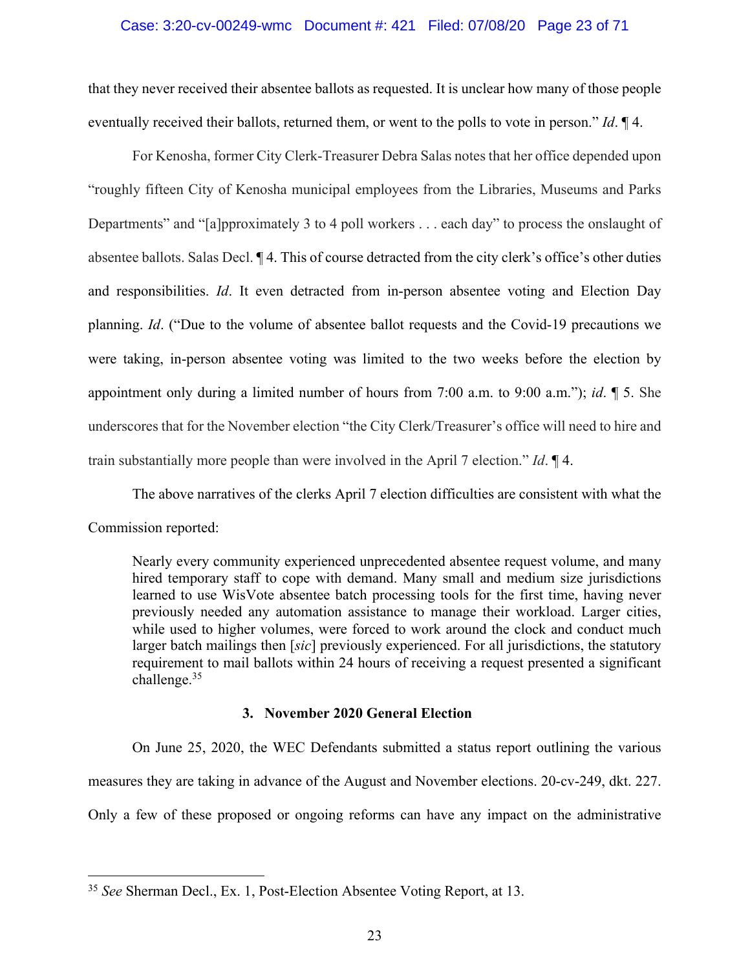#### Case: 3:20-cv-00249-wmc Document #: 421 Filed: 07/08/20 Page 23 of 71

that they never received their absentee ballots as requested. It is unclear how many of those people eventually received their ballots, returned them, or went to the polls to vote in person." *Id*. ¶ 4.

For Kenosha, former City Clerk-Treasurer Debra Salas notes that her office depended upon "roughly fifteen City of Kenosha municipal employees from the Libraries, Museums and Parks Departments" and "[a]pproximately 3 to 4 poll workers . . . each day" to process the onslaught of absentee ballots. Salas Decl. ¶ 4. This of course detracted from the city clerk's office's other duties and responsibilities. *Id*. It even detracted from in-person absentee voting and Election Day planning. *Id*. ("Due to the volume of absentee ballot requests and the Covid-19 precautions we were taking, in-person absentee voting was limited to the two weeks before the election by appointment only during a limited number of hours from 7:00 a.m. to 9:00 a.m."); *id*. ¶ 5. She underscores that for the November election "the City Clerk/Treasurer's office will need to hire and train substantially more people than were involved in the April 7 election." *Id*. ¶ 4.

The above narratives of the clerks April 7 election difficulties are consistent with what the Commission reported:

Nearly every community experienced unprecedented absentee request volume, and many hired temporary staff to cope with demand. Many small and medium size jurisdictions learned to use WisVote absentee batch processing tools for the first time, having never previously needed any automation assistance to manage their workload. Larger cities, while used to higher volumes, were forced to work around the clock and conduct much larger batch mailings then [*sic*] previously experienced. For all jurisdictions, the statutory requirement to mail ballots within 24 hours of receiving a request presented a significant challenge.35

## **3. November 2020 General Election**

On June 25, 2020, the WEC Defendants submitted a status report outlining the various measures they are taking in advance of the August and November elections. 20-cv-249, dkt. 227. Only a few of these proposed or ongoing reforms can have any impact on the administrative

<sup>35</sup> *See* Sherman Decl., Ex. 1, Post-Election Absentee Voting Report, at 13.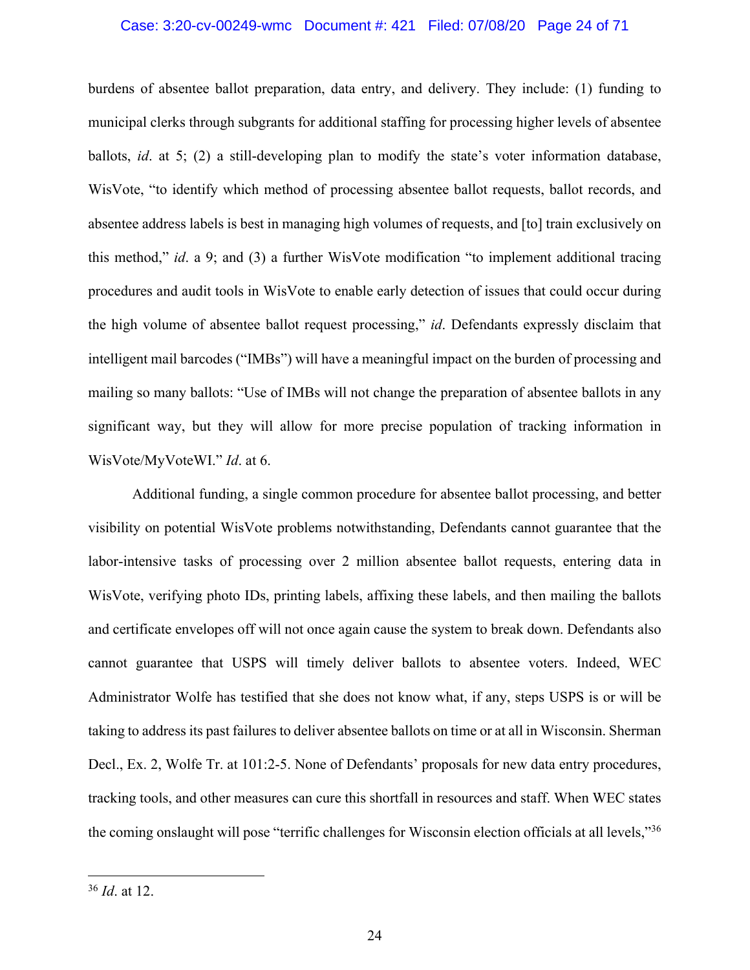#### Case: 3:20-cv-00249-wmc Document #: 421 Filed: 07/08/20 Page 24 of 71

burdens of absentee ballot preparation, data entry, and delivery. They include: (1) funding to municipal clerks through subgrants for additional staffing for processing higher levels of absentee ballots, *id*. at 5; (2) a still-developing plan to modify the state's voter information database, WisVote, "to identify which method of processing absentee ballot requests, ballot records, and absentee address labels is best in managing high volumes of requests, and [to] train exclusively on this method," *id*. a 9; and (3) a further WisVote modification "to implement additional tracing procedures and audit tools in WisVote to enable early detection of issues that could occur during the high volume of absentee ballot request processing," *id*. Defendants expressly disclaim that intelligent mail barcodes ("IMBs") will have a meaningful impact on the burden of processing and mailing so many ballots: "Use of IMBs will not change the preparation of absentee ballots in any significant way, but they will allow for more precise population of tracking information in WisVote/MyVoteWI." *Id*. at 6.

Additional funding, a single common procedure for absentee ballot processing, and better visibility on potential WisVote problems notwithstanding, Defendants cannot guarantee that the labor-intensive tasks of processing over 2 million absentee ballot requests, entering data in WisVote, verifying photo IDs, printing labels, affixing these labels, and then mailing the ballots and certificate envelopes off will not once again cause the system to break down. Defendants also cannot guarantee that USPS will timely deliver ballots to absentee voters. Indeed, WEC Administrator Wolfe has testified that she does not know what, if any, steps USPS is or will be taking to address its past failures to deliver absentee ballots on time or at all in Wisconsin. Sherman Decl., Ex. 2, Wolfe Tr. at 101:2-5. None of Defendants' proposals for new data entry procedures, tracking tools, and other measures can cure this shortfall in resources and staff. When WEC states the coming onslaught will pose "terrific challenges for Wisconsin election officials at all levels,"36

<sup>36</sup> *Id*. at 12.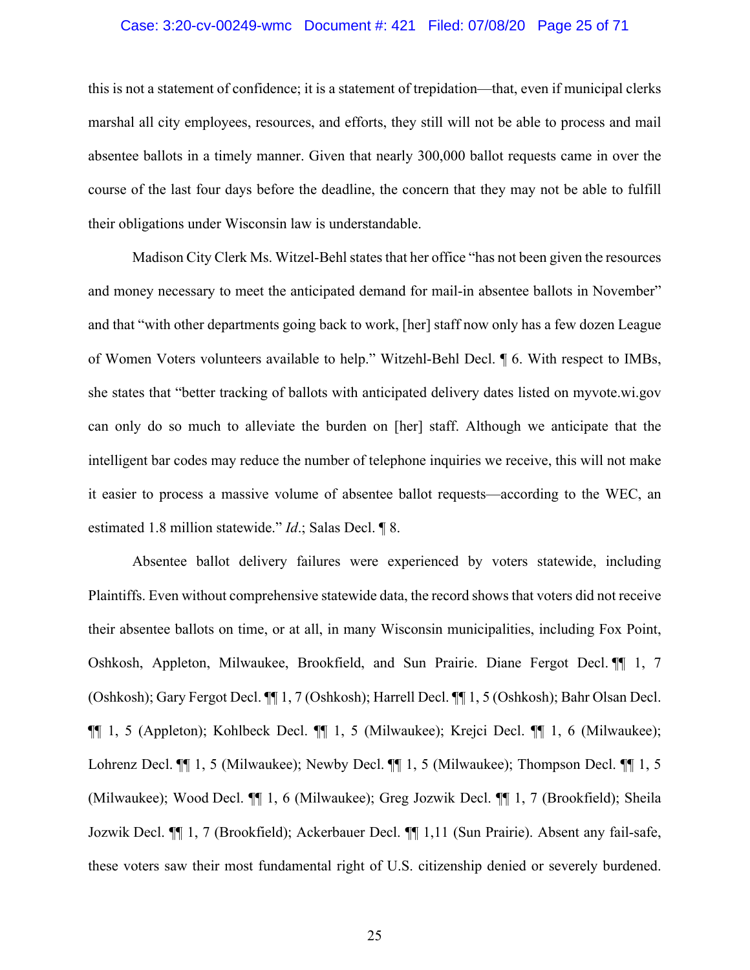## Case: 3:20-cv-00249-wmc Document #: 421 Filed: 07/08/20 Page 25 of 71

this is not a statement of confidence; it is a statement of trepidation—that, even if municipal clerks marshal all city employees, resources, and efforts, they still will not be able to process and mail absentee ballots in a timely manner. Given that nearly 300,000 ballot requests came in over the course of the last four days before the deadline, the concern that they may not be able to fulfill their obligations under Wisconsin law is understandable.

Madison City Clerk Ms. Witzel-Behl states that her office "has not been given the resources" and money necessary to meet the anticipated demand for mail-in absentee ballots in November" and that "with other departments going back to work, [her] staff now only has a few dozen League of Women Voters volunteers available to help." Witzehl-Behl Decl. ¶ 6. With respect to IMBs, she states that "better tracking of ballots with anticipated delivery dates listed on myvote.wi.gov can only do so much to alleviate the burden on [her] staff. Although we anticipate that the intelligent bar codes may reduce the number of telephone inquiries we receive, this will not make it easier to process a massive volume of absentee ballot requests—according to the WEC, an estimated 1.8 million statewide." *Id*.; Salas Decl. ¶ 8.

Absentee ballot delivery failures were experienced by voters statewide, including Plaintiffs. Even without comprehensive statewide data, the record shows that voters did not receive their absentee ballots on time, or at all, in many Wisconsin municipalities, including Fox Point, Oshkosh, Appleton, Milwaukee, Brookfield, and Sun Prairie. Diane Fergot Decl. ¶¶ 1, 7 (Oshkosh); Gary Fergot Decl. ¶¶ 1, 7 (Oshkosh); Harrell Decl. ¶¶ 1, 5 (Oshkosh); Bahr Olsan Decl. ¶¶ 1, 5 (Appleton); Kohlbeck Decl. ¶¶ 1, 5 (Milwaukee); Krejci Decl. ¶¶ 1, 6 (Milwaukee); Lohrenz Decl. ¶¶ 1, 5 (Milwaukee); Newby Decl. ¶¶ 1, 5 (Milwaukee); Thompson Decl. ¶¶ 1, 5 (Milwaukee); Wood Decl. ¶¶ 1, 6 (Milwaukee); Greg Jozwik Decl. ¶¶ 1, 7 (Brookfield); Sheila Jozwik Decl. ¶¶ 1, 7 (Brookfield); Ackerbauer Decl. ¶¶ 1,11 (Sun Prairie). Absent any fail-safe, these voters saw their most fundamental right of U.S. citizenship denied or severely burdened.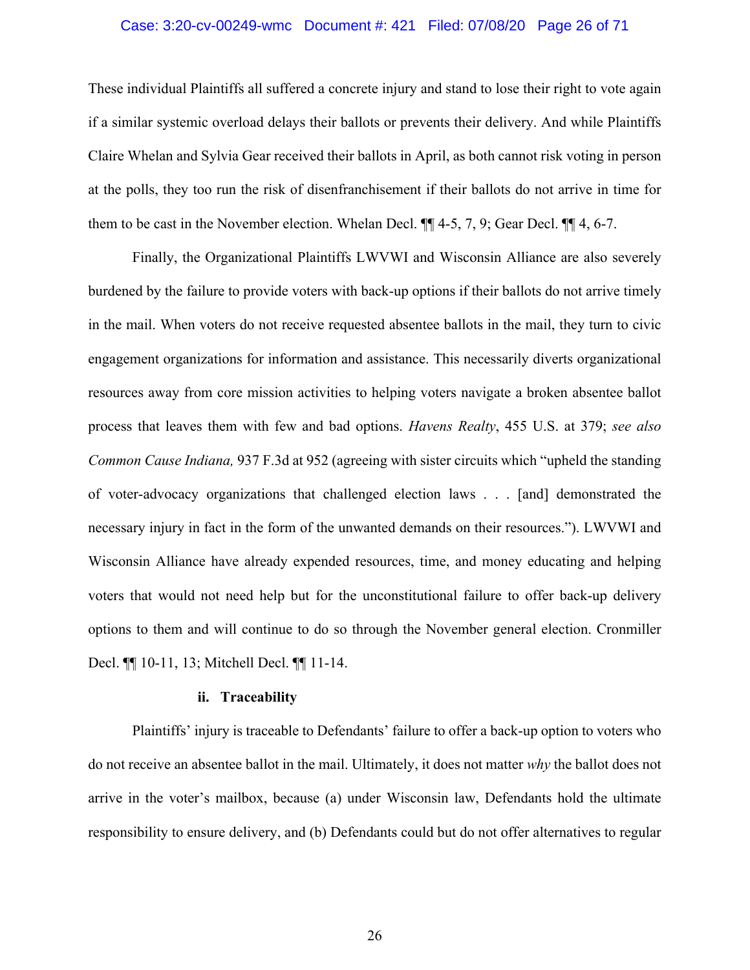# Case: 3:20-cv-00249-wmc Document #: 421 Filed: 07/08/20 Page 26 of 71

These individual Plaintiffs all suffered a concrete injury and stand to lose their right to vote again if a similar systemic overload delays their ballots or prevents their delivery. And while Plaintiffs Claire Whelan and Sylvia Gear received their ballots in April, as both cannot risk voting in person at the polls, they too run the risk of disenfranchisement if their ballots do not arrive in time for them to be cast in the November election. Whelan Decl. ¶¶ 4-5, 7, 9; Gear Decl. ¶¶ 4, 6-7.

Finally, the Organizational Plaintiffs LWVWI and Wisconsin Alliance are also severely burdened by the failure to provide voters with back-up options if their ballots do not arrive timely in the mail. When voters do not receive requested absentee ballots in the mail, they turn to civic engagement organizations for information and assistance. This necessarily diverts organizational resources away from core mission activities to helping voters navigate a broken absentee ballot process that leaves them with few and bad options. *Havens Realty*, 455 U.S. at 379; *see also Common Cause Indiana,* 937 F.3d at 952 (agreeing with sister circuits which "upheld the standing of voter-advocacy organizations that challenged election laws . . . [and] demonstrated the necessary injury in fact in the form of the unwanted demands on their resources."). LWVWI and Wisconsin Alliance have already expended resources, time, and money educating and helping voters that would not need help but for the unconstitutional failure to offer back-up delivery options to them and will continue to do so through the November general election. Cronmiller Decl. ¶¶ 10-11, 13; Mitchell Decl. ¶¶ 11-14.

## **ii. Traceability**

Plaintiffs' injury is traceable to Defendants' failure to offer a back-up option to voters who do not receive an absentee ballot in the mail. Ultimately, it does not matter *why* the ballot does not arrive in the voter's mailbox, because (a) under Wisconsin law, Defendants hold the ultimate responsibility to ensure delivery, and (b) Defendants could but do not offer alternatives to regular

26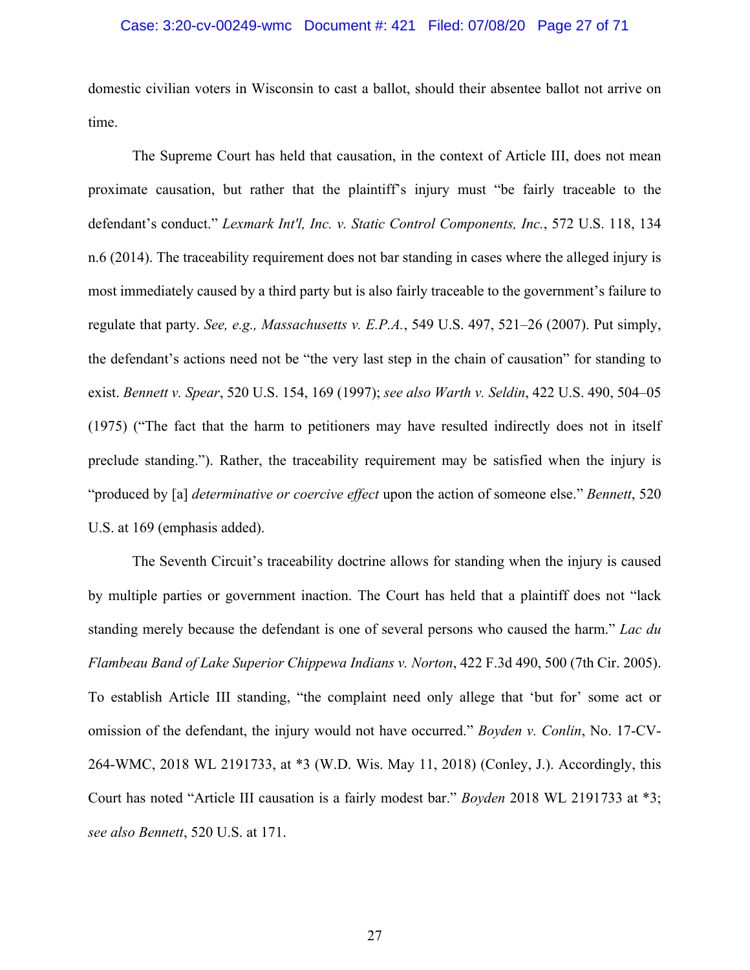## Case: 3:20-cv-00249-wmc Document #: 421 Filed: 07/08/20 Page 27 of 71

domestic civilian voters in Wisconsin to cast a ballot, should their absentee ballot not arrive on time.

The Supreme Court has held that causation, in the context of Article III, does not mean proximate causation, but rather that the plaintiff's injury must "be fairly traceable to the defendant's conduct." *Lexmark Int'l, Inc. v. Static Control Components, Inc.*, 572 U.S. 118, 134 n.6 (2014). The traceability requirement does not bar standing in cases where the alleged injury is most immediately caused by a third party but is also fairly traceable to the government's failure to regulate that party. *See, e.g., Massachusetts v. E.P.A.*, 549 U.S. 497, 521–26 (2007). Put simply, the defendant's actions need not be "the very last step in the chain of causation" for standing to exist. *Bennett v. Spear*, 520 U.S. 154, 169 (1997); *see also Warth v. Seldin*, 422 U.S. 490, 504–05 (1975) ("The fact that the harm to petitioners may have resulted indirectly does not in itself preclude standing."). Rather, the traceability requirement may be satisfied when the injury is "produced by [a] *determinative or coercive effect* upon the action of someone else." *Bennett*, 520 U.S. at 169 (emphasis added).

The Seventh Circuit's traceability doctrine allows for standing when the injury is caused by multiple parties or government inaction. The Court has held that a plaintiff does not "lack standing merely because the defendant is one of several persons who caused the harm." *Lac du Flambeau Band of Lake Superior Chippewa Indians v. Norton*, 422 F.3d 490, 500 (7th Cir. 2005). To establish Article III standing, "the complaint need only allege that 'but for' some act or omission of the defendant, the injury would not have occurred." *Boyden v. Conlin*, No. 17-CV-264-WMC, 2018 WL 2191733, at \*3 (W.D. Wis. May 11, 2018) (Conley, J.). Accordingly, this Court has noted "Article III causation is a fairly modest bar." *Boyden* 2018 WL 2191733 at \*3; *see also Bennett*, 520 U.S. at 171.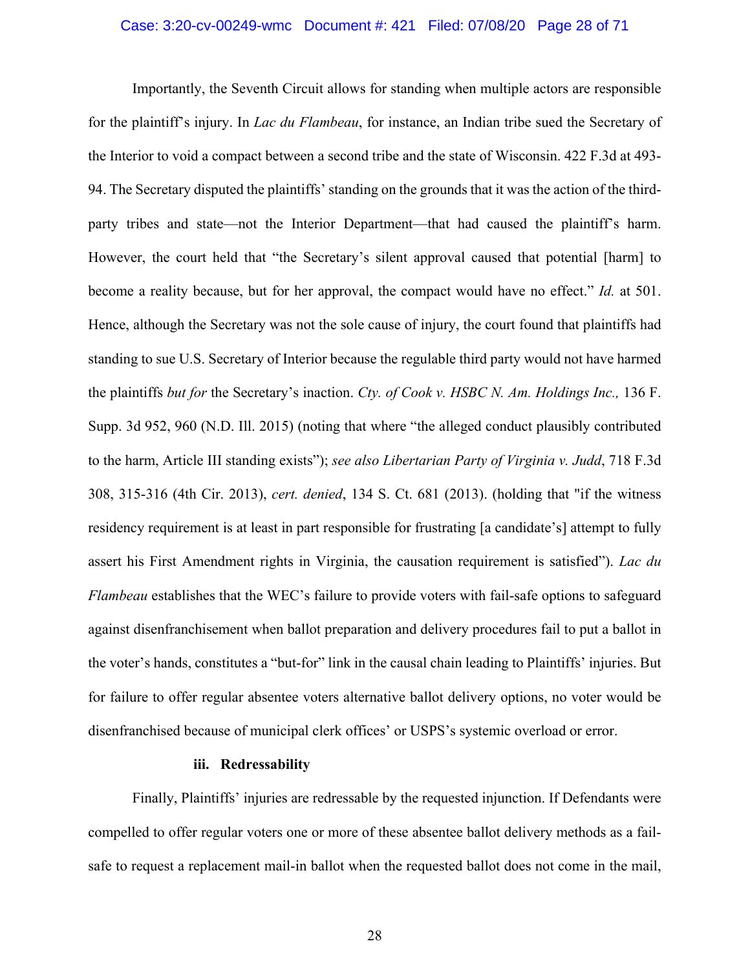# Case: 3:20-cv-00249-wmc Document #: 421 Filed: 07/08/20 Page 28 of 71

Importantly, the Seventh Circuit allows for standing when multiple actors are responsible for the plaintiff's injury. In *Lac du Flambeau*, for instance, an Indian tribe sued the Secretary of the Interior to void a compact between a second tribe and the state of Wisconsin. 422 F.3d at 493- 94. The Secretary disputed the plaintiffs' standing on the grounds that it was the action of the thirdparty tribes and state—not the Interior Department—that had caused the plaintiff's harm. However, the court held that "the Secretary's silent approval caused that potential [harm] to become a reality because, but for her approval, the compact would have no effect." *Id.* at 501. Hence, although the Secretary was not the sole cause of injury, the court found that plaintiffs had standing to sue U.S. Secretary of Interior because the regulable third party would not have harmed the plaintiffs *but for* the Secretary's inaction. *Cty. of Cook v. HSBC N. Am. Holdings Inc.,* 136 F. Supp. 3d 952, 960 (N.D. Ill. 2015) (noting that where "the alleged conduct plausibly contributed to the harm, Article III standing exists"); *see also Libertarian Party of Virginia v. Judd*, 718 F.3d 308, 315-316 (4th Cir. 2013), *cert. denied*, 134 S. Ct. 681 (2013). (holding that "if the witness residency requirement is at least in part responsible for frustrating [a candidate's] attempt to fully assert his First Amendment rights in Virginia, the causation requirement is satisfied"). *Lac du Flambeau* establishes that the WEC's failure to provide voters with fail-safe options to safeguard against disenfranchisement when ballot preparation and delivery procedures fail to put a ballot in the voter's hands, constitutes a "but-for" link in the causal chain leading to Plaintiffs' injuries. But for failure to offer regular absentee voters alternative ballot delivery options, no voter would be disenfranchised because of municipal clerk offices' or USPS's systemic overload or error.

## **iii. Redressability**

Finally, Plaintiffs' injuries are redressable by the requested injunction. If Defendants were compelled to offer regular voters one or more of these absentee ballot delivery methods as a failsafe to request a replacement mail-in ballot when the requested ballot does not come in the mail,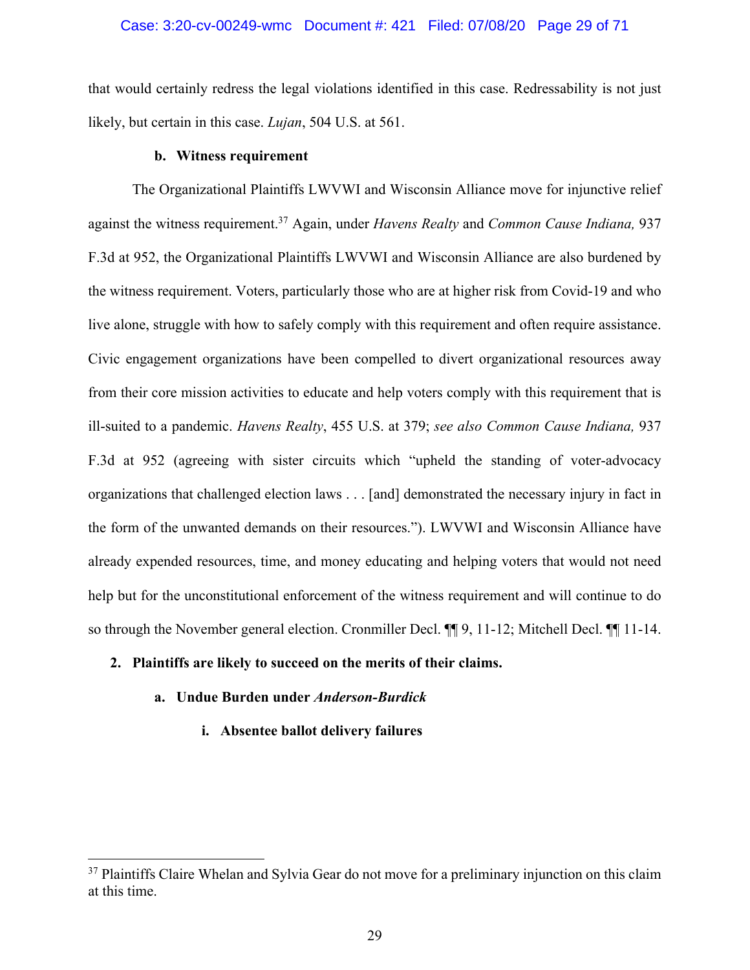#### Case: 3:20-cv-00249-wmc Document #: 421 Filed: 07/08/20 Page 29 of 71

that would certainly redress the legal violations identified in this case. Redressability is not just likely, but certain in this case. *Lujan*, 504 U.S. at 561.

#### **b. Witness requirement**

The Organizational Plaintiffs LWVWI and Wisconsin Alliance move for injunctive relief against the witness requirement.37 Again, under *Havens Realty* and *Common Cause Indiana,* 937 F.3d at 952, the Organizational Plaintiffs LWVWI and Wisconsin Alliance are also burdened by the witness requirement. Voters, particularly those who are at higher risk from Covid-19 and who live alone, struggle with how to safely comply with this requirement and often require assistance. Civic engagement organizations have been compelled to divert organizational resources away from their core mission activities to educate and help voters comply with this requirement that is ill-suited to a pandemic. *Havens Realty*, 455 U.S. at 379; *see also Common Cause Indiana,* 937 F.3d at 952 (agreeing with sister circuits which "upheld the standing of voter-advocacy organizations that challenged election laws . . . [and] demonstrated the necessary injury in fact in the form of the unwanted demands on their resources."). LWVWI and Wisconsin Alliance have already expended resources, time, and money educating and helping voters that would not need help but for the unconstitutional enforcement of the witness requirement and will continue to do so through the November general election. Cronmiller Decl. ¶¶ 9, 11-12; Mitchell Decl. ¶¶ 11-14.

# **2. Plaintiffs are likely to succeed on the merits of their claims.**

# **a. Undue Burden under** *Anderson-Burdick*

**i. Absentee ballot delivery failures**

<sup>&</sup>lt;sup>37</sup> Plaintiffs Claire Whelan and Sylvia Gear do not move for a preliminary injunction on this claim at this time.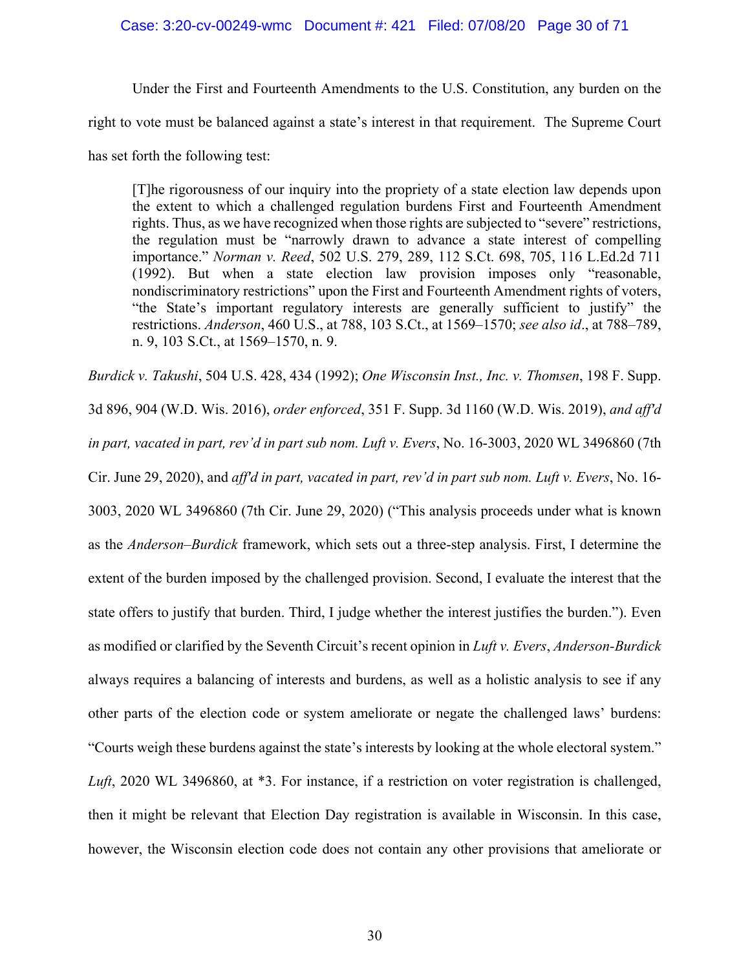# Case: 3:20-cv-00249-wmc Document #: 421 Filed: 07/08/20 Page 30 of 71

Under the First and Fourteenth Amendments to the U.S. Constitution, any burden on the right to vote must be balanced against a state's interest in that requirement. The Supreme Court has set forth the following test:

[T]he rigorousness of our inquiry into the propriety of a state election law depends upon the extent to which a challenged regulation burdens First and Fourteenth Amendment rights. Thus, as we have recognized when those rights are subjected to "severe" restrictions, the regulation must be "narrowly drawn to advance a state interest of compelling importance." *Norman v. Reed*, 502 U.S. 279, 289, 112 S.Ct. 698, 705, 116 L.Ed.2d 711 (1992). But when a state election law provision imposes only "reasonable, nondiscriminatory restrictions" upon the First and Fourteenth Amendment rights of voters, "the State's important regulatory interests are generally sufficient to justify" the restrictions. *Anderson*, 460 U.S., at 788, 103 S.Ct., at 1569–1570; *see also id*., at 788–789, n. 9, 103 S.Ct., at 1569–1570, n. 9.

*Burdick v. Takushi*, 504 U.S. 428, 434 (1992); *One Wisconsin Inst., Inc. v. Thomsen*, 198 F. Supp. 3d 896, 904 (W.D. Wis. 2016), *order enforced*, 351 F. Supp. 3d 1160 (W.D. Wis. 2019), *and aff'd in part, vacated in part, rev'd in part sub nom. Luft v. Evers*, No. 16-3003, 2020 WL 3496860 (7th Cir. June 29, 2020), and *aff'd in part, vacated in part, rev'd in part sub nom. Luft v. Evers*, No. 16- 3003, 2020 WL 3496860 (7th Cir. June 29, 2020) ("This analysis proceeds under what is known as the *Anderson–Burdick* framework, which sets out a three-step analysis. First, I determine the extent of the burden imposed by the challenged provision. Second, I evaluate the interest that the state offers to justify that burden. Third, I judge whether the interest justifies the burden."). Even as modified or clarified by the Seventh Circuit's recent opinion in *Luft v. Evers*, *Anderson-Burdick*  always requires a balancing of interests and burdens, as well as a holistic analysis to see if any other parts of the election code or system ameliorate or negate the challenged laws' burdens: "Courts weigh these burdens against the state's interests by looking at the whole electoral system." *Luft*, 2020 WL 3496860, at \*3. For instance, if a restriction on voter registration is challenged, then it might be relevant that Election Day registration is available in Wisconsin. In this case, however, the Wisconsin election code does not contain any other provisions that ameliorate or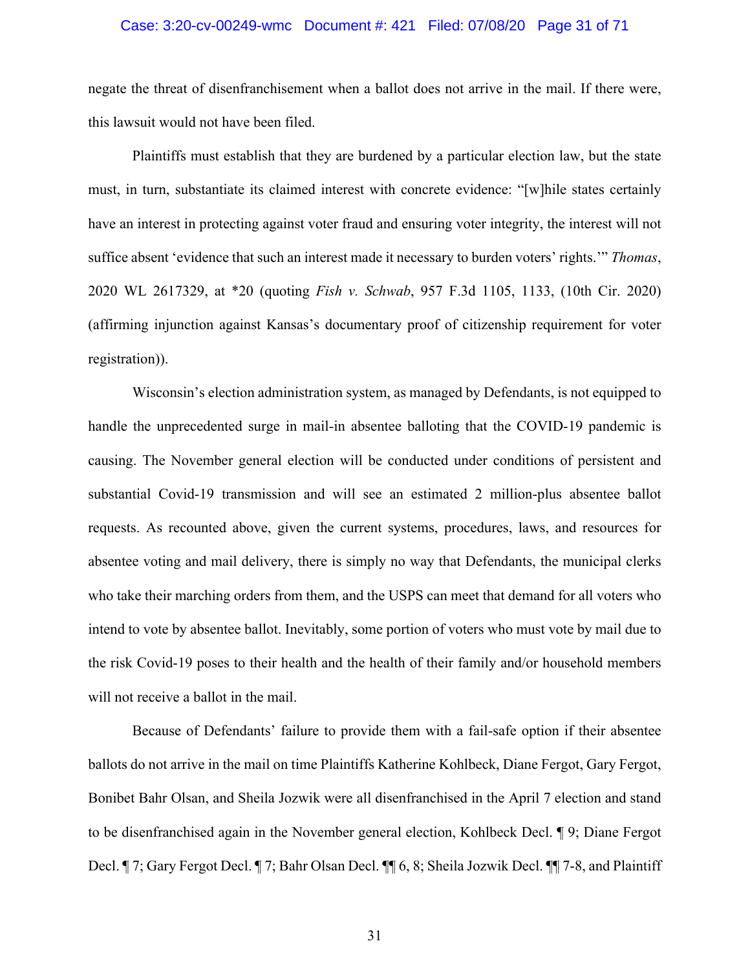# Case: 3:20-cv-00249-wmc Document #: 421 Filed: 07/08/20 Page 31 of 71

negate the threat of disenfranchisement when a ballot does not arrive in the mail. If there were, this lawsuit would not have been filed.

Plaintiffs must establish that they are burdened by a particular election law, but the state must, in turn, substantiate its claimed interest with concrete evidence: "[w]hile states certainly have an interest in protecting against voter fraud and ensuring voter integrity, the interest will not suffice absent 'evidence that such an interest made it necessary to burden voters' rights.'" *Thomas*, 2020 WL 2617329, at \*20 (quoting *Fish v. Schwab*, 957 F.3d 1105, 1133, (10th Cir. 2020) (affirming injunction against Kansas's documentary proof of citizenship requirement for voter registration)).

Wisconsin's election administration system, as managed by Defendants, is not equipped to handle the unprecedented surge in mail-in absentee balloting that the COVID-19 pandemic is causing. The November general election will be conducted under conditions of persistent and substantial Covid-19 transmission and will see an estimated 2 million-plus absentee ballot requests. As recounted above, given the current systems, procedures, laws, and resources for absentee voting and mail delivery, there is simply no way that Defendants, the municipal clerks who take their marching orders from them, and the USPS can meet that demand for all voters who intend to vote by absentee ballot. Inevitably, some portion of voters who must vote by mail due to the risk Covid-19 poses to their health and the health of their family and/or household members will not receive a ballot in the mail.

Because of Defendants' failure to provide them with a fail-safe option if their absentee ballots do not arrive in the mail on time Plaintiffs Katherine Kohlbeck, Diane Fergot, Gary Fergot, Bonibet Bahr Olsan, and Sheila Jozwik were all disenfranchised in the April 7 election and stand to be disenfranchised again in the November general election, Kohlbeck Decl. ¶ 9; Diane Fergot Decl. ¶ 7; Gary Fergot Decl. ¶ 7; Bahr Olsan Decl. ¶¶ 6, 8; Sheila Jozwik Decl. ¶¶ 7-8, and Plaintiff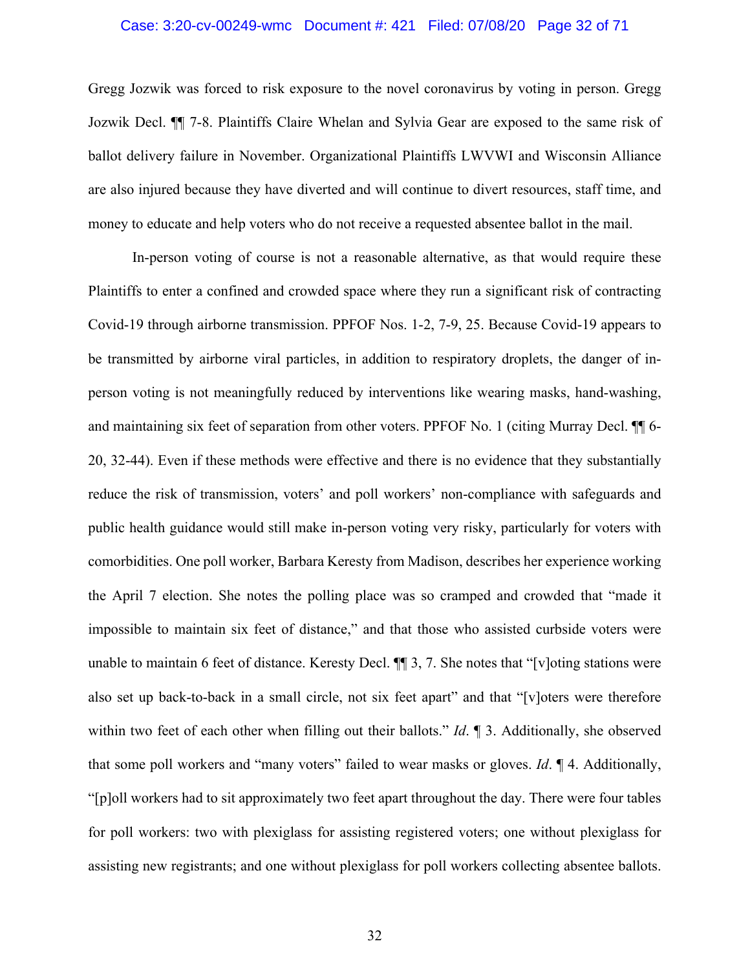## Case: 3:20-cv-00249-wmc Document #: 421 Filed: 07/08/20 Page 32 of 71

Gregg Jozwik was forced to risk exposure to the novel coronavirus by voting in person. Gregg Jozwik Decl. ¶¶ 7-8. Plaintiffs Claire Whelan and Sylvia Gear are exposed to the same risk of ballot delivery failure in November. Organizational Plaintiffs LWVWI and Wisconsin Alliance are also injured because they have diverted and will continue to divert resources, staff time, and money to educate and help voters who do not receive a requested absentee ballot in the mail.

In-person voting of course is not a reasonable alternative, as that would require these Plaintiffs to enter a confined and crowded space where they run a significant risk of contracting Covid-19 through airborne transmission. PPFOF Nos. 1-2, 7-9, 25. Because Covid-19 appears to be transmitted by airborne viral particles, in addition to respiratory droplets, the danger of inperson voting is not meaningfully reduced by interventions like wearing masks, hand-washing, and maintaining six feet of separation from other voters. PPFOF No. 1 (citing Murray Decl. ¶¶ 6- 20, 32-44). Even if these methods were effective and there is no evidence that they substantially reduce the risk of transmission, voters' and poll workers' non-compliance with safeguards and public health guidance would still make in-person voting very risky, particularly for voters with comorbidities. One poll worker, Barbara Keresty from Madison, describes her experience working the April 7 election. She notes the polling place was so cramped and crowded that "made it impossible to maintain six feet of distance," and that those who assisted curbside voters were unable to maintain 6 feet of distance. Keresty Decl. ¶¶ 3, 7. She notes that "[v]oting stations were also set up back-to-back in a small circle, not six feet apart" and that "[v]oters were therefore within two feet of each other when filling out their ballots." *Id*. ¶ 3. Additionally, she observed that some poll workers and "many voters" failed to wear masks or gloves. *Id*. ¶ 4. Additionally, "[p]oll workers had to sit approximately two feet apart throughout the day. There were four tables for poll workers: two with plexiglass for assisting registered voters; one without plexiglass for assisting new registrants; and one without plexiglass for poll workers collecting absentee ballots.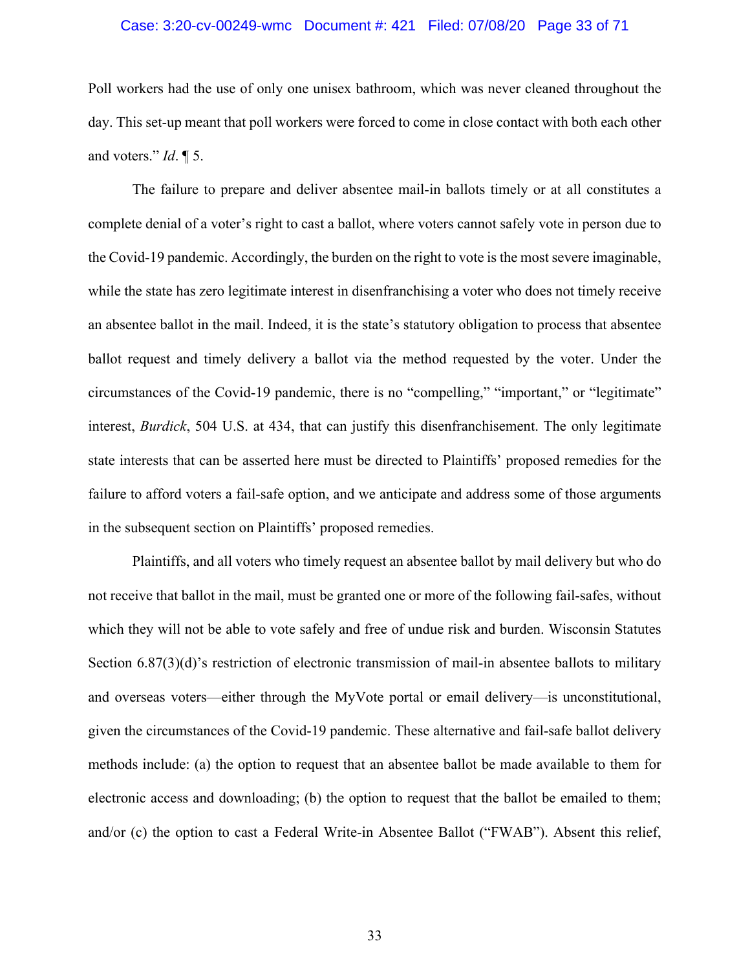# Case: 3:20-cv-00249-wmc Document #: 421 Filed: 07/08/20 Page 33 of 71

Poll workers had the use of only one unisex bathroom, which was never cleaned throughout the day. This set-up meant that poll workers were forced to come in close contact with both each other and voters." *Id*. ¶ 5.

The failure to prepare and deliver absentee mail-in ballots timely or at all constitutes a complete denial of a voter's right to cast a ballot, where voters cannot safely vote in person due to the Covid-19 pandemic. Accordingly, the burden on the right to vote is the most severe imaginable, while the state has zero legitimate interest in disenfranchising a voter who does not timely receive an absentee ballot in the mail. Indeed, it is the state's statutory obligation to process that absentee ballot request and timely delivery a ballot via the method requested by the voter. Under the circumstances of the Covid-19 pandemic, there is no "compelling," "important," or "legitimate" interest, *Burdick*, 504 U.S. at 434, that can justify this disenfranchisement. The only legitimate state interests that can be asserted here must be directed to Plaintiffs' proposed remedies for the failure to afford voters a fail-safe option, and we anticipate and address some of those arguments in the subsequent section on Plaintiffs' proposed remedies.

Plaintiffs, and all voters who timely request an absentee ballot by mail delivery but who do not receive that ballot in the mail, must be granted one or more of the following fail-safes, without which they will not be able to vote safely and free of undue risk and burden. Wisconsin Statutes Section 6.87(3)(d)'s restriction of electronic transmission of mail-in absentee ballots to military and overseas voters—either through the MyVote portal or email delivery—is unconstitutional, given the circumstances of the Covid-19 pandemic. These alternative and fail-safe ballot delivery methods include: (a) the option to request that an absentee ballot be made available to them for electronic access and downloading; (b) the option to request that the ballot be emailed to them; and/or (c) the option to cast a Federal Write-in Absentee Ballot ("FWAB"). Absent this relief,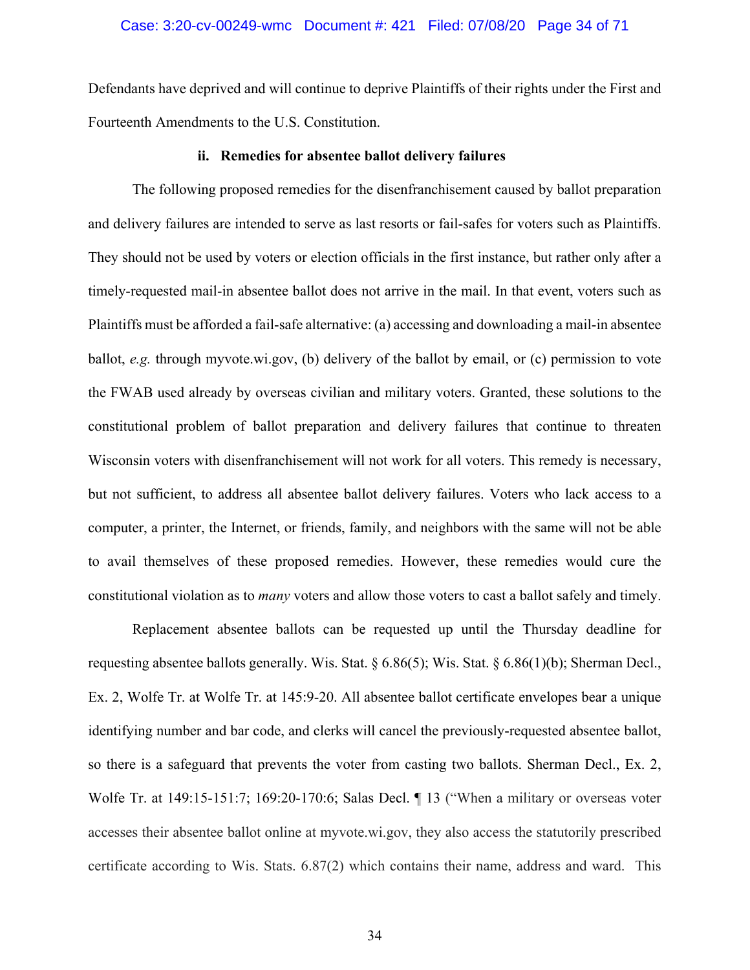Defendants have deprived and will continue to deprive Plaintiffs of their rights under the First and Fourteenth Amendments to the U.S. Constitution.

#### **ii. Remedies for absentee ballot delivery failures**

The following proposed remedies for the disenfranchisement caused by ballot preparation and delivery failures are intended to serve as last resorts or fail-safes for voters such as Plaintiffs. They should not be used by voters or election officials in the first instance, but rather only after a timely-requested mail-in absentee ballot does not arrive in the mail. In that event, voters such as Plaintiffs must be afforded a fail-safe alternative: (a) accessing and downloading a mail-in absentee ballot, *e.g.* through myvote.wi.gov, (b) delivery of the ballot by email, or (c) permission to vote the FWAB used already by overseas civilian and military voters. Granted, these solutions to the constitutional problem of ballot preparation and delivery failures that continue to threaten Wisconsin voters with disenfranchisement will not work for all voters. This remedy is necessary, but not sufficient, to address all absentee ballot delivery failures. Voters who lack access to a computer, a printer, the Internet, or friends, family, and neighbors with the same will not be able to avail themselves of these proposed remedies. However, these remedies would cure the constitutional violation as to *many* voters and allow those voters to cast a ballot safely and timely.

Replacement absentee ballots can be requested up until the Thursday deadline for requesting absentee ballots generally. Wis. Stat. § 6.86(5); Wis. Stat. § 6.86(1)(b); Sherman Decl., Ex. 2, Wolfe Tr. at Wolfe Tr. at 145:9-20. All absentee ballot certificate envelopes bear a unique identifying number and bar code, and clerks will cancel the previously-requested absentee ballot, so there is a safeguard that prevents the voter from casting two ballots. Sherman Decl., Ex. 2, Wolfe Tr. at 149:15-151:7; 169:20-170:6; Salas Decl. ¶ 13 ("When a military or overseas voter accesses their absentee ballot online at myvote.wi.gov, they also access the statutorily prescribed certificate according to Wis. Stats. 6.87(2) which contains their name, address and ward. This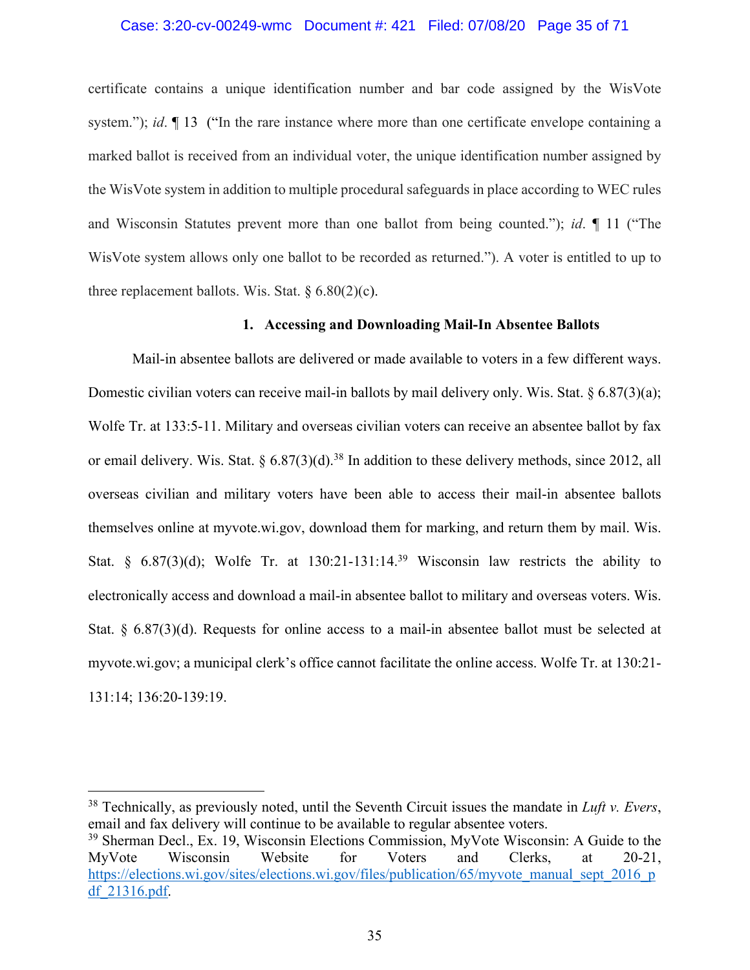#### Case: 3:20-cv-00249-wmc Document #: 421 Filed: 07/08/20 Page 35 of 71

certificate contains a unique identification number and bar code assigned by the WisVote system."); *id*.  $\P$  13 ("In the rare instance where more than one certificate envelope containing a marked ballot is received from an individual voter, the unique identification number assigned by the WisVote system in addition to multiple procedural safeguards in place according to WEC rules and Wisconsin Statutes prevent more than one ballot from being counted."); *id*. ¶ 11 ("The WisVote system allows only one ballot to be recorded as returned."). A voter is entitled to up to three replacement ballots. Wis. Stat.  $\S 6.80(2)(c)$ .

#### **1. Accessing and Downloading Mail-In Absentee Ballots**

Mail-in absentee ballots are delivered or made available to voters in a few different ways. Domestic civilian voters can receive mail-in ballots by mail delivery only. Wis. Stat. § 6.87(3)(a); Wolfe Tr. at 133:5-11. Military and overseas civilian voters can receive an absentee ballot by fax or email delivery. Wis. Stat.  $\S 6.87(3)(d).$ <sup>38</sup> In addition to these delivery methods, since 2012, all overseas civilian and military voters have been able to access their mail-in absentee ballots themselves online at myvote.wi.gov, download them for marking, and return them by mail. Wis. Stat. §  $6.87(3)(d)$ ; Wolfe Tr. at 130:21-131:14.<sup>39</sup> Wisconsin law restricts the ability to electronically access and download a mail-in absentee ballot to military and overseas voters. Wis. Stat. § 6.87(3)(d). Requests for online access to a mail-in absentee ballot must be selected at myvote.wi.gov; a municipal clerk's office cannot facilitate the online access. Wolfe Tr. at 130:21- 131:14; 136:20-139:19.

<sup>38</sup> Technically, as previously noted, until the Seventh Circuit issues the mandate in *Luft v. Evers*, email and fax delivery will continue to be available to regular absentee voters.

<sup>39</sup> Sherman Decl., Ex. 19, Wisconsin Elections Commission, MyVote Wisconsin: A Guide to the MyVote Wisconsin Website for Voters and Clerks, at 20-21, https://elections.wi.gov/sites/elections.wi.gov/files/publication/65/myvote\_manual\_sept\_2016\_p df\_21316.pdf.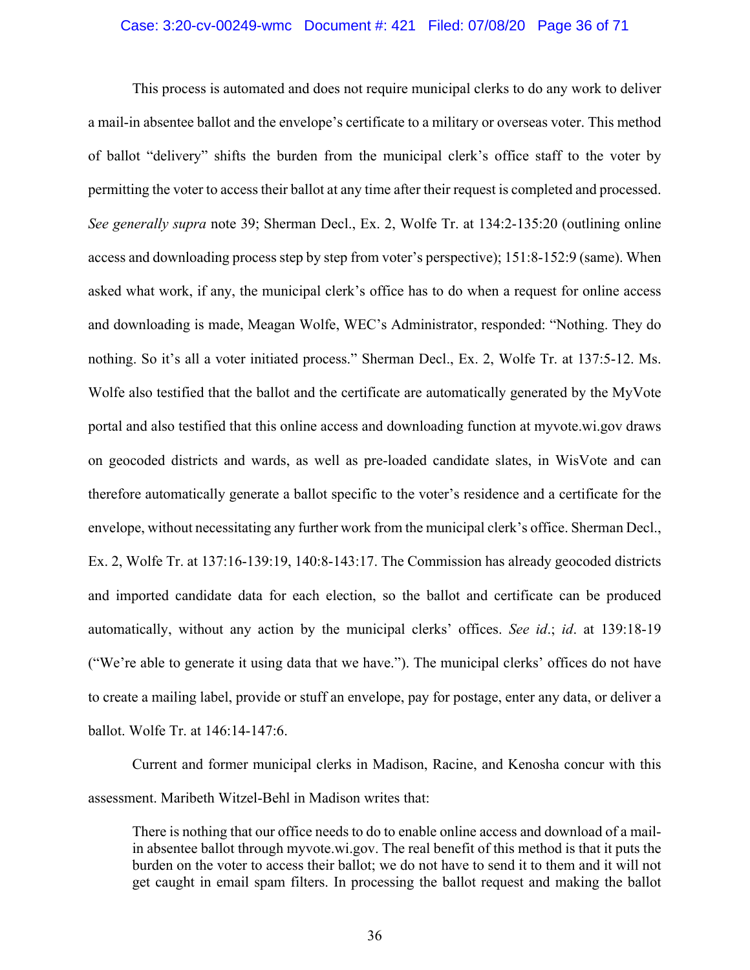#### Case: 3:20-cv-00249-wmc Document #: 421 Filed: 07/08/20 Page 36 of 71

This process is automated and does not require municipal clerks to do any work to deliver a mail-in absentee ballot and the envelope's certificate to a military or overseas voter. This method of ballot "delivery" shifts the burden from the municipal clerk's office staff to the voter by permitting the voter to access their ballot at any time after their request is completed and processed. *See generally supra* note 39; Sherman Decl., Ex. 2, Wolfe Tr. at 134:2-135:20 (outlining online access and downloading process step by step from voter's perspective); 151:8-152:9 (same). When asked what work, if any, the municipal clerk's office has to do when a request for online access and downloading is made, Meagan Wolfe, WEC's Administrator, responded: "Nothing. They do nothing. So it's all a voter initiated process." Sherman Decl., Ex. 2, Wolfe Tr. at 137:5-12. Ms. Wolfe also testified that the ballot and the certificate are automatically generated by the MyVote portal and also testified that this online access and downloading function at myvote.wi.gov draws on geocoded districts and wards, as well as pre-loaded candidate slates, in WisVote and can therefore automatically generate a ballot specific to the voter's residence and a certificate for the envelope, without necessitating any further work from the municipal clerk's office. Sherman Decl., Ex. 2, Wolfe Tr. at 137:16-139:19, 140:8-143:17. The Commission has already geocoded districts and imported candidate data for each election, so the ballot and certificate can be produced automatically, without any action by the municipal clerks' offices. *See id*.; *id*. at 139:18-19 ("We're able to generate it using data that we have."). The municipal clerks' offices do not have to create a mailing label, provide or stuff an envelope, pay for postage, enter any data, or deliver a ballot. Wolfe Tr. at 146:14-147:6.

Current and former municipal clerks in Madison, Racine, and Kenosha concur with this assessment. Maribeth Witzel-Behl in Madison writes that:

There is nothing that our office needs to do to enable online access and download of a mailin absentee ballot through myvote.wi.gov. The real benefit of this method is that it puts the burden on the voter to access their ballot; we do not have to send it to them and it will not get caught in email spam filters. In processing the ballot request and making the ballot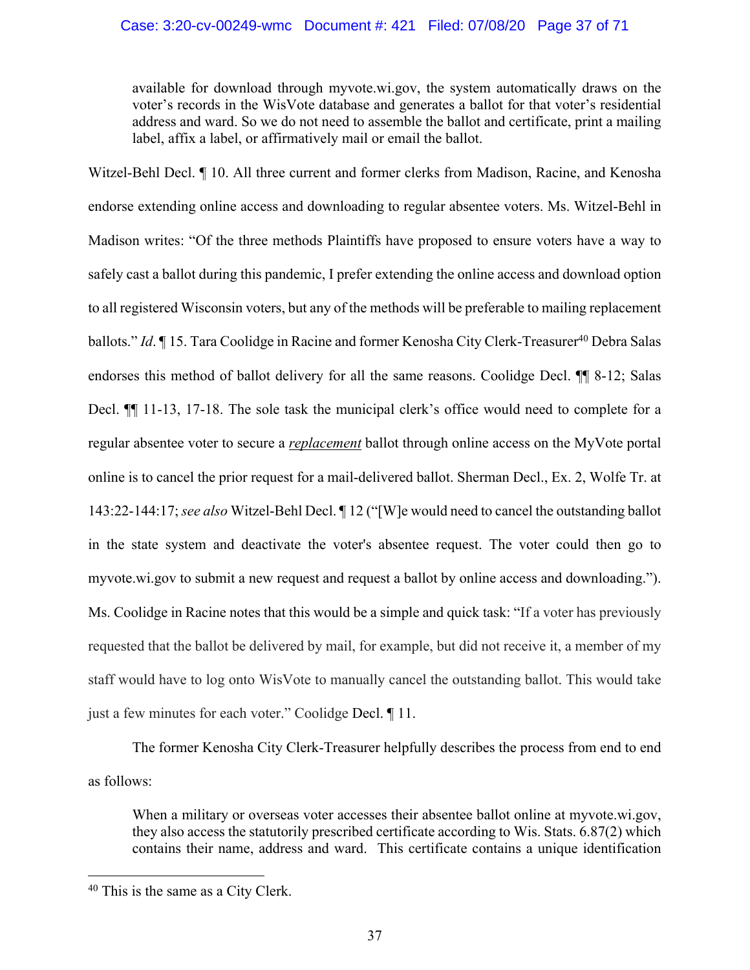available for download through myvote.wi.gov, the system automatically draws on the voter's records in the WisVote database and generates a ballot for that voter's residential address and ward. So we do not need to assemble the ballot and certificate, print a mailing label, affix a label, or affirmatively mail or email the ballot.

Witzel-Behl Decl. ¶ 10. All three current and former clerks from Madison, Racine, and Kenosha endorse extending online access and downloading to regular absentee voters. Ms. Witzel-Behl in Madison writes: "Of the three methods Plaintiffs have proposed to ensure voters have a way to safely cast a ballot during this pandemic, I prefer extending the online access and download option to all registered Wisconsin voters, but any of the methods will be preferable to mailing replacement ballots." *Id.* | 15. Tara Coolidge in Racine and former Kenosha City Clerk-Treasurer<sup>40</sup> Debra Salas endorses this method of ballot delivery for all the same reasons. Coolidge Decl. ¶¶ 8-12; Salas Decl. ¶¶ 11-13, 17-18. The sole task the municipal clerk's office would need to complete for a regular absentee voter to secure a *replacement* ballot through online access on the MyVote portal online is to cancel the prior request for a mail-delivered ballot. Sherman Decl., Ex. 2, Wolfe Tr. at 143:22-144:17; *see also* Witzel-Behl Decl. ¶ 12 ("[W]e would need to cancel the outstanding ballot in the state system and deactivate the voter's absentee request. The voter could then go to myvote.wi.gov to submit a new request and request a ballot by online access and downloading."). Ms. Coolidge in Racine notes that this would be a simple and quick task: "If a voter has previously requested that the ballot be delivered by mail, for example, but did not receive it, a member of my staff would have to log onto WisVote to manually cancel the outstanding ballot. This would take just a few minutes for each voter." Coolidge Decl. ¶ 11.

The former Kenosha City Clerk-Treasurer helpfully describes the process from end to end as follows:

When a military or overseas voter accesses their absentee ballot online at myvote.wi.gov, they also access the statutorily prescribed certificate according to Wis. Stats. 6.87(2) which contains their name, address and ward. This certificate contains a unique identification

<sup>&</sup>lt;sup>40</sup> This is the same as a City Clerk.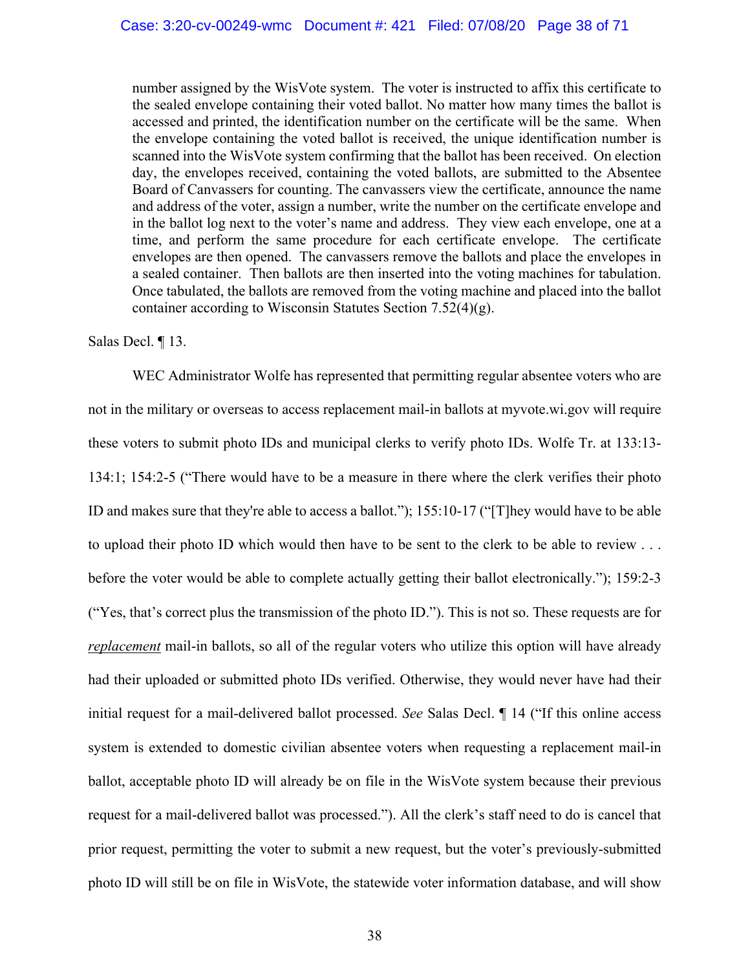number assigned by the WisVote system. The voter is instructed to affix this certificate to the sealed envelope containing their voted ballot. No matter how many times the ballot is accessed and printed, the identification number on the certificate will be the same. When the envelope containing the voted ballot is received, the unique identification number is scanned into the WisVote system confirming that the ballot has been received. On election day, the envelopes received, containing the voted ballots, are submitted to the Absentee Board of Canvassers for counting. The canvassers view the certificate, announce the name and address of the voter, assign a number, write the number on the certificate envelope and in the ballot log next to the voter's name and address. They view each envelope, one at a time, and perform the same procedure for each certificate envelope. The certificate envelopes are then opened. The canvassers remove the ballots and place the envelopes in a sealed container. Then ballots are then inserted into the voting machines for tabulation. Once tabulated, the ballots are removed from the voting machine and placed into the ballot container according to Wisconsin Statutes Section 7.52(4)(g).

## Salas Decl. ¶ 13.

WEC Administrator Wolfe has represented that permitting regular absentee voters who are not in the military or overseas to access replacement mail-in ballots at myvote.wi.gov will require these voters to submit photo IDs and municipal clerks to verify photo IDs. Wolfe Tr. at 133:13- 134:1; 154:2-5 ("There would have to be a measure in there where the clerk verifies their photo ID and makes sure that they're able to access a ballot."); 155:10-17 ("[T]hey would have to be able to upload their photo ID which would then have to be sent to the clerk to be able to review . . . before the voter would be able to complete actually getting their ballot electronically."); 159:2-3 ("Yes, that's correct plus the transmission of the photo ID."). This is not so. These requests are for *replacement* mail-in ballots, so all of the regular voters who utilize this option will have already had their uploaded or submitted photo IDs verified. Otherwise, they would never have had their initial request for a mail-delivered ballot processed. *See* Salas Decl. ¶ 14 ("If this online access system is extended to domestic civilian absentee voters when requesting a replacement mail-in ballot, acceptable photo ID will already be on file in the WisVote system because their previous request for a mail-delivered ballot was processed."). All the clerk's staff need to do is cancel that prior request, permitting the voter to submit a new request, but the voter's previously-submitted photo ID will still be on file in WisVote, the statewide voter information database, and will show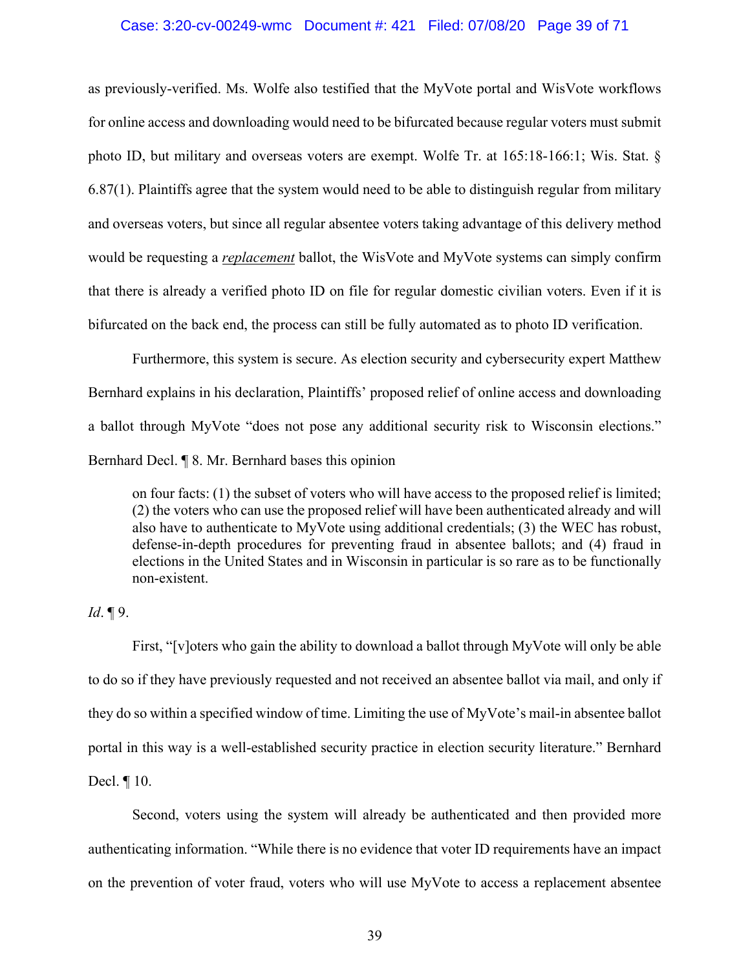## Case: 3:20-cv-00249-wmc Document #: 421 Filed: 07/08/20 Page 39 of 71

as previously-verified. Ms. Wolfe also testified that the MyVote portal and WisVote workflows for online access and downloading would need to be bifurcated because regular voters must submit photo ID, but military and overseas voters are exempt. Wolfe Tr. at 165:18-166:1; Wis. Stat. § 6.87(1). Plaintiffs agree that the system would need to be able to distinguish regular from military and overseas voters, but since all regular absentee voters taking advantage of this delivery method would be requesting a *replacement* ballot, the WisVote and MyVote systems can simply confirm that there is already a verified photo ID on file for regular domestic civilian voters. Even if it is bifurcated on the back end, the process can still be fully automated as to photo ID verification.

Furthermore, this system is secure. As election security and cybersecurity expert Matthew Bernhard explains in his declaration, Plaintiffs' proposed relief of online access and downloading a ballot through MyVote "does not pose any additional security risk to Wisconsin elections." Bernhard Decl. ¶ 8. Mr. Bernhard bases this opinion

on four facts: (1) the subset of voters who will have access to the proposed relief is limited; (2) the voters who can use the proposed relief will have been authenticated already and will also have to authenticate to MyVote using additional credentials; (3) the WEC has robust, defense-in-depth procedures for preventing fraud in absentee ballots; and (4) fraud in elections in the United States and in Wisconsin in particular is so rare as to be functionally non-existent.

# *Id*. ¶ 9.

First, "[v]oters who gain the ability to download a ballot through MyVote will only be able to do so if they have previously requested and not received an absentee ballot via mail, and only if they do so within a specified window of time. Limiting the use of MyVote's mail-in absentee ballot portal in this way is a well-established security practice in election security literature." Bernhard Decl. ¶ 10.

Second, voters using the system will already be authenticated and then provided more authenticating information. "While there is no evidence that voter ID requirements have an impact on the prevention of voter fraud, voters who will use MyVote to access a replacement absentee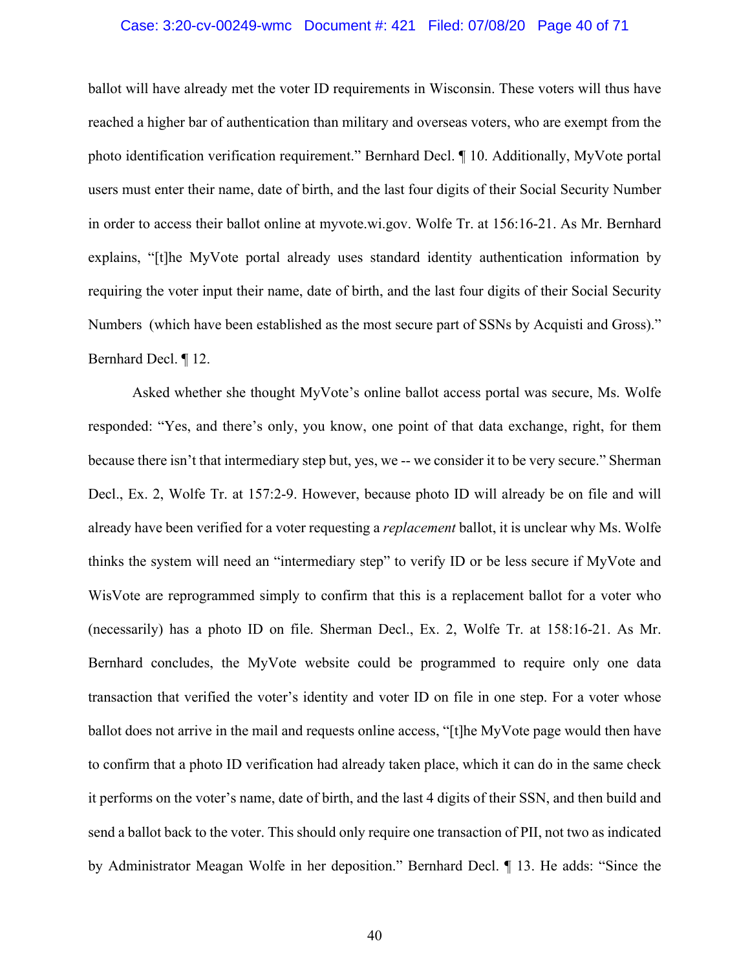## Case: 3:20-cv-00249-wmc Document #: 421 Filed: 07/08/20 Page 40 of 71

ballot will have already met the voter ID requirements in Wisconsin. These voters will thus have reached a higher bar of authentication than military and overseas voters, who are exempt from the photo identification verification requirement." Bernhard Decl. ¶ 10. Additionally, MyVote portal users must enter their name, date of birth, and the last four digits of their Social Security Number in order to access their ballot online at myvote.wi.gov. Wolfe Tr. at 156:16-21. As Mr. Bernhard explains, "[t]he MyVote portal already uses standard identity authentication information by requiring the voter input their name, date of birth, and the last four digits of their Social Security Numbers (which have been established as the most secure part of SSNs by Acquisti and Gross)." Bernhard Decl. ¶ 12.

Asked whether she thought MyVote's online ballot access portal was secure, Ms. Wolfe responded: "Yes, and there's only, you know, one point of that data exchange, right, for them because there isn't that intermediary step but, yes, we -- we consider it to be very secure." Sherman Decl., Ex. 2, Wolfe Tr. at 157:2-9. However, because photo ID will already be on file and will already have been verified for a voter requesting a *replacement* ballot, it is unclear why Ms. Wolfe thinks the system will need an "intermediary step" to verify ID or be less secure if MyVote and WisVote are reprogrammed simply to confirm that this is a replacement ballot for a voter who (necessarily) has a photo ID on file. Sherman Decl., Ex. 2, Wolfe Tr. at 158:16-21. As Mr. Bernhard concludes, the MyVote website could be programmed to require only one data transaction that verified the voter's identity and voter ID on file in one step. For a voter whose ballot does not arrive in the mail and requests online access, "[t]he MyVote page would then have to confirm that a photo ID verification had already taken place, which it can do in the same check it performs on the voter's name, date of birth, and the last 4 digits of their SSN, and then build and send a ballot back to the voter. This should only require one transaction of PII, not two as indicated by Administrator Meagan Wolfe in her deposition." Bernhard Decl. ¶ 13. He adds: "Since the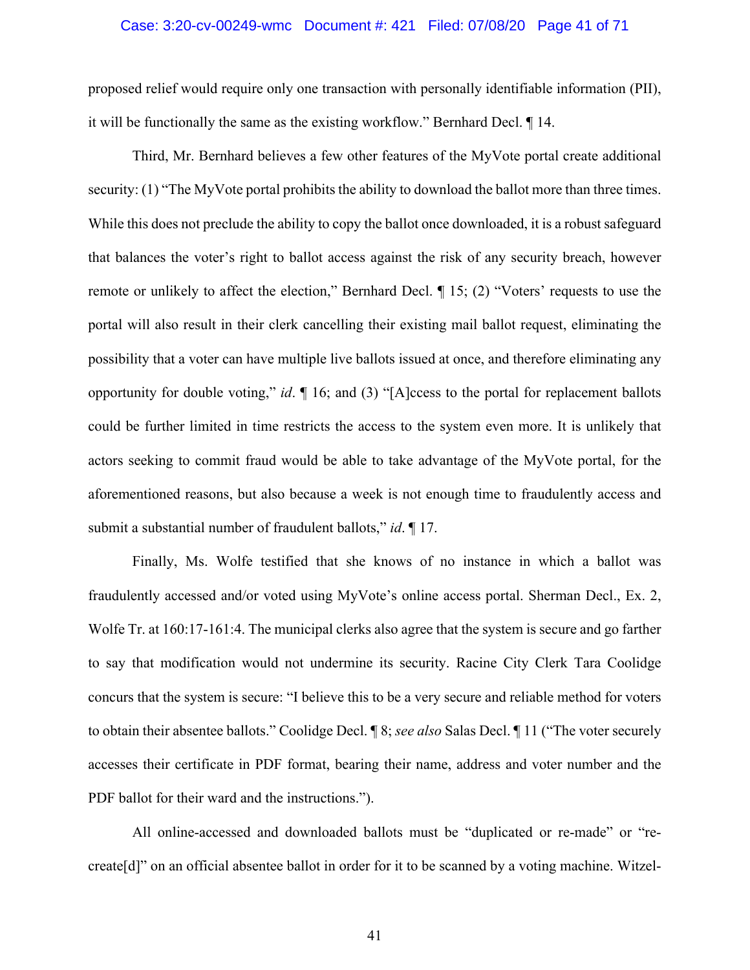## Case: 3:20-cv-00249-wmc Document #: 421 Filed: 07/08/20 Page 41 of 71

proposed relief would require only one transaction with personally identifiable information (PII), it will be functionally the same as the existing workflow." Bernhard Decl. ¶ 14.

Third, Mr. Bernhard believes a few other features of the MyVote portal create additional security: (1) "The MyVote portal prohibits the ability to download the ballot more than three times. While this does not preclude the ability to copy the ballot once downloaded, it is a robust safeguard that balances the voter's right to ballot access against the risk of any security breach, however remote or unlikely to affect the election," Bernhard Decl. ¶ 15; (2) "Voters' requests to use the portal will also result in their clerk cancelling their existing mail ballot request, eliminating the possibility that a voter can have multiple live ballots issued at once, and therefore eliminating any opportunity for double voting," *id*. ¶ 16; and (3) "[A]ccess to the portal for replacement ballots could be further limited in time restricts the access to the system even more. It is unlikely that actors seeking to commit fraud would be able to take advantage of the MyVote portal, for the aforementioned reasons, but also because a week is not enough time to fraudulently access and submit a substantial number of fraudulent ballots," *id*. ¶ 17.

Finally, Ms. Wolfe testified that she knows of no instance in which a ballot was fraudulently accessed and/or voted using MyVote's online access portal. Sherman Decl., Ex. 2, Wolfe Tr. at 160:17-161:4. The municipal clerks also agree that the system is secure and go farther to say that modification would not undermine its security. Racine City Clerk Tara Coolidge concurs that the system is secure: "I believe this to be a very secure and reliable method for voters to obtain their absentee ballots." Coolidge Decl. ¶ 8; *see also* Salas Decl. ¶ 11 ("The voter securely accesses their certificate in PDF format, bearing their name, address and voter number and the PDF ballot for their ward and the instructions.").

All online-accessed and downloaded ballots must be "duplicated or re-made" or "recreate[d]" on an official absentee ballot in order for it to be scanned by a voting machine. Witzel-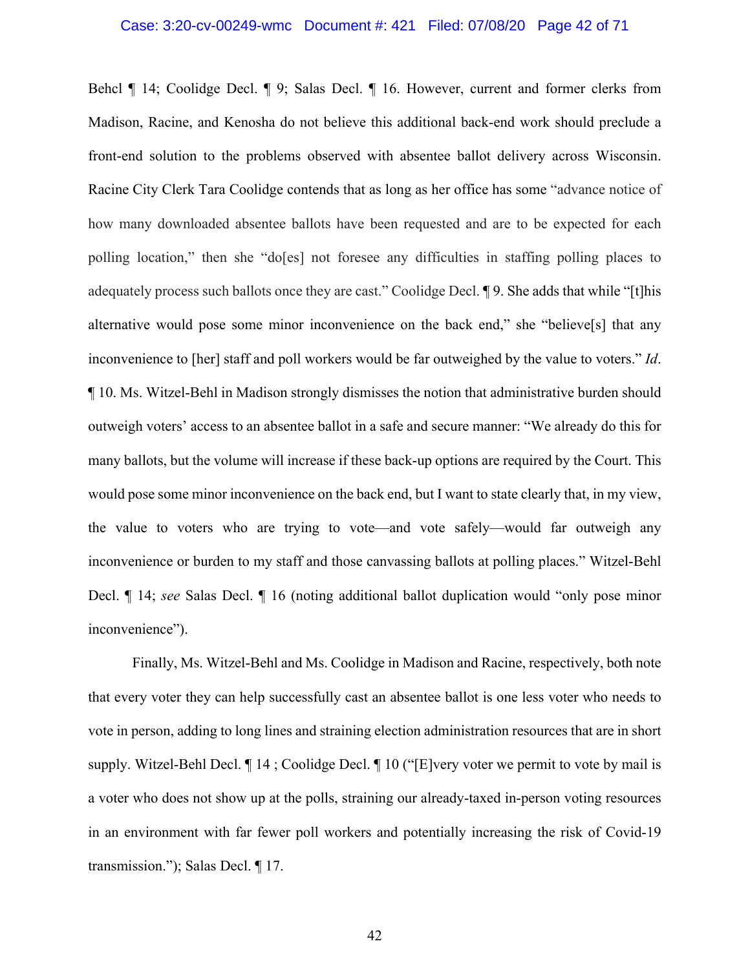## Case: 3:20-cv-00249-wmc Document #: 421 Filed: 07/08/20 Page 42 of 71

Behcl ¶ 14; Coolidge Decl. ¶ 9; Salas Decl. ¶ 16. However, current and former clerks from Madison, Racine, and Kenosha do not believe this additional back-end work should preclude a front-end solution to the problems observed with absentee ballot delivery across Wisconsin. Racine City Clerk Tara Coolidge contends that as long as her office has some "advance notice of how many downloaded absentee ballots have been requested and are to be expected for each polling location," then she "do[es] not foresee any difficulties in staffing polling places to adequately process such ballots once they are cast." Coolidge Decl. ¶ 9. She adds that while "[t]his alternative would pose some minor inconvenience on the back end," she "believe[s] that any inconvenience to [her] staff and poll workers would be far outweighed by the value to voters." *Id*. ¶ 10. Ms. Witzel-Behl in Madison strongly dismisses the notion that administrative burden should outweigh voters' access to an absentee ballot in a safe and secure manner: "We already do this for many ballots, but the volume will increase if these back-up options are required by the Court. This would pose some minor inconvenience on the back end, but I want to state clearly that, in my view, the value to voters who are trying to vote—and vote safely—would far outweigh any inconvenience or burden to my staff and those canvassing ballots at polling places." Witzel-Behl Decl. ¶ 14; *see* Salas Decl. ¶ 16 (noting additional ballot duplication would "only pose minor inconvenience").

Finally, Ms. Witzel-Behl and Ms. Coolidge in Madison and Racine, respectively, both note that every voter they can help successfully cast an absentee ballot is one less voter who needs to vote in person, adding to long lines and straining election administration resources that are in short supply. Witzel-Behl Decl. ¶ 14 ; Coolidge Decl. ¶ 10 ("[E]very voter we permit to vote by mail is a voter who does not show up at the polls, straining our already-taxed in-person voting resources in an environment with far fewer poll workers and potentially increasing the risk of Covid-19 transmission."); Salas Decl. ¶ 17.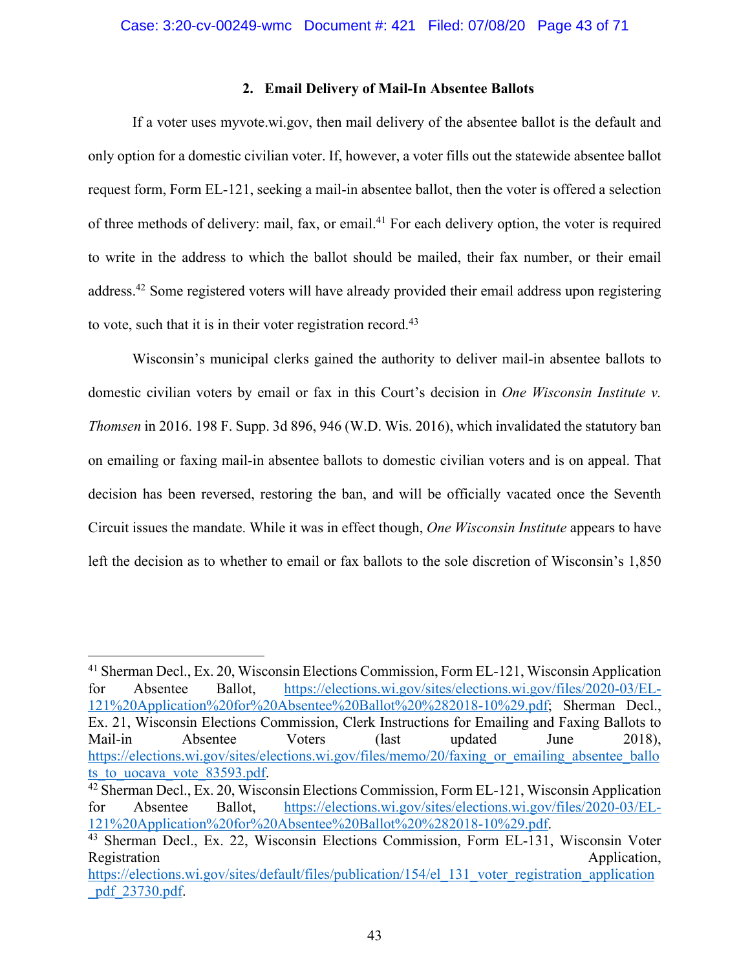# **2. Email Delivery of Mail-In Absentee Ballots**

If a voter uses myvote.wi.gov, then mail delivery of the absentee ballot is the default and only option for a domestic civilian voter. If, however, a voter fills out the statewide absentee ballot request form, Form EL-121, seeking a mail-in absentee ballot, then the voter is offered a selection of three methods of delivery: mail, fax, or email.<sup>41</sup> For each delivery option, the voter is required to write in the address to which the ballot should be mailed, their fax number, or their email address.42 Some registered voters will have already provided their email address upon registering to vote, such that it is in their voter registration record.<sup>43</sup>

Wisconsin's municipal clerks gained the authority to deliver mail-in absentee ballots to domestic civilian voters by email or fax in this Court's decision in *One Wisconsin Institute v. Thomsen* in 2016. 198 F. Supp. 3d 896, 946 (W.D. Wis. 2016), which invalidated the statutory ban on emailing or faxing mail-in absentee ballots to domestic civilian voters and is on appeal. That decision has been reversed, restoring the ban, and will be officially vacated once the Seventh Circuit issues the mandate. While it was in effect though, *One Wisconsin Institute* appears to have left the decision as to whether to email or fax ballots to the sole discretion of Wisconsin's 1,850

<sup>41</sup> Sherman Decl., Ex. 20, Wisconsin Elections Commission, Form EL-121, Wisconsin Application for Absentee Ballot, https://elections.wi.gov/sites/elections.wi.gov/files/2020-03/EL-121%20Application%20for%20Absentee%20Ballot%20%282018-10%29.pdf; Sherman Decl., Ex. 21, Wisconsin Elections Commission, Clerk Instructions for Emailing and Faxing Ballots to Mail-in Absentee Voters (last updated June 2018), https://elections.wi.gov/sites/elections.wi.gov/files/memo/20/faxing or emailing absentee ballo ts to uocava vote 83593.pdf.

<sup>42</sup> Sherman Decl., Ex. 20, Wisconsin Elections Commission, Form EL-121, Wisconsin Application for Absentee Ballot, https://elections.wi.gov/sites/elections.wi.gov/files/2020-03/EL-121%20Application%20for%20Absentee%20Ballot%20%282018-10%29.pdf.

<sup>43</sup> Sherman Decl., Ex. 22, Wisconsin Elections Commission, Form EL-131, Wisconsin Voter Registration Application, https://elections.wi.gov/sites/default/files/publication/154/el\_131\_voter\_registration\_application

\_pdf\_23730.pdf.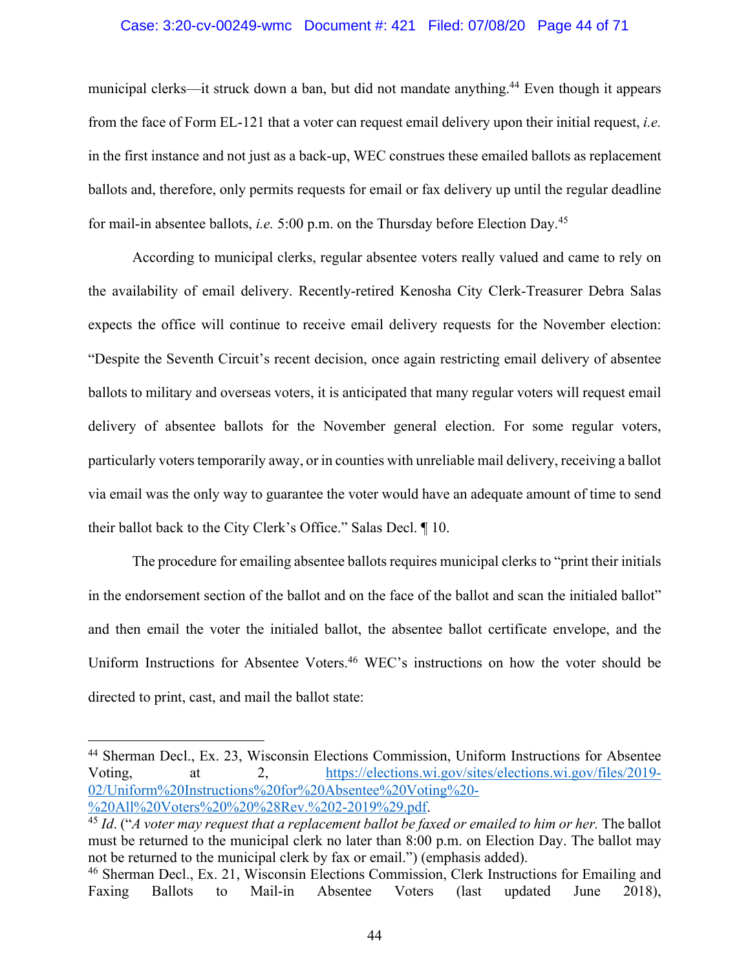#### Case: 3:20-cv-00249-wmc Document #: 421 Filed: 07/08/20 Page 44 of 71

municipal clerks—it struck down a ban, but did not mandate anything.<sup>44</sup> Even though it appears from the face of Form EL-121 that a voter can request email delivery upon their initial request, *i.e.*  in the first instance and not just as a back-up, WEC construes these emailed ballots as replacement ballots and, therefore, only permits requests for email or fax delivery up until the regular deadline for mail-in absentee ballots, *i.e.* 5:00 p.m. on the Thursday before Election Day.45

According to municipal clerks, regular absentee voters really valued and came to rely on the availability of email delivery. Recently-retired Kenosha City Clerk-Treasurer Debra Salas expects the office will continue to receive email delivery requests for the November election: "Despite the Seventh Circuit's recent decision, once again restricting email delivery of absentee ballots to military and overseas voters, it is anticipated that many regular voters will request email delivery of absentee ballots for the November general election. For some regular voters, particularly voters temporarily away, or in counties with unreliable mail delivery, receiving a ballot via email was the only way to guarantee the voter would have an adequate amount of time to send their ballot back to the City Clerk's Office." Salas Decl. ¶ 10.

The procedure for emailing absentee ballots requires municipal clerks to "print their initials in the endorsement section of the ballot and on the face of the ballot and scan the initialed ballot" and then email the voter the initialed ballot, the absentee ballot certificate envelope, and the Uniform Instructions for Absentee Voters.46 WEC's instructions on how the voter should be directed to print, cast, and mail the ballot state:

<sup>44</sup> Sherman Decl., Ex. 23, Wisconsin Elections Commission, Uniform Instructions for Absentee Voting, at 2, https://elections.wi.gov/sites/elections.wi.gov/files/2019- 02/Uniform%20Instructions%20for%20Absentee%20Voting%20- %20All%20Voters%20%20%28Rev.%202-2019%29.pdf. 45 *Id*. ("*A voter may request that a replacement ballot be faxed or emailed to him or her.* The ballot

must be returned to the municipal clerk no later than 8:00 p.m. on Election Day. The ballot may not be returned to the municipal clerk by fax or email.") (emphasis added).

<sup>&</sup>lt;sup>46</sup> Sherman Decl., Ex. 21, Wisconsin Elections Commission, Clerk Instructions for Emailing and Faxing Ballots to Mail-in Absentee Voters (last updated June 2018),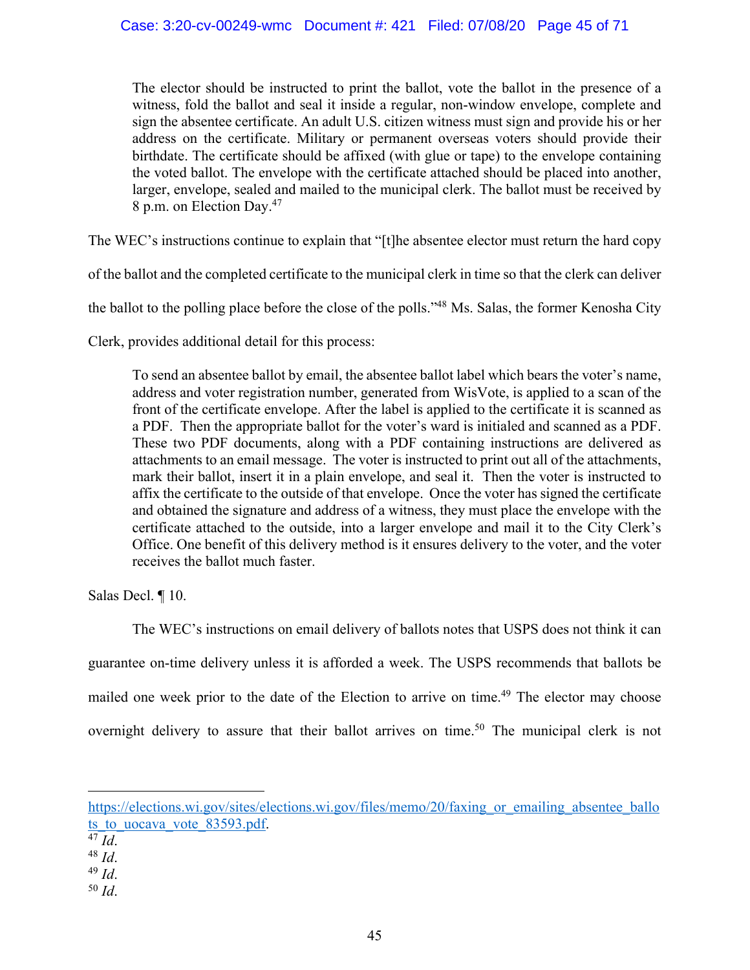The elector should be instructed to print the ballot, vote the ballot in the presence of a witness, fold the ballot and seal it inside a regular, non-window envelope, complete and sign the absentee certificate. An adult U.S. citizen witness must sign and provide his or her address on the certificate. Military or permanent overseas voters should provide their birthdate. The certificate should be affixed (with glue or tape) to the envelope containing the voted ballot. The envelope with the certificate attached should be placed into another, larger, envelope, sealed and mailed to the municipal clerk. The ballot must be received by 8 p.m. on Election Day.47

The WEC's instructions continue to explain that "[t]he absentee elector must return the hard copy

of the ballot and the completed certificate to the municipal clerk in time so that the clerk can deliver

the ballot to the polling place before the close of the polls."48 Ms. Salas, the former Kenosha City

Clerk, provides additional detail for this process:

To send an absentee ballot by email, the absentee ballot label which bears the voter's name, address and voter registration number, generated from WisVote, is applied to a scan of the front of the certificate envelope. After the label is applied to the certificate it is scanned as a PDF. Then the appropriate ballot for the voter's ward is initialed and scanned as a PDF. These two PDF documents, along with a PDF containing instructions are delivered as attachments to an email message. The voter is instructed to print out all of the attachments, mark their ballot, insert it in a plain envelope, and seal it. Then the voter is instructed to affix the certificate to the outside of that envelope. Once the voter has signed the certificate and obtained the signature and address of a witness, they must place the envelope with the certificate attached to the outside, into a larger envelope and mail it to the City Clerk's Office. One benefit of this delivery method is it ensures delivery to the voter, and the voter receives the ballot much faster.

Salas Decl. ¶ 10.

The WEC's instructions on email delivery of ballots notes that USPS does not think it can guarantee on-time delivery unless it is afforded a week. The USPS recommends that ballots be mailed one week prior to the date of the Election to arrive on time.<sup>49</sup> The elector may choose overnight delivery to assure that their ballot arrives on time.<sup>50</sup> The municipal clerk is not

<sup>50</sup> *Id*.

https://elections.wi.gov/sites/elections.wi.gov/files/memo/20/faxing\_or\_emailing\_absentee\_ballo ts to uocava vote 83593.pdf.

<sup>47</sup> *Id*. 48 *Id*. 49 *Id*.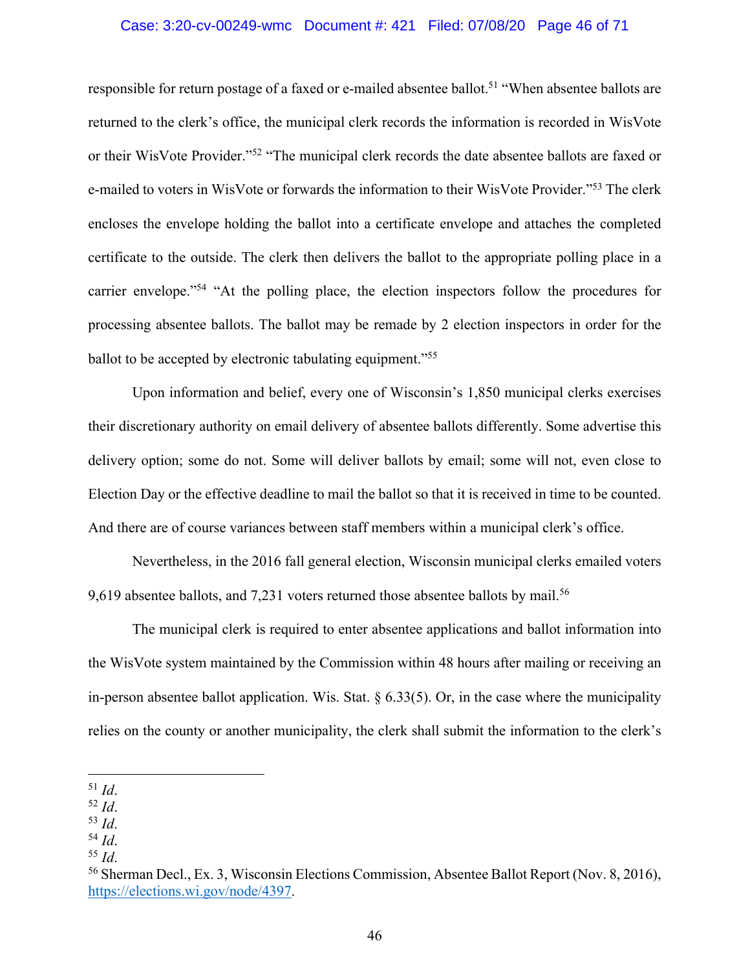#### Case: 3:20-cv-00249-wmc Document #: 421 Filed: 07/08/20 Page 46 of 71

responsible for return postage of a faxed or e-mailed absentee ballot.<sup>51</sup> "When absentee ballots are returned to the clerk's office, the municipal clerk records the information is recorded in WisVote or their WisVote Provider."52 "The municipal clerk records the date absentee ballots are faxed or e-mailed to voters in WisVote or forwards the information to their WisVote Provider."53 The clerk encloses the envelope holding the ballot into a certificate envelope and attaches the completed certificate to the outside. The clerk then delivers the ballot to the appropriate polling place in a carrier envelope."54 "At the polling place, the election inspectors follow the procedures for processing absentee ballots. The ballot may be remade by 2 election inspectors in order for the ballot to be accepted by electronic tabulating equipment."<sup>55</sup>

Upon information and belief, every one of Wisconsin's 1,850 municipal clerks exercises their discretionary authority on email delivery of absentee ballots differently. Some advertise this delivery option; some do not. Some will deliver ballots by email; some will not, even close to Election Day or the effective deadline to mail the ballot so that it is received in time to be counted. And there are of course variances between staff members within a municipal clerk's office.

Nevertheless, in the 2016 fall general election, Wisconsin municipal clerks emailed voters 9,619 absentee ballots, and 7,231 voters returned those absentee ballots by mail.<sup>56</sup>

The municipal clerk is required to enter absentee applications and ballot information into the WisVote system maintained by the Commission within 48 hours after mailing or receiving an in-person absentee ballot application. Wis. Stat.  $\S 6.33(5)$ . Or, in the case where the municipality relies on the county or another municipality, the clerk shall submit the information to the clerk's

<sup>51</sup> *Id*.

<sup>52</sup> *Id*.

<sup>&</sup>lt;sup>53</sup> *Id.*<br><sup>54</sup> *Id.* 55 *Id.* 55 *Id.* 55 *Id.* 56 Sherman Decl., Ex. 3, Wisconsin Elections Commission, Absentee Ballot Report (Nov. 8, 2016), https://elections.wi.gov/node/4397.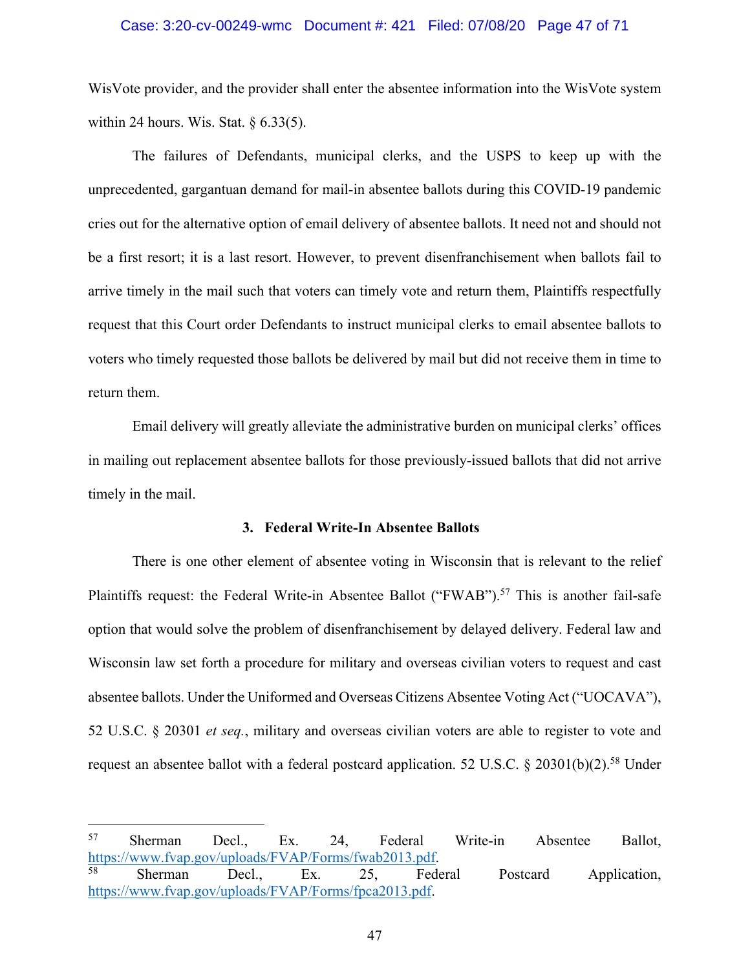# Case: 3:20-cv-00249-wmc Document #: 421 Filed: 07/08/20 Page 47 of 71

WisVote provider, and the provider shall enter the absentee information into the WisVote system within 24 hours. Wis. Stat.  $\S$  6.33(5).

The failures of Defendants, municipal clerks, and the USPS to keep up with the unprecedented, gargantuan demand for mail-in absentee ballots during this COVID-19 pandemic cries out for the alternative option of email delivery of absentee ballots. It need not and should not be a first resort; it is a last resort. However, to prevent disenfranchisement when ballots fail to arrive timely in the mail such that voters can timely vote and return them, Plaintiffs respectfully request that this Court order Defendants to instruct municipal clerks to email absentee ballots to voters who timely requested those ballots be delivered by mail but did not receive them in time to return them.

Email delivery will greatly alleviate the administrative burden on municipal clerks' offices in mailing out replacement absentee ballots for those previously-issued ballots that did not arrive timely in the mail.

## **3. Federal Write-In Absentee Ballots**

There is one other element of absentee voting in Wisconsin that is relevant to the relief Plaintiffs request: the Federal Write-in Absentee Ballot ("FWAB").<sup>57</sup> This is another fail-safe option that would solve the problem of disenfranchisement by delayed delivery. Federal law and Wisconsin law set forth a procedure for military and overseas civilian voters to request and cast absentee ballots. Under the Uniformed and Overseas Citizens Absentee Voting Act ("UOCAVA"), 52 U.S.C. § 20301 *et seq.*, military and overseas civilian voters are able to register to vote and request an absentee ballot with a federal postcard application. 52 U.S.C.  $\S$  20301(b)(2).<sup>58</sup> Under

<sup>57</sup> Sherman Decl., Ex. 24, Federal Write-in Absentee Ballot, https://www.fvap.gov/uploads/FVAP/Forms/fwab2013.pdf.<br><sup>58</sup> Sherman Decl., Ex. 25, Federal Postcard Application,

https://www.fvap.gov/uploads/FVAP/Forms/fpca2013.pdf.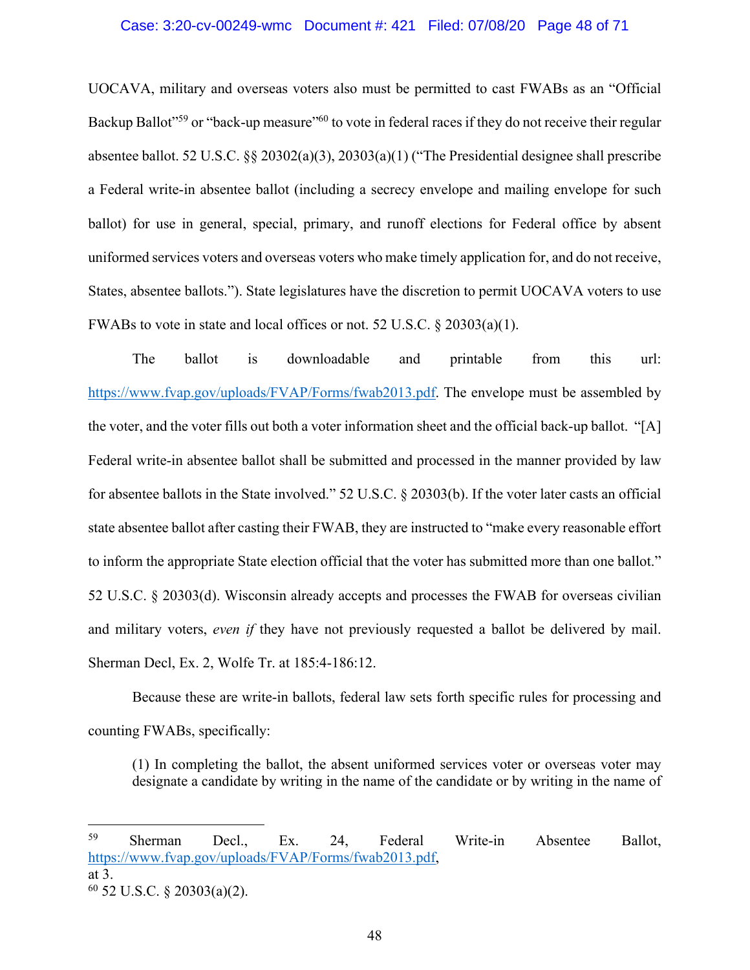#### Case: 3:20-cv-00249-wmc Document #: 421 Filed: 07/08/20 Page 48 of 71

UOCAVA, military and overseas voters also must be permitted to cast FWABs as an "Official Backup Ballot"<sup>59</sup> or "back-up measure"<sup>60</sup> to vote in federal races if they do not receive their regular absentee ballot. 52 U.S.C. §§ 20302(a)(3), 20303(a)(1) ("The Presidential designee shall prescribe a Federal write-in absentee ballot (including a secrecy envelope and mailing envelope for such ballot) for use in general, special, primary, and runoff elections for Federal office by absent uniformed services voters and overseas voters who make timely application for, and do not receive, States, absentee ballots."). State legislatures have the discretion to permit UOCAVA voters to use FWABs to vote in state and local offices or not. 52 U.S.C. § 20303(a)(1).

The ballot is downloadable and printable from this url: https://www.fvap.gov/uploads/FVAP/Forms/fwab2013.pdf. The envelope must be assembled by the voter, and the voter fills out both a voter information sheet and the official back-up ballot. "[A] Federal write-in absentee ballot shall be submitted and processed in the manner provided by law for absentee ballots in the State involved." 52 U.S.C. § 20303(b). If the voter later casts an official state absentee ballot after casting their FWAB, they are instructed to "make every reasonable effort to inform the appropriate State election official that the voter has submitted more than one ballot." 52 U.S.C. § 20303(d). Wisconsin already accepts and processes the FWAB for overseas civilian and military voters, *even if* they have not previously requested a ballot be delivered by mail. Sherman Decl, Ex. 2, Wolfe Tr. at 185:4-186:12.

Because these are write-in ballots, federal law sets forth specific rules for processing and counting FWABs, specifically:

(1) In completing the ballot, the absent uniformed services voter or overseas voter may designate a candidate by writing in the name of the candidate or by writing in the name of

<sup>59</sup> Sherman Decl., Ex. 24, Federal Write-in Absentee Ballot, https://www.fvap.gov/uploads/FVAP/Forms/fwab2013.pdf, at 3.  $60$  52 U.S.C. § 20303(a)(2).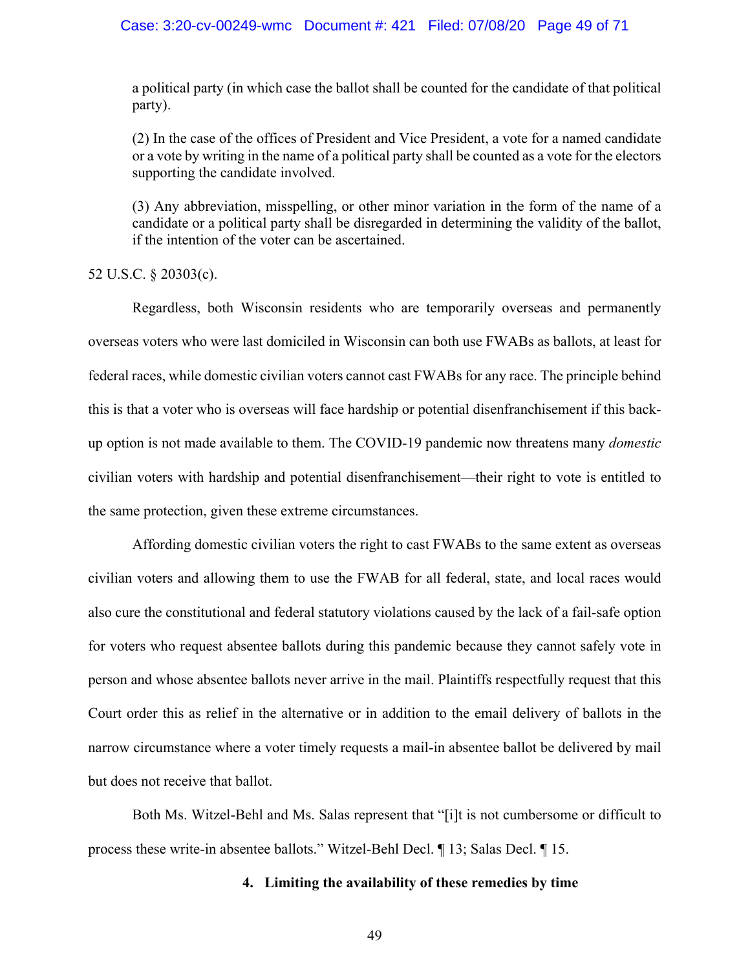#### Case: 3:20-cv-00249-wmc Document #: 421 Filed: 07/08/20 Page 49 of 71

a political party (in which case the ballot shall be counted for the candidate of that political party).

(2) In the case of the offices of President and Vice President, a vote for a named candidate or a vote by writing in the name of a political party shall be counted as a vote for the electors supporting the candidate involved.

(3) Any abbreviation, misspelling, or other minor variation in the form of the name of a candidate or a political party shall be disregarded in determining the validity of the ballot, if the intention of the voter can be ascertained.

52 U.S.C. § 20303(c).

Regardless, both Wisconsin residents who are temporarily overseas and permanently overseas voters who were last domiciled in Wisconsin can both use FWABs as ballots, at least for federal races, while domestic civilian voters cannot cast FWABs for any race. The principle behind this is that a voter who is overseas will face hardship or potential disenfranchisement if this backup option is not made available to them. The COVID-19 pandemic now threatens many *domestic* civilian voters with hardship and potential disenfranchisement—their right to vote is entitled to the same protection, given these extreme circumstances.

Affording domestic civilian voters the right to cast FWABs to the same extent as overseas civilian voters and allowing them to use the FWAB for all federal, state, and local races would also cure the constitutional and federal statutory violations caused by the lack of a fail-safe option for voters who request absentee ballots during this pandemic because they cannot safely vote in person and whose absentee ballots never arrive in the mail. Plaintiffs respectfully request that this Court order this as relief in the alternative or in addition to the email delivery of ballots in the narrow circumstance where a voter timely requests a mail-in absentee ballot be delivered by mail but does not receive that ballot.

Both Ms. Witzel-Behl and Ms. Salas represent that "[i]t is not cumbersome or difficult to process these write-in absentee ballots." Witzel-Behl Decl. ¶ 13; Salas Decl. ¶ 15.

## **4. Limiting the availability of these remedies by time**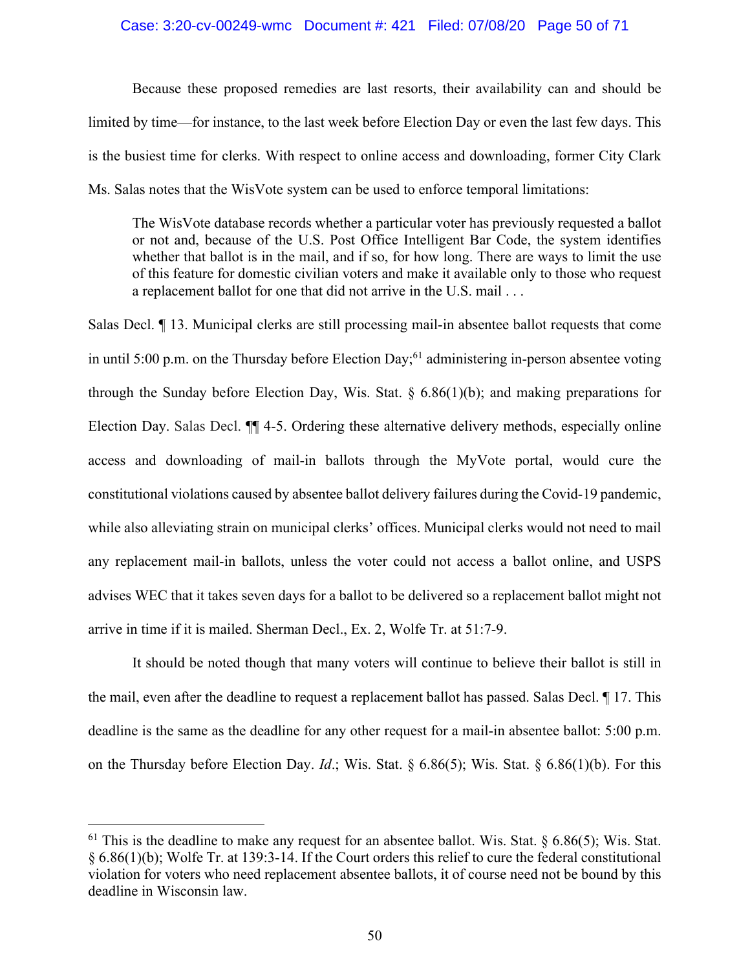#### Case: 3:20-cv-00249-wmc Document #: 421 Filed: 07/08/20 Page 50 of 71

Because these proposed remedies are last resorts, their availability can and should be limited by time—for instance, to the last week before Election Day or even the last few days. This is the busiest time for clerks. With respect to online access and downloading, former City Clark Ms. Salas notes that the WisVote system can be used to enforce temporal limitations:

The WisVote database records whether a particular voter has previously requested a ballot or not and, because of the U.S. Post Office Intelligent Bar Code, the system identifies whether that ballot is in the mail, and if so, for how long. There are ways to limit the use of this feature for domestic civilian voters and make it available only to those who request a replacement ballot for one that did not arrive in the U.S. mail . . .

Salas Decl. ¶ 13. Municipal clerks are still processing mail-in absentee ballot requests that come in until 5:00 p.m. on the Thursday before Election Day;<sup>61</sup> administering in-person absentee voting through the Sunday before Election Day, Wis. Stat.  $\S$  6.86(1)(b); and making preparations for Election Day. Salas Decl. ¶¶ 4-5. Ordering these alternative delivery methods, especially online access and downloading of mail-in ballots through the MyVote portal, would cure the constitutional violations caused by absentee ballot delivery failures during the Covid-19 pandemic, while also alleviating strain on municipal clerks' offices. Municipal clerks would not need to mail any replacement mail-in ballots, unless the voter could not access a ballot online, and USPS advises WEC that it takes seven days for a ballot to be delivered so a replacement ballot might not arrive in time if it is mailed. Sherman Decl., Ex. 2, Wolfe Tr. at 51:7-9.

It should be noted though that many voters will continue to believe their ballot is still in the mail, even after the deadline to request a replacement ballot has passed. Salas Decl. ¶ 17. This deadline is the same as the deadline for any other request for a mail-in absentee ballot: 5:00 p.m. on the Thursday before Election Day. *Id*.; Wis. Stat. § 6.86(5); Wis. Stat. § 6.86(1)(b). For this

<sup>&</sup>lt;sup>61</sup> This is the deadline to make any request for an absentee ballot. Wis. Stat. § 6.86(5); Wis. Stat. § 6.86(1)(b); Wolfe Tr. at 139:3-14. If the Court orders this relief to cure the federal constitutional violation for voters who need replacement absentee ballots, it of course need not be bound by this deadline in Wisconsin law.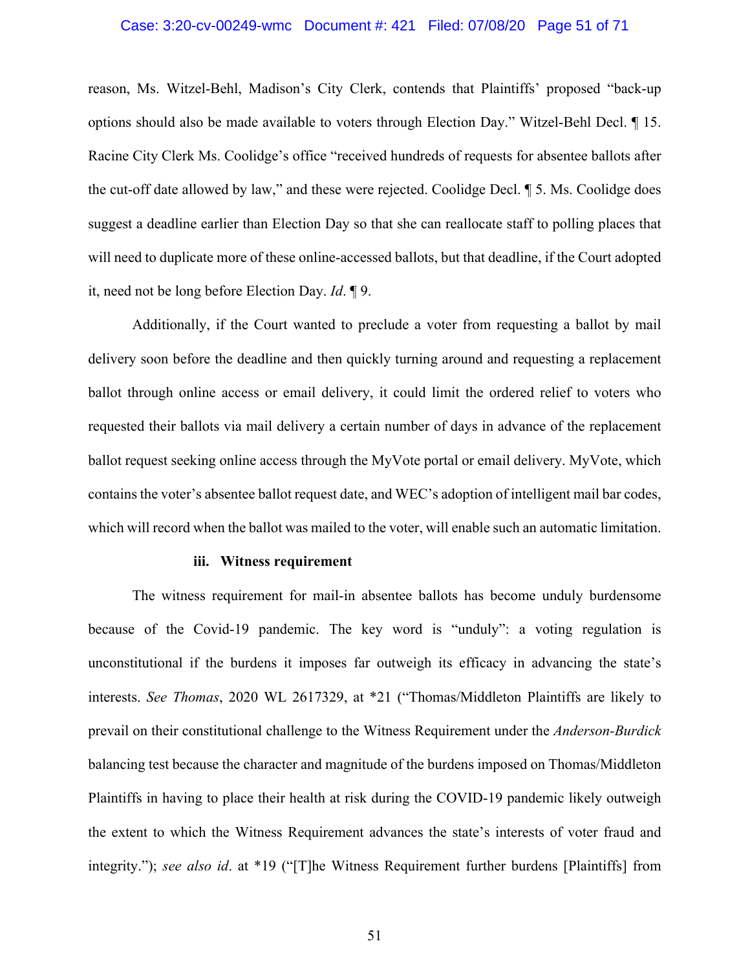## Case: 3:20-cv-00249-wmc Document #: 421 Filed: 07/08/20 Page 51 of 71

reason, Ms. Witzel-Behl, Madison's City Clerk, contends that Plaintiffs' proposed "back-up options should also be made available to voters through Election Day." Witzel-Behl Decl. ¶ 15. Racine City Clerk Ms. Coolidge's office "received hundreds of requests for absentee ballots after the cut-off date allowed by law," and these were rejected. Coolidge Decl. ¶ 5. Ms. Coolidge does suggest a deadline earlier than Election Day so that she can reallocate staff to polling places that will need to duplicate more of these online-accessed ballots, but that deadline, if the Court adopted it, need not be long before Election Day. *Id*. ¶ 9.

Additionally, if the Court wanted to preclude a voter from requesting a ballot by mail delivery soon before the deadline and then quickly turning around and requesting a replacement ballot through online access or email delivery, it could limit the ordered relief to voters who requested their ballots via mail delivery a certain number of days in advance of the replacement ballot request seeking online access through the MyVote portal or email delivery. MyVote, which contains the voter's absentee ballot request date, and WEC's adoption of intelligent mail bar codes, which will record when the ballot was mailed to the voter, will enable such an automatic limitation.

#### **iii. Witness requirement**

The witness requirement for mail-in absentee ballots has become unduly burdensome because of the Covid-19 pandemic. The key word is "unduly": a voting regulation is unconstitutional if the burdens it imposes far outweigh its efficacy in advancing the state's interests. *See Thomas*, 2020 WL 2617329, at \*21 ("Thomas/Middleton Plaintiffs are likely to prevail on their constitutional challenge to the Witness Requirement under the *Anderson-Burdick* balancing test because the character and magnitude of the burdens imposed on Thomas/Middleton Plaintiffs in having to place their health at risk during the COVID-19 pandemic likely outweigh the extent to which the Witness Requirement advances the state's interests of voter fraud and integrity."); *see also id*. at \*19 ("[T]he Witness Requirement further burdens [Plaintiffs] from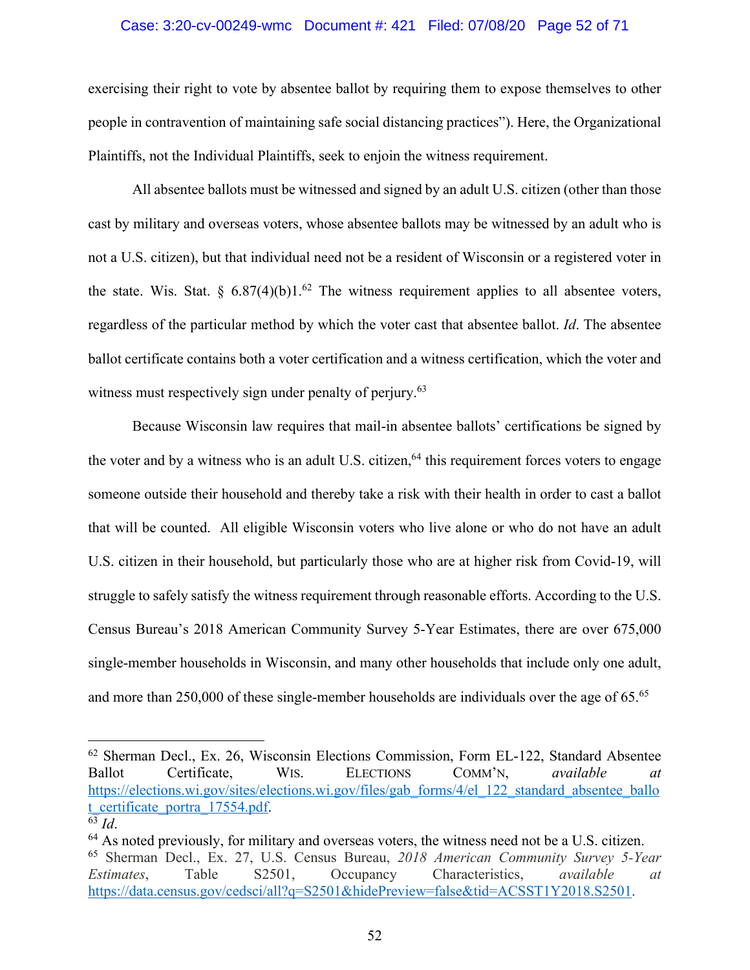## Case: 3:20-cv-00249-wmc Document #: 421 Filed: 07/08/20 Page 52 of 71

exercising their right to vote by absentee ballot by requiring them to expose themselves to other people in contravention of maintaining safe social distancing practices"). Here, the Organizational Plaintiffs, not the Individual Plaintiffs, seek to enjoin the witness requirement.

All absentee ballots must be witnessed and signed by an adult U.S. citizen (other than those cast by military and overseas voters, whose absentee ballots may be witnessed by an adult who is not a U.S. citizen), but that individual need not be a resident of Wisconsin or a registered voter in the state. Wis. Stat. §  $6.87(4)(b)1.^{62}$  The witness requirement applies to all absentee voters, regardless of the particular method by which the voter cast that absentee ballot. *Id*. The absentee ballot certificate contains both a voter certification and a witness certification, which the voter and witness must respectively sign under penalty of perjury.<sup>63</sup>

Because Wisconsin law requires that mail-in absentee ballots' certifications be signed by the voter and by a witness who is an adult U.S. citizen,<sup>64</sup> this requirement forces voters to engage someone outside their household and thereby take a risk with their health in order to cast a ballot that will be counted. All eligible Wisconsin voters who live alone or who do not have an adult U.S. citizen in their household, but particularly those who are at higher risk from Covid-19, will struggle to safely satisfy the witness requirement through reasonable efforts. According to the U.S. Census Bureau's 2018 American Community Survey 5-Year Estimates, there are over 675,000 single-member households in Wisconsin, and many other households that include only one adult, and more than 250,000 of these single-member households are individuals over the age of 65.<sup>65</sup>

<sup>62</sup> Sherman Decl., Ex. 26, Wisconsin Elections Commission, Form EL-122, Standard Absentee Ballot Certificate, WIS. ELECTIONS COMM'N, *available at*  https://elections.wi.gov/sites/elections.wi.gov/files/gab\_forms/4/el\_122\_standard\_absentee\_ballo t\_certificate\_portra\_17554.pdf. 63 *Id*.

 $64$  As noted previously, for military and overseas voters, the witness need not be a U.S. citizen. <sup>65</sup> Sherman Decl., Ex. 27, U.S. Census Bureau, *2018 American Community Survey 5-Year Estimates*, Table S2501, Occupancy Characteristics, *available at* https://data.census.gov/cedsci/all?q=S2501&hidePreview=false&tid=ACSST1Y2018.S2501.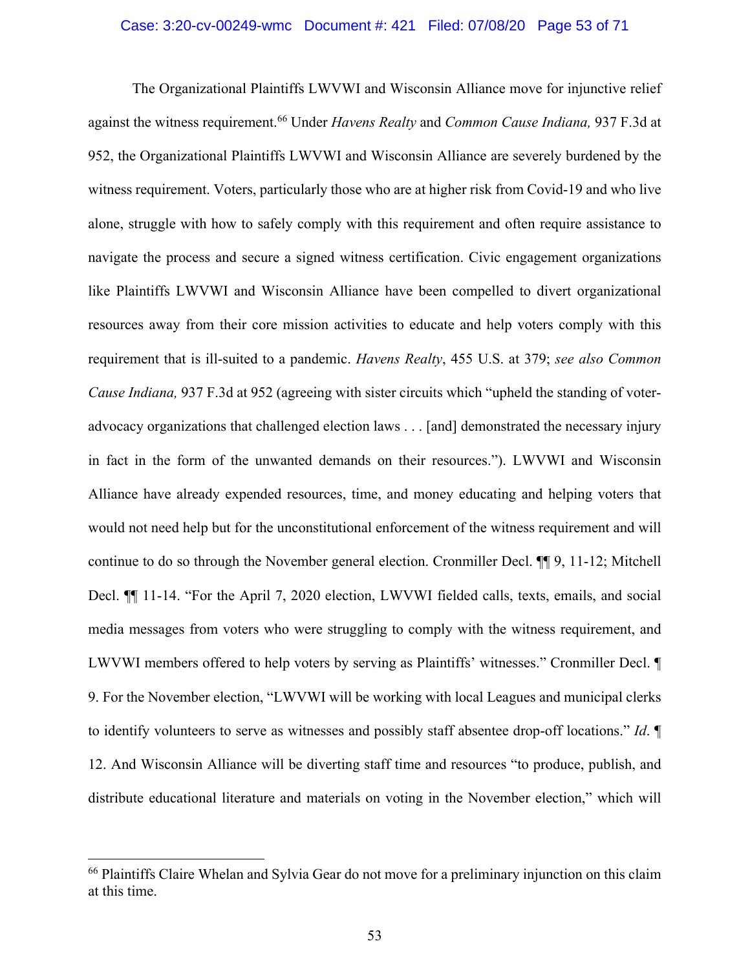## Case: 3:20-cv-00249-wmc Document #: 421 Filed: 07/08/20 Page 53 of 71

The Organizational Plaintiffs LWVWI and Wisconsin Alliance move for injunctive relief against the witness requirement.66 Under *Havens Realty* and *Common Cause Indiana,* 937 F.3d at 952, the Organizational Plaintiffs LWVWI and Wisconsin Alliance are severely burdened by the witness requirement. Voters, particularly those who are at higher risk from Covid-19 and who live alone, struggle with how to safely comply with this requirement and often require assistance to navigate the process and secure a signed witness certification. Civic engagement organizations like Plaintiffs LWVWI and Wisconsin Alliance have been compelled to divert organizational resources away from their core mission activities to educate and help voters comply with this requirement that is ill-suited to a pandemic. *Havens Realty*, 455 U.S. at 379; *see also Common Cause Indiana,* 937 F.3d at 952 (agreeing with sister circuits which "upheld the standing of voteradvocacy organizations that challenged election laws . . . [and] demonstrated the necessary injury in fact in the form of the unwanted demands on their resources."). LWVWI and Wisconsin Alliance have already expended resources, time, and money educating and helping voters that would not need help but for the unconstitutional enforcement of the witness requirement and will continue to do so through the November general election. Cronmiller Decl. ¶¶ 9, 11-12; Mitchell Decl. ¶¶ 11-14. "For the April 7, 2020 election, LWVWI fielded calls, texts, emails, and social media messages from voters who were struggling to comply with the witness requirement, and LWVWI members offered to help voters by serving as Plaintiffs' witnesses." Cronmiller Decl. ¶ 9. For the November election, "LWVWI will be working with local Leagues and municipal clerks to identify volunteers to serve as witnesses and possibly staff absentee drop-off locations." *Id*. ¶ 12. And Wisconsin Alliance will be diverting staff time and resources "to produce, publish, and distribute educational literature and materials on voting in the November election," which will

<sup>&</sup>lt;sup>66</sup> Plaintiffs Claire Whelan and Sylvia Gear do not move for a preliminary injunction on this claim at this time.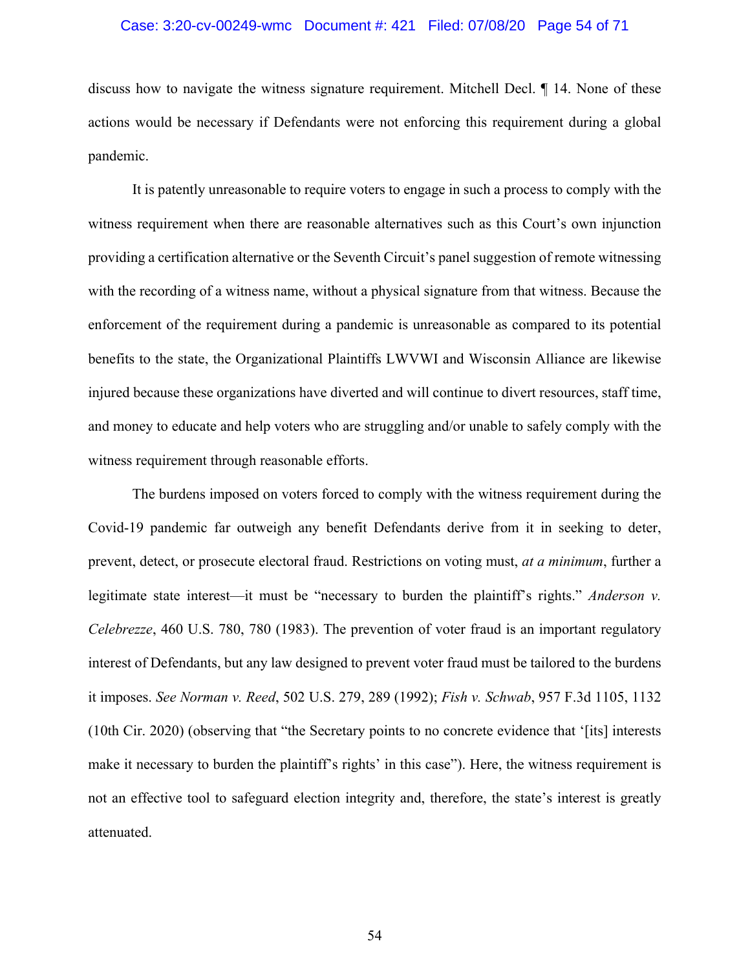## Case: 3:20-cv-00249-wmc Document #: 421 Filed: 07/08/20 Page 54 of 71

discuss how to navigate the witness signature requirement. Mitchell Decl. ¶ 14. None of these actions would be necessary if Defendants were not enforcing this requirement during a global pandemic.

It is patently unreasonable to require voters to engage in such a process to comply with the witness requirement when there are reasonable alternatives such as this Court's own injunction providing a certification alternative or the Seventh Circuit's panel suggestion of remote witnessing with the recording of a witness name, without a physical signature from that witness. Because the enforcement of the requirement during a pandemic is unreasonable as compared to its potential benefits to the state, the Organizational Plaintiffs LWVWI and Wisconsin Alliance are likewise injured because these organizations have diverted and will continue to divert resources, staff time, and money to educate and help voters who are struggling and/or unable to safely comply with the witness requirement through reasonable efforts.

The burdens imposed on voters forced to comply with the witness requirement during the Covid-19 pandemic far outweigh any benefit Defendants derive from it in seeking to deter, prevent, detect, or prosecute electoral fraud. Restrictions on voting must, *at a minimum*, further a legitimate state interest—it must be "necessary to burden the plaintiff's rights." *Anderson v. Celebrezze*, 460 U.S. 780, 780 (1983). The prevention of voter fraud is an important regulatory interest of Defendants, but any law designed to prevent voter fraud must be tailored to the burdens it imposes. *See Norman v. Reed*, 502 U.S. 279, 289 (1992); *Fish v. Schwab*, 957 F.3d 1105, 1132 (10th Cir. 2020) (observing that "the Secretary points to no concrete evidence that '[its] interests make it necessary to burden the plaintiff's rights' in this case"). Here, the witness requirement is not an effective tool to safeguard election integrity and, therefore, the state's interest is greatly attenuated.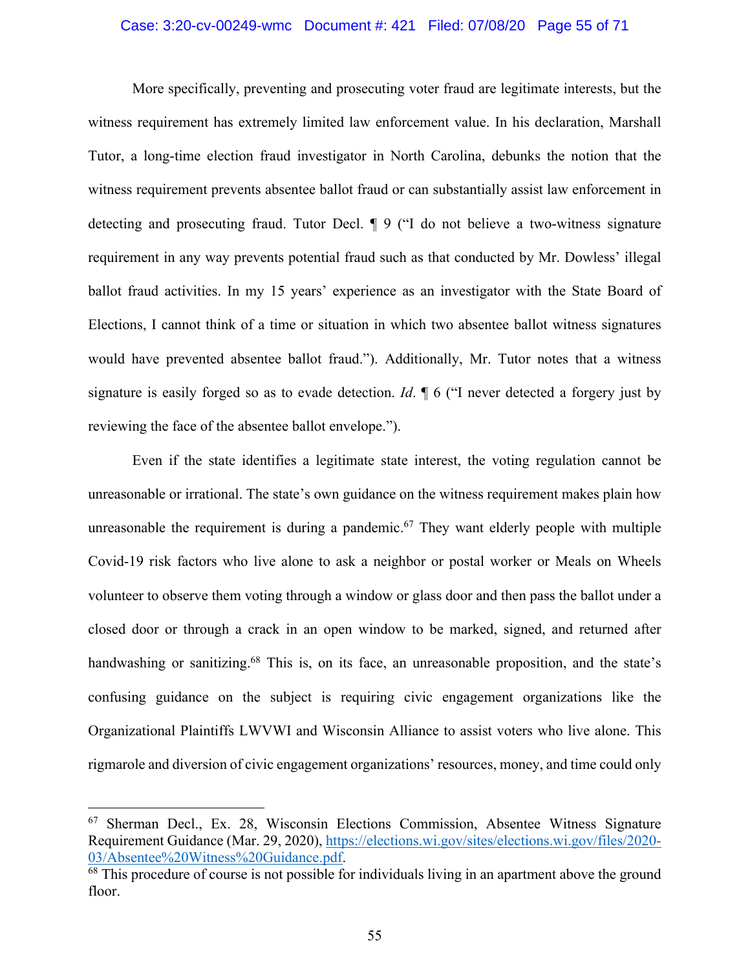#### Case: 3:20-cv-00249-wmc Document #: 421 Filed: 07/08/20 Page 55 of 71

More specifically, preventing and prosecuting voter fraud are legitimate interests, but the witness requirement has extremely limited law enforcement value. In his declaration, Marshall Tutor, a long-time election fraud investigator in North Carolina, debunks the notion that the witness requirement prevents absentee ballot fraud or can substantially assist law enforcement in detecting and prosecuting fraud. Tutor Decl. ¶ 9 ("I do not believe a two-witness signature requirement in any way prevents potential fraud such as that conducted by Mr. Dowless' illegal ballot fraud activities. In my 15 years' experience as an investigator with the State Board of Elections, I cannot think of a time or situation in which two absentee ballot witness signatures would have prevented absentee ballot fraud."). Additionally, Mr. Tutor notes that a witness signature is easily forged so as to evade detection. *Id*. ¶ 6 ("I never detected a forgery just by reviewing the face of the absentee ballot envelope.").

Even if the state identifies a legitimate state interest, the voting regulation cannot be unreasonable or irrational. The state's own guidance on the witness requirement makes plain how unreasonable the requirement is during a pandemic.<sup>67</sup> They want elderly people with multiple Covid-19 risk factors who live alone to ask a neighbor or postal worker or Meals on Wheels volunteer to observe them voting through a window or glass door and then pass the ballot under a closed door or through a crack in an open window to be marked, signed, and returned after handwashing or sanitizing.<sup>68</sup> This is, on its face, an unreasonable proposition, and the state's confusing guidance on the subject is requiring civic engagement organizations like the Organizational Plaintiffs LWVWI and Wisconsin Alliance to assist voters who live alone. This rigmarole and diversion of civic engagement organizations' resources, money, and time could only

<sup>67</sup> Sherman Decl., Ex. 28, Wisconsin Elections Commission, Absentee Witness Signature Requirement Guidance (Mar. 29, 2020), https://elections.wi.gov/sites/elections.wi.gov/files/2020-03/Absentee%20Witness%20Guidance.pdf.<br><sup>68</sup> This procedure of course is not possible for individuals living in an apartment above the ground

floor.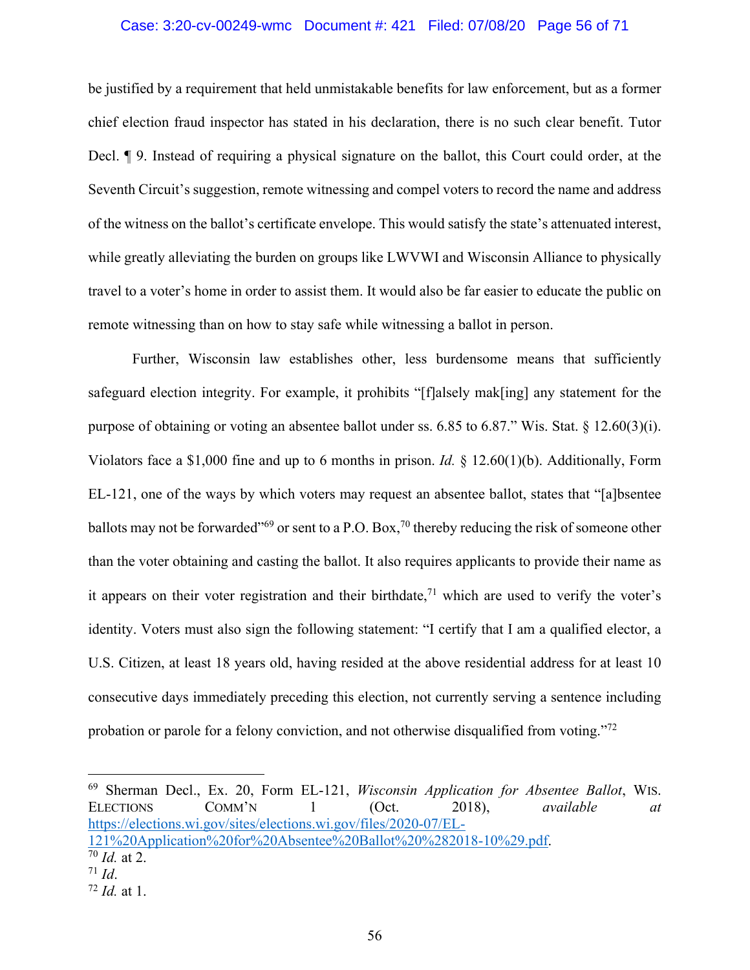#### Case: 3:20-cv-00249-wmc Document #: 421 Filed: 07/08/20 Page 56 of 71

be justified by a requirement that held unmistakable benefits for law enforcement, but as a former chief election fraud inspector has stated in his declaration, there is no such clear benefit. Tutor Decl. ¶ 9. Instead of requiring a physical signature on the ballot, this Court could order, at the Seventh Circuit's suggestion, remote witnessing and compel voters to record the name and address of the witness on the ballot's certificate envelope. This would satisfy the state's attenuated interest, while greatly alleviating the burden on groups like LWVWI and Wisconsin Alliance to physically travel to a voter's home in order to assist them. It would also be far easier to educate the public on remote witnessing than on how to stay safe while witnessing a ballot in person.

Further, Wisconsin law establishes other, less burdensome means that sufficiently safeguard election integrity. For example, it prohibits "[f]alsely mak[ing] any statement for the purpose of obtaining or voting an absentee ballot under ss. 6.85 to 6.87." Wis. Stat. § 12.60(3)(i). Violators face a \$1,000 fine and up to 6 months in prison. *Id.* § 12.60(1)(b). Additionally, Form EL-121, one of the ways by which voters may request an absentee ballot, states that "[a]bsentee ballots may not be forwarded<sup>"69</sup> or sent to a P.O. Box,<sup>70</sup> thereby reducing the risk of someone other than the voter obtaining and casting the ballot. It also requires applicants to provide their name as it appears on their voter registration and their birthdate,<sup> $71$ </sup> which are used to verify the voter's identity. Voters must also sign the following statement: "I certify that I am a qualified elector, a U.S. Citizen, at least 18 years old, having resided at the above residential address for at least 10 consecutive days immediately preceding this election, not currently serving a sentence including probation or parole for a felony conviction, and not otherwise disqualified from voting."72

<sup>69</sup> Sherman Decl., Ex. 20, Form EL-121, *Wisconsin Application for Absentee Ballot*, WIS. ELECTIONS COMM'N 1 (Oct. 2018), *available at* https://elections.wi.gov/sites/elections.wi.gov/files/2020-07/EL-121%20Application%20for%20Absentee%20Ballot%20%282018-10%29.pdf. <sup>70</sup> *Id.* at 2.

 $71$  *Id.* 

<sup>72</sup> *Id.* at 1.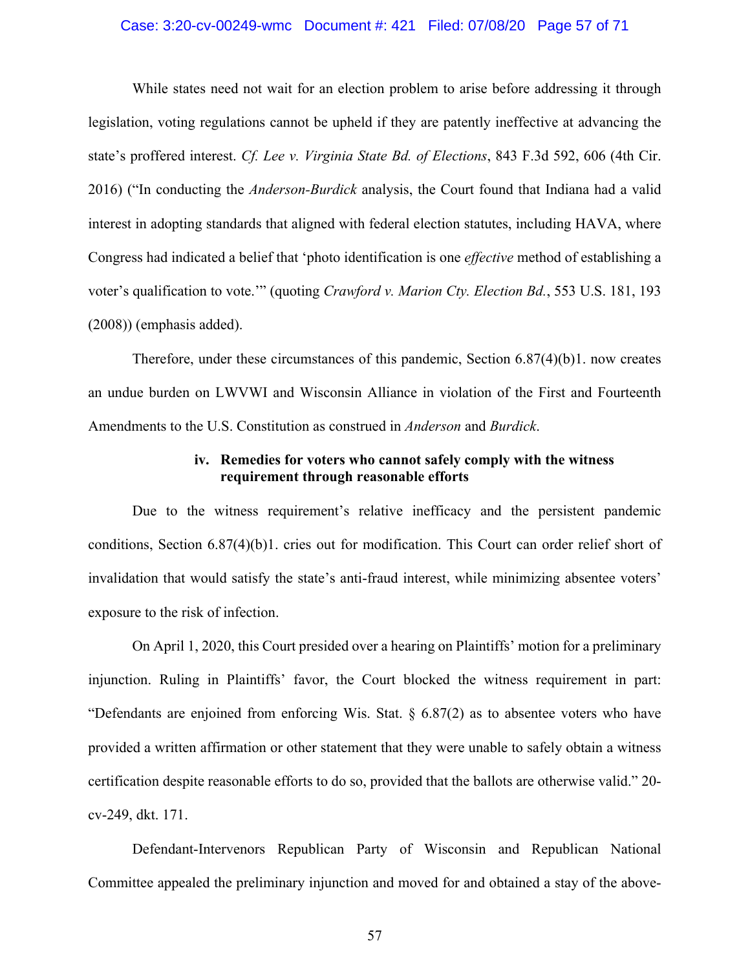## Case: 3:20-cv-00249-wmc Document #: 421 Filed: 07/08/20 Page 57 of 71

While states need not wait for an election problem to arise before addressing it through legislation, voting regulations cannot be upheld if they are patently ineffective at advancing the state's proffered interest. *Cf. Lee v. Virginia State Bd. of Elections*, 843 F.3d 592, 606 (4th Cir. 2016) ("In conducting the *Anderson-Burdick* analysis, the Court found that Indiana had a valid interest in adopting standards that aligned with federal election statutes, including HAVA, where Congress had indicated a belief that 'photo identification is one *effective* method of establishing a voter's qualification to vote.'" (quoting *Crawford v. Marion Cty. Election Bd.*, 553 U.S. 181, 193 (2008)) (emphasis added).

Therefore, under these circumstances of this pandemic, Section  $6.87(4)(b)1$ . now creates an undue burden on LWVWI and Wisconsin Alliance in violation of the First and Fourteenth Amendments to the U.S. Constitution as construed in *Anderson* and *Burdick*.

# **iv. Remedies for voters who cannot safely comply with the witness requirement through reasonable efforts**

Due to the witness requirement's relative inefficacy and the persistent pandemic conditions, Section 6.87(4)(b)1. cries out for modification. This Court can order relief short of invalidation that would satisfy the state's anti-fraud interest, while minimizing absentee voters' exposure to the risk of infection.

On April 1, 2020, this Court presided over a hearing on Plaintiffs' motion for a preliminary injunction. Ruling in Plaintiffs' favor, the Court blocked the witness requirement in part: "Defendants are enjoined from enforcing Wis. Stat. § 6.87(2) as to absentee voters who have provided a written affirmation or other statement that they were unable to safely obtain a witness certification despite reasonable efforts to do so, provided that the ballots are otherwise valid." 20 cv-249, dkt. 171.

Defendant-Intervenors Republican Party of Wisconsin and Republican National Committee appealed the preliminary injunction and moved for and obtained a stay of the above-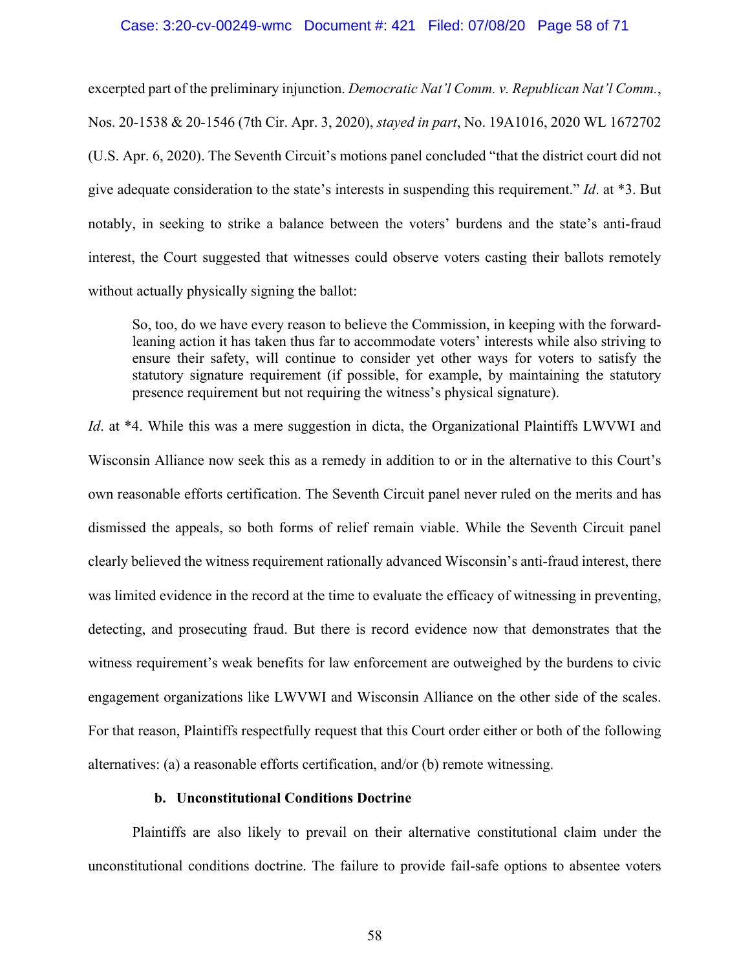#### Case: 3:20-cv-00249-wmc Document #: 421 Filed: 07/08/20 Page 58 of 71

excerpted part of the preliminary injunction. *Democratic Nat'l Comm. v. Republican Nat'l Comm.*, Nos. 20-1538 & 20-1546 (7th Cir. Apr. 3, 2020), *stayed in part*, No. 19A1016, 2020 WL 1672702 (U.S. Apr. 6, 2020). The Seventh Circuit's motions panel concluded "that the district court did not give adequate consideration to the state's interests in suspending this requirement." *Id*. at \*3. But notably, in seeking to strike a balance between the voters' burdens and the state's anti-fraud interest, the Court suggested that witnesses could observe voters casting their ballots remotely without actually physically signing the ballot:

So, too, do we have every reason to believe the Commission, in keeping with the forwardleaning action it has taken thus far to accommodate voters' interests while also striving to ensure their safety, will continue to consider yet other ways for voters to satisfy the statutory signature requirement (if possible, for example, by maintaining the statutory presence requirement but not requiring the witness's physical signature).

*Id.* at \*4. While this was a mere suggestion in dicta, the Organizational Plaintiffs LWVWI and Wisconsin Alliance now seek this as a remedy in addition to or in the alternative to this Court's own reasonable efforts certification. The Seventh Circuit panel never ruled on the merits and has dismissed the appeals, so both forms of relief remain viable. While the Seventh Circuit panel clearly believed the witness requirement rationally advanced Wisconsin's anti-fraud interest, there was limited evidence in the record at the time to evaluate the efficacy of witnessing in preventing, detecting, and prosecuting fraud. But there is record evidence now that demonstrates that the witness requirement's weak benefits for law enforcement are outweighed by the burdens to civic engagement organizations like LWVWI and Wisconsin Alliance on the other side of the scales. For that reason, Plaintiffs respectfully request that this Court order either or both of the following alternatives: (a) a reasonable efforts certification, and/or (b) remote witnessing.

# **b. Unconstitutional Conditions Doctrine**

Plaintiffs are also likely to prevail on their alternative constitutional claim under the unconstitutional conditions doctrine. The failure to provide fail-safe options to absentee voters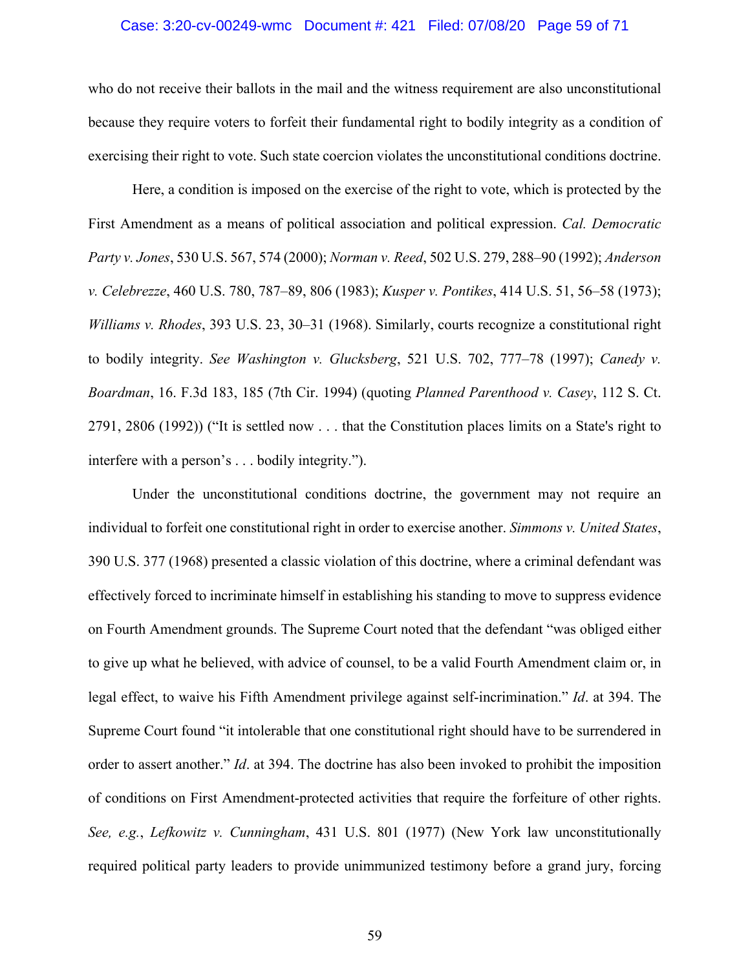## Case: 3:20-cv-00249-wmc Document #: 421 Filed: 07/08/20 Page 59 of 71

who do not receive their ballots in the mail and the witness requirement are also unconstitutional because they require voters to forfeit their fundamental right to bodily integrity as a condition of exercising their right to vote. Such state coercion violates the unconstitutional conditions doctrine.

Here, a condition is imposed on the exercise of the right to vote, which is protected by the First Amendment as a means of political association and political expression. *Cal. Democratic Party v. Jones*, 530 U.S. 567, 574 (2000); *Norman v. Reed*, 502 U.S. 279, 288–90 (1992); *Anderson v. Celebrezze*, 460 U.S. 780, 787–89, 806 (1983); *Kusper v. Pontikes*, 414 U.S. 51, 56–58 (1973); *Williams v. Rhodes*, 393 U.S. 23, 30–31 (1968). Similarly, courts recognize a constitutional right to bodily integrity. *See Washington v. Glucksberg*, 521 U.S. 702, 777–78 (1997); *Canedy v. Boardman*, 16. F.3d 183, 185 (7th Cir. 1994) (quoting *Planned Parenthood v. Casey*, 112 S. Ct. 2791, 2806 (1992)) ("It is settled now . . . that the Constitution places limits on a State's right to interfere with a person's . . . bodily integrity.").

Under the unconstitutional conditions doctrine, the government may not require an individual to forfeit one constitutional right in order to exercise another. *Simmons v. United States*, 390 U.S. 377 (1968) presented a classic violation of this doctrine, where a criminal defendant was effectively forced to incriminate himself in establishing his standing to move to suppress evidence on Fourth Amendment grounds. The Supreme Court noted that the defendant "was obliged either to give up what he believed, with advice of counsel, to be a valid Fourth Amendment claim or, in legal effect, to waive his Fifth Amendment privilege against self-incrimination." *Id*. at 394. The Supreme Court found "it intolerable that one constitutional right should have to be surrendered in order to assert another." *Id*. at 394. The doctrine has also been invoked to prohibit the imposition of conditions on First Amendment-protected activities that require the forfeiture of other rights. *See, e.g.*, *Lefkowitz v. Cunningham*, 431 U.S. 801 (1977) (New York law unconstitutionally required political party leaders to provide unimmunized testimony before a grand jury, forcing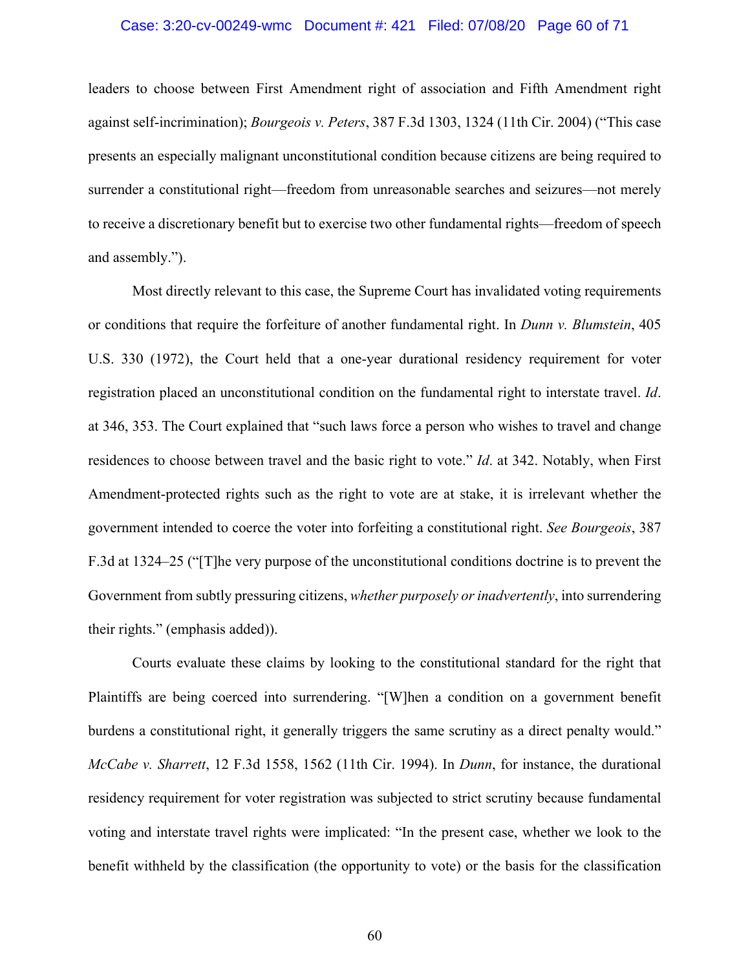## Case: 3:20-cv-00249-wmc Document #: 421 Filed: 07/08/20 Page 60 of 71

leaders to choose between First Amendment right of association and Fifth Amendment right against self-incrimination); *Bourgeois v. Peters*, 387 F.3d 1303, 1324 (11th Cir. 2004) ("This case presents an especially malignant unconstitutional condition because citizens are being required to surrender a constitutional right—freedom from unreasonable searches and seizures—not merely to receive a discretionary benefit but to exercise two other fundamental rights—freedom of speech and assembly.").

Most directly relevant to this case, the Supreme Court has invalidated voting requirements or conditions that require the forfeiture of another fundamental right. In *Dunn v. Blumstein*, 405 U.S. 330 (1972), the Court held that a one-year durational residency requirement for voter registration placed an unconstitutional condition on the fundamental right to interstate travel. *Id*. at 346, 353. The Court explained that "such laws force a person who wishes to travel and change residences to choose between travel and the basic right to vote." *Id*. at 342. Notably, when First Amendment-protected rights such as the right to vote are at stake, it is irrelevant whether the government intended to coerce the voter into forfeiting a constitutional right. *See Bourgeois*, 387 F.3d at 1324–25 ("[T]he very purpose of the unconstitutional conditions doctrine is to prevent the Government from subtly pressuring citizens, *whether purposely or inadvertently*, into surrendering their rights." (emphasis added)).

Courts evaluate these claims by looking to the constitutional standard for the right that Plaintiffs are being coerced into surrendering. "[W]hen a condition on a government benefit burdens a constitutional right, it generally triggers the same scrutiny as a direct penalty would." *McCabe v. Sharrett*, 12 F.3d 1558, 1562 (11th Cir. 1994). In *Dunn*, for instance, the durational residency requirement for voter registration was subjected to strict scrutiny because fundamental voting and interstate travel rights were implicated: "In the present case, whether we look to the benefit withheld by the classification (the opportunity to vote) or the basis for the classification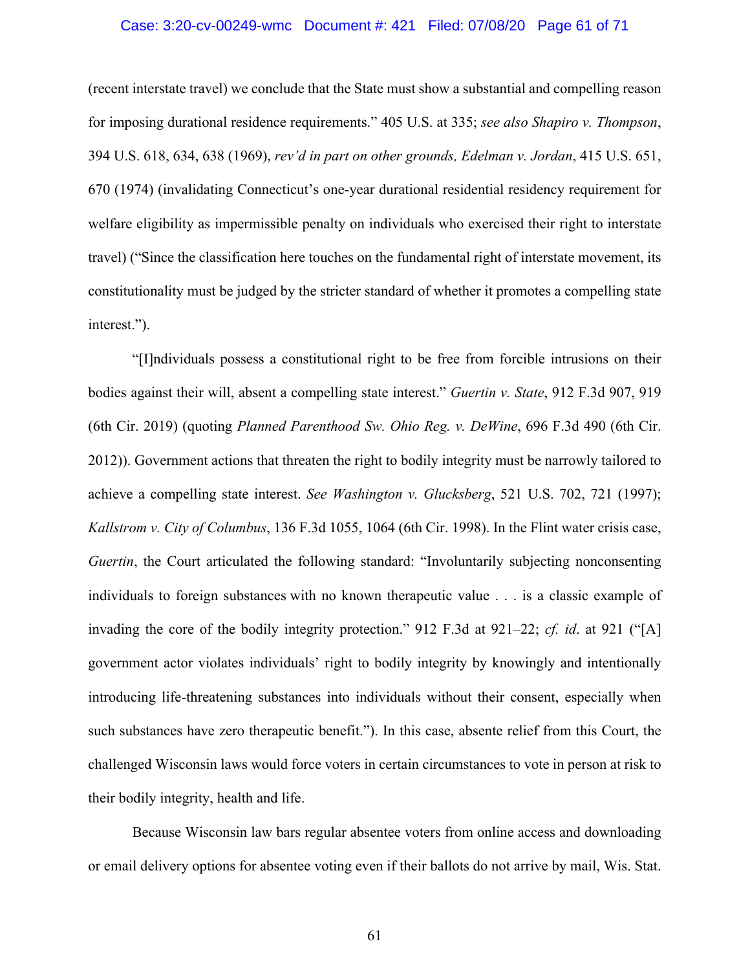## Case: 3:20-cv-00249-wmc Document #: 421 Filed: 07/08/20 Page 61 of 71

(recent interstate travel) we conclude that the State must show a substantial and compelling reason for imposing durational residence requirements." 405 U.S. at 335; *see also Shapiro v. Thompson*, 394 U.S. 618, 634, 638 (1969), *rev'd in part on other grounds, Edelman v. Jordan*, 415 U.S. 651, 670 (1974) (invalidating Connecticut's one-year durational residential residency requirement for welfare eligibility as impermissible penalty on individuals who exercised their right to interstate travel) ("Since the classification here touches on the fundamental right of interstate movement, its constitutionality must be judged by the stricter standard of whether it promotes a compelling state interest.").

"[I]ndividuals possess a constitutional right to be free from forcible intrusions on their bodies against their will, absent a compelling state interest." *Guertin v. State*, 912 F.3d 907, 919 (6th Cir. 2019) (quoting *Planned Parenthood Sw. Ohio Reg. v. DeWine*, 696 F.3d 490 (6th Cir. 2012)). Government actions that threaten the right to bodily integrity must be narrowly tailored to achieve a compelling state interest. *See Washington v. Glucksberg*, 521 U.S. 702, 721 (1997); *Kallstrom v. City of Columbus*, 136 F.3d 1055, 1064 (6th Cir. 1998). In the Flint water crisis case, *Guertin*, the Court articulated the following standard: "Involuntarily subjecting nonconsenting individuals to foreign substances with no known therapeutic value . . . is a classic example of invading the core of the bodily integrity protection." 912 F.3d at 921–22; *cf. id*. at 921 ("[A] government actor violates individuals' right to bodily integrity by knowingly and intentionally introducing life-threatening substances into individuals without their consent, especially when such substances have zero therapeutic benefit."). In this case, absente relief from this Court, the challenged Wisconsin laws would force voters in certain circumstances to vote in person at risk to their bodily integrity, health and life.

Because Wisconsin law bars regular absentee voters from online access and downloading or email delivery options for absentee voting even if their ballots do not arrive by mail, Wis. Stat.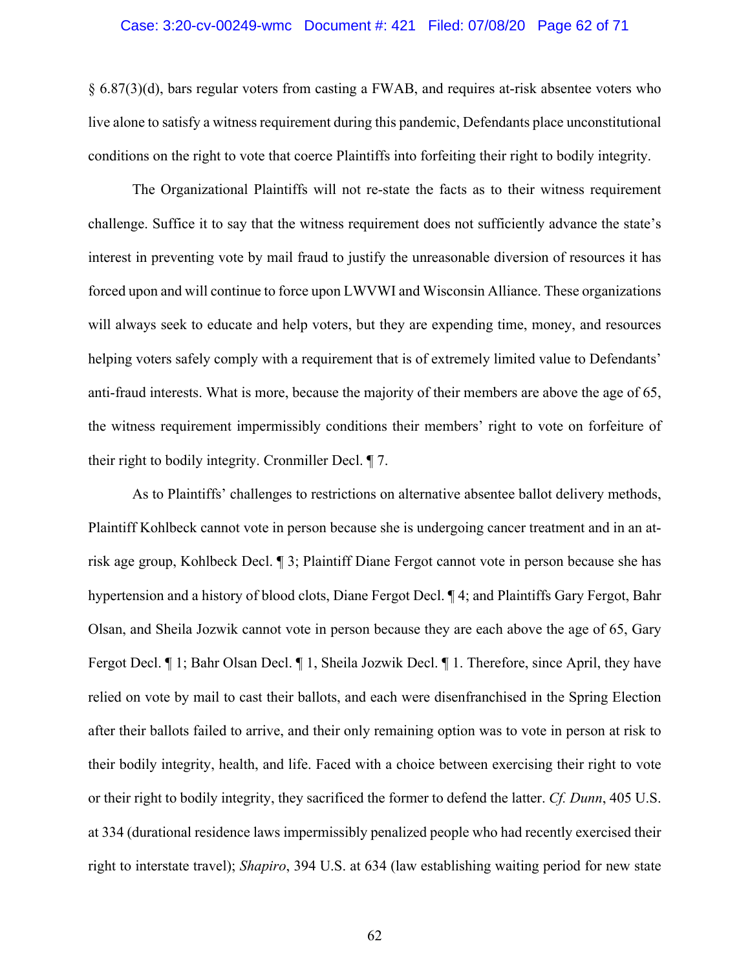## Case: 3:20-cv-00249-wmc Document #: 421 Filed: 07/08/20 Page 62 of 71

§ 6.87(3)(d), bars regular voters from casting a FWAB, and requires at-risk absentee voters who live alone to satisfy a witness requirement during this pandemic, Defendants place unconstitutional conditions on the right to vote that coerce Plaintiffs into forfeiting their right to bodily integrity.

The Organizational Plaintiffs will not re-state the facts as to their witness requirement challenge. Suffice it to say that the witness requirement does not sufficiently advance the state's interest in preventing vote by mail fraud to justify the unreasonable diversion of resources it has forced upon and will continue to force upon LWVWI and Wisconsin Alliance. These organizations will always seek to educate and help voters, but they are expending time, money, and resources helping voters safely comply with a requirement that is of extremely limited value to Defendants' anti-fraud interests. What is more, because the majority of their members are above the age of 65, the witness requirement impermissibly conditions their members' right to vote on forfeiture of their right to bodily integrity. Cronmiller Decl. ¶ 7.

As to Plaintiffs' challenges to restrictions on alternative absentee ballot delivery methods, Plaintiff Kohlbeck cannot vote in person because she is undergoing cancer treatment and in an atrisk age group, Kohlbeck Decl. ¶ 3; Plaintiff Diane Fergot cannot vote in person because she has hypertension and a history of blood clots, Diane Fergot Decl. ¶ 4; and Plaintiffs Gary Fergot, Bahr Olsan, and Sheila Jozwik cannot vote in person because they are each above the age of 65, Gary Fergot Decl. ¶ 1; Bahr Olsan Decl. ¶ 1, Sheila Jozwik Decl. ¶ 1. Therefore, since April, they have relied on vote by mail to cast their ballots, and each were disenfranchised in the Spring Election after their ballots failed to arrive, and their only remaining option was to vote in person at risk to their bodily integrity, health, and life. Faced with a choice between exercising their right to vote or their right to bodily integrity, they sacrificed the former to defend the latter. *Cf. Dunn*, 405 U.S. at 334 (durational residence laws impermissibly penalized people who had recently exercised their right to interstate travel); *Shapiro*, 394 U.S. at 634 (law establishing waiting period for new state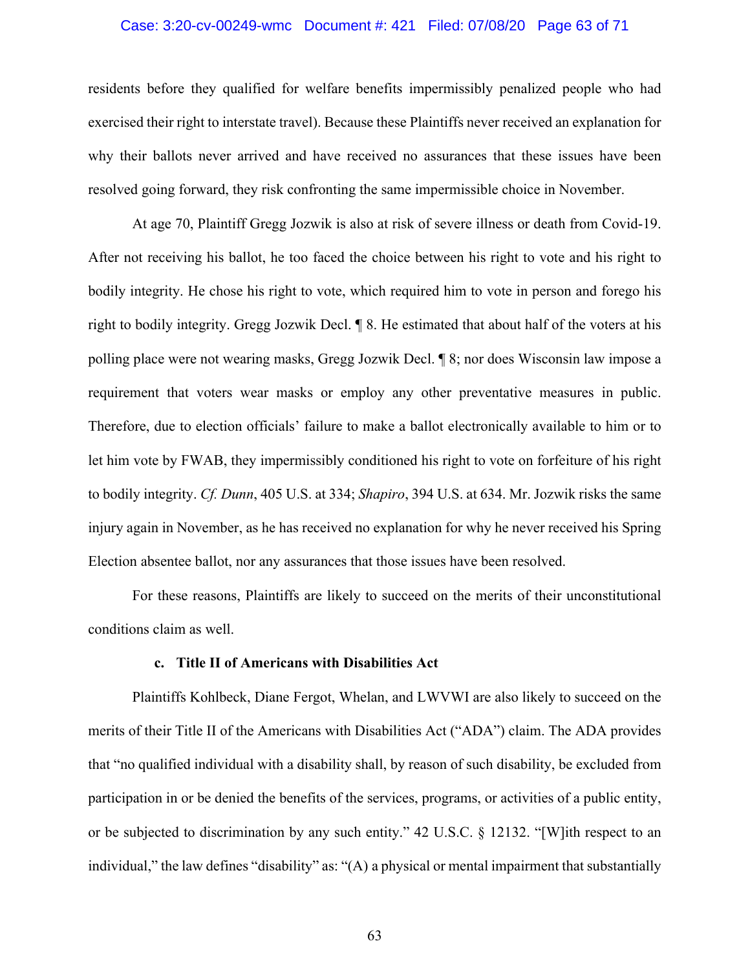## Case: 3:20-cv-00249-wmc Document #: 421 Filed: 07/08/20 Page 63 of 71

residents before they qualified for welfare benefits impermissibly penalized people who had exercised their right to interstate travel). Because these Plaintiffs never received an explanation for why their ballots never arrived and have received no assurances that these issues have been resolved going forward, they risk confronting the same impermissible choice in November.

At age 70, Plaintiff Gregg Jozwik is also at risk of severe illness or death from Covid-19. After not receiving his ballot, he too faced the choice between his right to vote and his right to bodily integrity. He chose his right to vote, which required him to vote in person and forego his right to bodily integrity. Gregg Jozwik Decl. ¶ 8. He estimated that about half of the voters at his polling place were not wearing masks, Gregg Jozwik Decl. ¶ 8; nor does Wisconsin law impose a requirement that voters wear masks or employ any other preventative measures in public. Therefore, due to election officials' failure to make a ballot electronically available to him or to let him vote by FWAB, they impermissibly conditioned his right to vote on forfeiture of his right to bodily integrity. *Cf. Dunn*, 405 U.S. at 334; *Shapiro*, 394 U.S. at 634. Mr. Jozwik risks the same injury again in November, as he has received no explanation for why he never received his Spring Election absentee ballot, nor any assurances that those issues have been resolved.

For these reasons, Plaintiffs are likely to succeed on the merits of their unconstitutional conditions claim as well.

## **c. Title II of Americans with Disabilities Act**

Plaintiffs Kohlbeck, Diane Fergot, Whelan, and LWVWI are also likely to succeed on the merits of their Title II of the Americans with Disabilities Act ("ADA") claim. The ADA provides that "no qualified individual with a disability shall, by reason of such disability, be excluded from participation in or be denied the benefits of the services, programs, or activities of a public entity, or be subjected to discrimination by any such entity." 42 U.S.C. § 12132. "[W]ith respect to an individual," the law defines "disability" as: "(A) a physical or mental impairment that substantially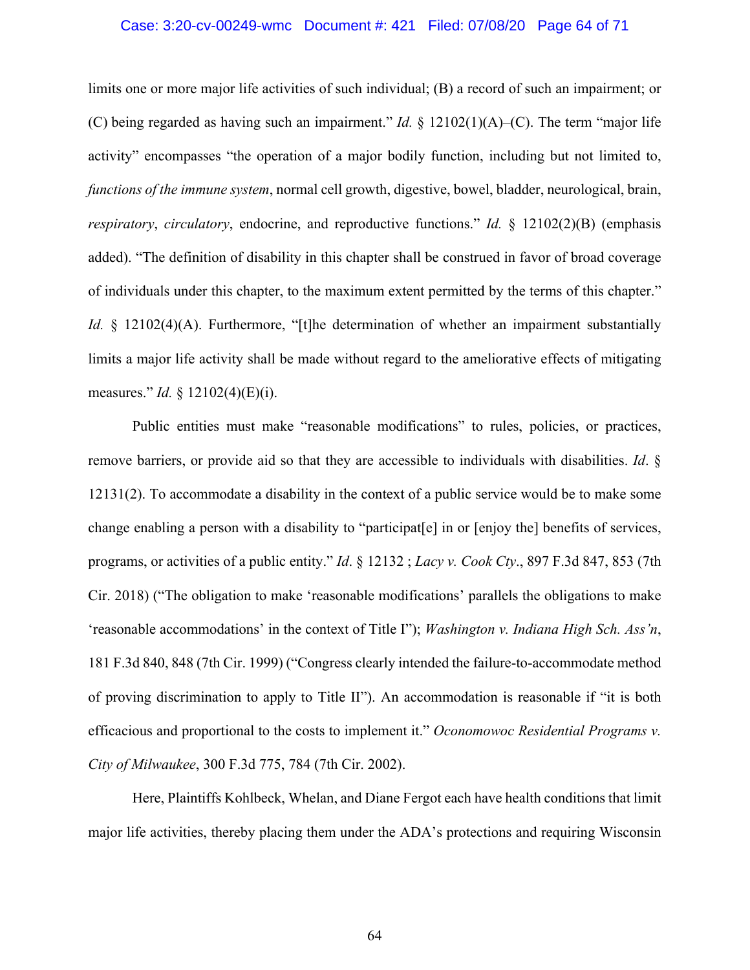#### Case: 3:20-cv-00249-wmc Document #: 421 Filed: 07/08/20 Page 64 of 71

limits one or more major life activities of such individual; (B) a record of such an impairment; or (C) being regarded as having such an impairment." *Id.* § 12102(1)(A)–(C). The term "major life activity" encompasses "the operation of a major bodily function, including but not limited to, *functions of the immune system*, normal cell growth, digestive, bowel, bladder, neurological, brain, *respiratory*, *circulatory*, endocrine, and reproductive functions." *Id.* § 12102(2)(B) (emphasis added). "The definition of disability in this chapter shall be construed in favor of broad coverage of individuals under this chapter, to the maximum extent permitted by the terms of this chapter." *Id.* § 12102(4)(A). Furthermore, "[t]he determination of whether an impairment substantially limits a major life activity shall be made without regard to the ameliorative effects of mitigating measures." *Id.* § 12102(4)(E)(i).

Public entities must make "reasonable modifications" to rules, policies, or practices, remove barriers, or provide aid so that they are accessible to individuals with disabilities. *Id*. § 12131(2). To accommodate a disability in the context of a public service would be to make some change enabling a person with a disability to "participat[e] in or [enjoy the] benefits of services, programs, or activities of a public entity." *Id*. § 12132 ; *Lacy v. Cook Cty*., 897 F.3d 847, 853 (7th Cir. 2018) ("The obligation to make 'reasonable modifications' parallels the obligations to make 'reasonable accommodations' in the context of Title I"); *Washington v. Indiana High Sch. Ass'n*, 181 F.3d 840, 848 (7th Cir. 1999) ("Congress clearly intended the failure-to-accommodate method of proving discrimination to apply to Title II"). An accommodation is reasonable if "it is both efficacious and proportional to the costs to implement it." *Oconomowoc Residential Programs v. City of Milwaukee*, 300 F.3d 775, 784 (7th Cir. 2002).

Here, Plaintiffs Kohlbeck, Whelan, and Diane Fergot each have health conditions that limit major life activities, thereby placing them under the ADA's protections and requiring Wisconsin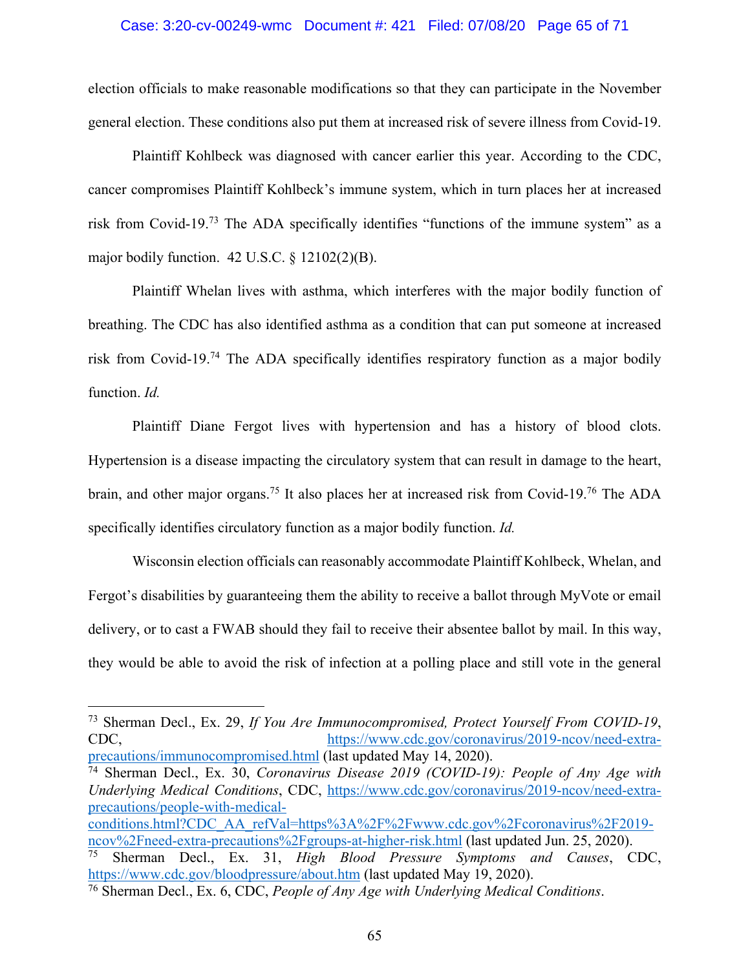#### Case: 3:20-cv-00249-wmc Document #: 421 Filed: 07/08/20 Page 65 of 71

election officials to make reasonable modifications so that they can participate in the November general election. These conditions also put them at increased risk of severe illness from Covid-19.

Plaintiff Kohlbeck was diagnosed with cancer earlier this year. According to the CDC, cancer compromises Plaintiff Kohlbeck's immune system, which in turn places her at increased risk from Covid-19.73 The ADA specifically identifies "functions of the immune system" as a major bodily function. 42 U.S.C. § 12102(2)(B).

Plaintiff Whelan lives with asthma, which interferes with the major bodily function of breathing. The CDC has also identified asthma as a condition that can put someone at increased risk from Covid-19.74 The ADA specifically identifies respiratory function as a major bodily function. *Id.* 

Plaintiff Diane Fergot lives with hypertension and has a history of blood clots. Hypertension is a disease impacting the circulatory system that can result in damage to the heart, brain, and other major organs.<sup>75</sup> It also places her at increased risk from Covid-19.<sup>76</sup> The ADA specifically identifies circulatory function as a major bodily function. *Id.*

Wisconsin election officials can reasonably accommodate Plaintiff Kohlbeck, Whelan, and Fergot's disabilities by guaranteeing them the ability to receive a ballot through MyVote or email delivery, or to cast a FWAB should they fail to receive their absentee ballot by mail. In this way, they would be able to avoid the risk of infection at a polling place and still vote in the general

<sup>73</sup> Sherman Decl., Ex. 29, *If You Are Immunocompromised, Protect Yourself From COVID-19*, CDC, https://www.cdc.gov/coronavirus/2019-ncov/need-extraprecautions/immunocompromised.html (last updated May 14, 2020).

<sup>74</sup> Sherman Decl., Ex. 30, *Coronavirus Disease 2019 (COVID-19): People of Any Age with Underlying Medical Conditions*, CDC, https://www.cdc.gov/coronavirus/2019-ncov/need-extraprecautions/people-with-medical-

conditions.html?CDC\_AA\_refVal=https%3A%2F%2Fwww.cdc.gov%2Fcoronavirus%2F2019ncov%2Fneed-extra-precautions%2Fgroups-at-higher-risk.html (last updated Jun. 25, 2020).<br><sup>75</sup> Sherman Decl Ex 31 High Blood Pressure Symptoms and Causes C

<sup>75</sup> Sherman Decl., Ex. 31, *High Blood Pressure Symptoms and Causes*, CDC, https://www.cdc.gov/bloodpressure/about.htm (last updated May 19, 2020).

<sup>76</sup> Sherman Decl., Ex. 6, CDC, *People of Any Age with Underlying Medical Conditions*.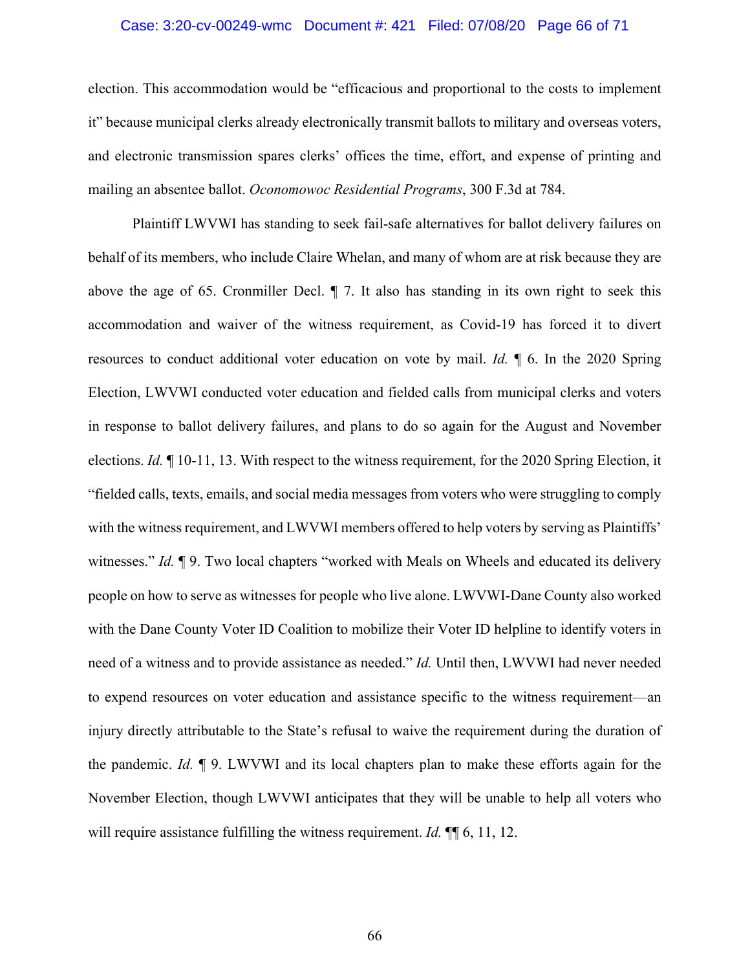# Case: 3:20-cv-00249-wmc Document #: 421 Filed: 07/08/20 Page 66 of 71

election. This accommodation would be "efficacious and proportional to the costs to implement it" because municipal clerks already electronically transmit ballots to military and overseas voters, and electronic transmission spares clerks' offices the time, effort, and expense of printing and mailing an absentee ballot. *Oconomowoc Residential Programs*, 300 F.3d at 784.

Plaintiff LWVWI has standing to seek fail-safe alternatives for ballot delivery failures on behalf of its members, who include Claire Whelan, and many of whom are at risk because they are above the age of 65. Cronmiller Decl. ¶ 7. It also has standing in its own right to seek this accommodation and waiver of the witness requirement, as Covid-19 has forced it to divert resources to conduct additional voter education on vote by mail. *Id.* ¶ 6. In the 2020 Spring Election, LWVWI conducted voter education and fielded calls from municipal clerks and voters in response to ballot delivery failures, and plans to do so again for the August and November elections. *Id.* ¶ 10-11, 13. With respect to the witness requirement, for the 2020 Spring Election, it "fielded calls, texts, emails, and social media messages from voters who were struggling to comply with the witness requirement, and LWVWI members offered to help voters by serving as Plaintiffs' witnesses." *Id.* 19. Two local chapters "worked with Meals on Wheels and educated its delivery people on how to serve as witnesses for people who live alone. LWVWI-Dane County also worked with the Dane County Voter ID Coalition to mobilize their Voter ID helpline to identify voters in need of a witness and to provide assistance as needed." *Id.* Until then, LWVWI had never needed to expend resources on voter education and assistance specific to the witness requirement—an injury directly attributable to the State's refusal to waive the requirement during the duration of the pandemic. *Id.* ¶ 9. LWVWI and its local chapters plan to make these efforts again for the November Election, though LWVWI anticipates that they will be unable to help all voters who will require assistance fulfilling the witness requirement. *Id.* **¶** 6, 11, 12.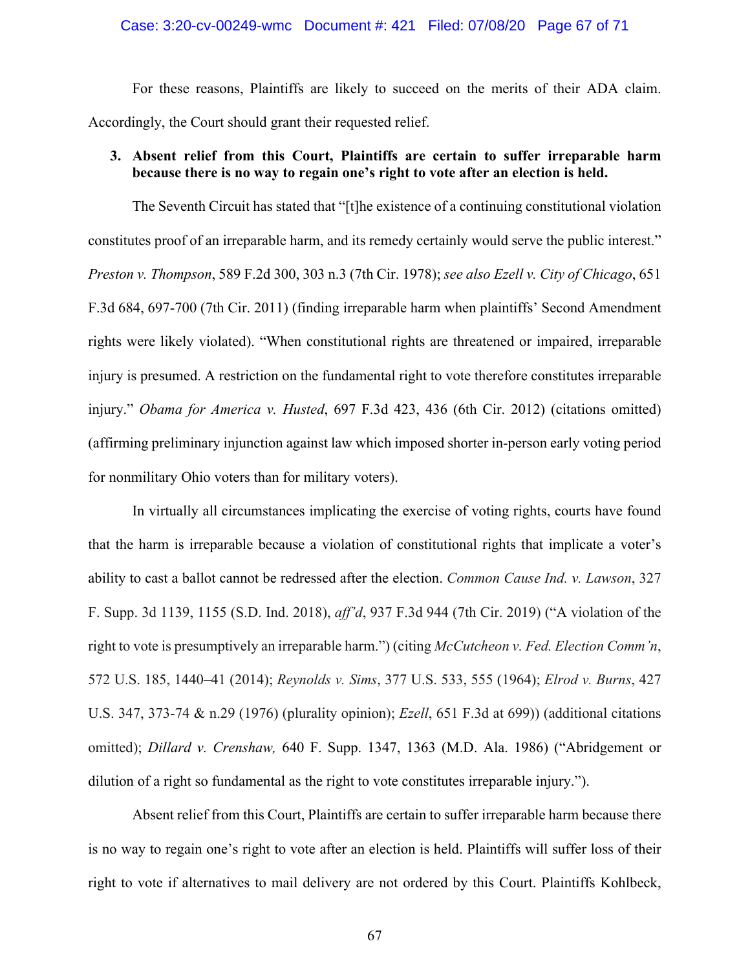# Case: 3:20-cv-00249-wmc Document #: 421 Filed: 07/08/20 Page 67 of 71

For these reasons, Plaintiffs are likely to succeed on the merits of their ADA claim. Accordingly, the Court should grant their requested relief.

# **3. Absent relief from this Court, Plaintiffs are certain to suffer irreparable harm because there is no way to regain one's right to vote after an election is held.**

The Seventh Circuit has stated that "[t]he existence of a continuing constitutional violation constitutes proof of an irreparable harm, and its remedy certainly would serve the public interest." *Preston v. Thompson*, 589 F.2d 300, 303 n.3 (7th Cir. 1978); *see also Ezell v. City of Chicago*, 651 F.3d 684, 697-700 (7th Cir. 2011) (finding irreparable harm when plaintiffs' Second Amendment rights were likely violated). "When constitutional rights are threatened or impaired, irreparable injury is presumed. A restriction on the fundamental right to vote therefore constitutes irreparable injury." *Obama for America v. Husted*, 697 F.3d 423, 436 (6th Cir. 2012) (citations omitted) (affirming preliminary injunction against law which imposed shorter in-person early voting period for nonmilitary Ohio voters than for military voters).

In virtually all circumstances implicating the exercise of voting rights, courts have found that the harm is irreparable because a violation of constitutional rights that implicate a voter's ability to cast a ballot cannot be redressed after the election. *Common Cause Ind. v. Lawson*, 327 F. Supp. 3d 1139, 1155 (S.D. Ind. 2018), *aff'd*, 937 F.3d 944 (7th Cir. 2019) ("A violation of the right to vote is presumptively an irreparable harm.") (citing *McCutcheon v. Fed. Election Comm'n*, 572 U.S. 185, 1440–41 (2014); *Reynolds v. Sims*, 377 U.S. 533, 555 (1964); *Elrod v. Burns*, 427 U.S. 347, 373-74 & n.29 (1976) (plurality opinion); *Ezell*, 651 F.3d at 699)) (additional citations omitted); *Dillard v. Crenshaw,* 640 F. Supp. 1347, 1363 (M.D. Ala. 1986) ("Abridgement or dilution of a right so fundamental as the right to vote constitutes irreparable injury.").

Absent relief from this Court, Plaintiffs are certain to suffer irreparable harm because there is no way to regain one's right to vote after an election is held. Plaintiffs will suffer loss of their right to vote if alternatives to mail delivery are not ordered by this Court. Plaintiffs Kohlbeck,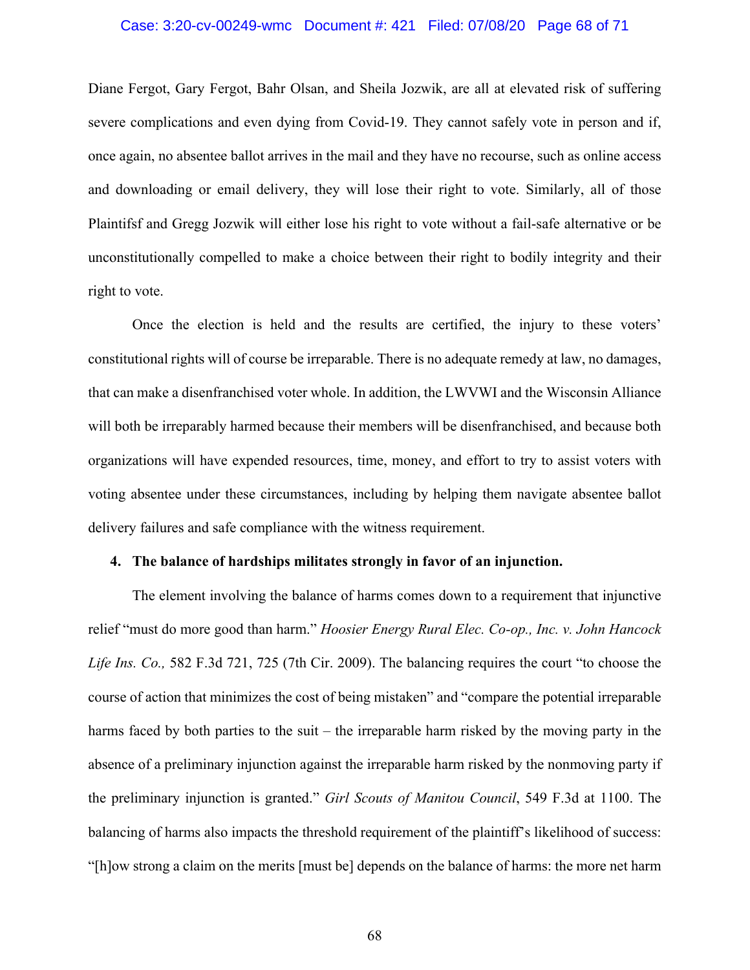## Case: 3:20-cv-00249-wmc Document #: 421 Filed: 07/08/20 Page 68 of 71

Diane Fergot, Gary Fergot, Bahr Olsan, and Sheila Jozwik, are all at elevated risk of suffering severe complications and even dying from Covid-19. They cannot safely vote in person and if, once again, no absentee ballot arrives in the mail and they have no recourse, such as online access and downloading or email delivery, they will lose their right to vote. Similarly, all of those Plaintifsf and Gregg Jozwik will either lose his right to vote without a fail-safe alternative or be unconstitutionally compelled to make a choice between their right to bodily integrity and their right to vote.

Once the election is held and the results are certified, the injury to these voters' constitutional rights will of course be irreparable. There is no adequate remedy at law, no damages, that can make a disenfranchised voter whole. In addition, the LWVWI and the Wisconsin Alliance will both be irreparably harmed because their members will be disenfranchised, and because both organizations will have expended resources, time, money, and effort to try to assist voters with voting absentee under these circumstances, including by helping them navigate absentee ballot delivery failures and safe compliance with the witness requirement.

# **4. The balance of hardships militates strongly in favor of an injunction.**

The element involving the balance of harms comes down to a requirement that injunctive relief "must do more good than harm." *Hoosier Energy Rural Elec. Co-op., Inc. v. John Hancock Life Ins. Co.,* 582 F.3d 721, 725 (7th Cir. 2009). The balancing requires the court "to choose the course of action that minimizes the cost of being mistaken" and "compare the potential irreparable harms faced by both parties to the suit – the irreparable harm risked by the moving party in the absence of a preliminary injunction against the irreparable harm risked by the nonmoving party if the preliminary injunction is granted." *Girl Scouts of Manitou Council*, 549 F.3d at 1100. The balancing of harms also impacts the threshold requirement of the plaintiff's likelihood of success: "[h]ow strong a claim on the merits [must be] depends on the balance of harms: the more net harm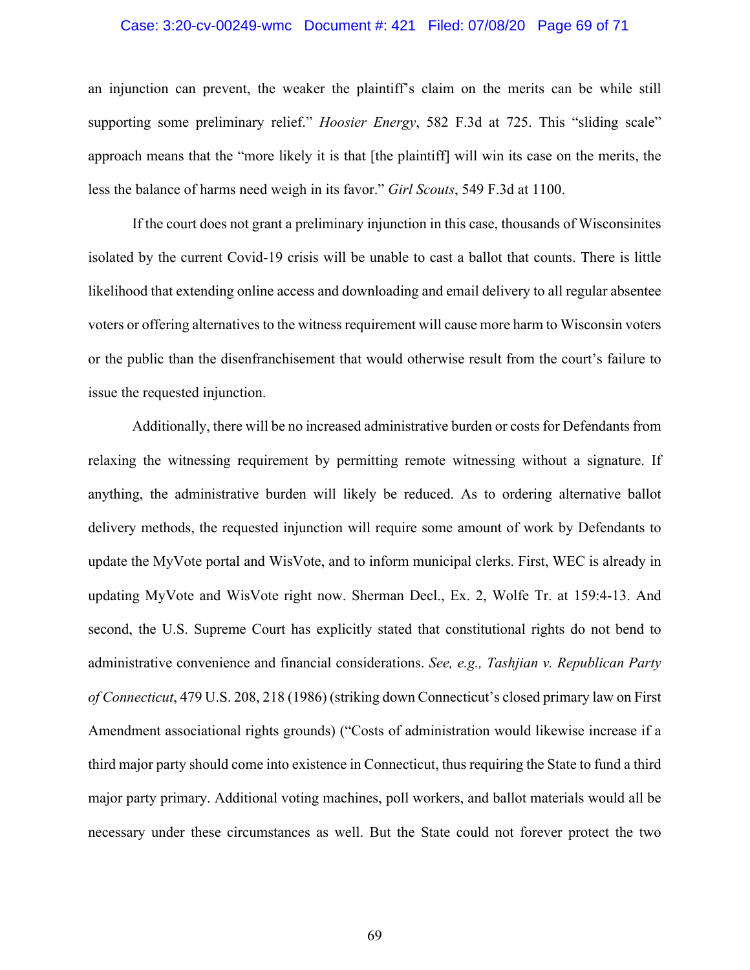#### Case: 3:20-cv-00249-wmc Document #: 421 Filed: 07/08/20 Page 69 of 71

an injunction can prevent, the weaker the plaintiff's claim on the merits can be while still supporting some preliminary relief." *Hoosier Energy*, 582 F.3d at 725. This "sliding scale" approach means that the "more likely it is that [the plaintiff] will win its case on the merits, the less the balance of harms need weigh in its favor." *Girl Scouts*, 549 F.3d at 1100.

If the court does not grant a preliminary injunction in this case, thousands of Wisconsinites isolated by the current Covid-19 crisis will be unable to cast a ballot that counts. There is little likelihood that extending online access and downloading and email delivery to all regular absentee voters or offering alternatives to the witness requirement will cause more harm to Wisconsin voters or the public than the disenfranchisement that would otherwise result from the court's failure to issue the requested injunction.

Additionally, there will be no increased administrative burden or costs for Defendants from relaxing the witnessing requirement by permitting remote witnessing without a signature. If anything, the administrative burden will likely be reduced. As to ordering alternative ballot delivery methods, the requested injunction will require some amount of work by Defendants to update the MyVote portal and WisVote, and to inform municipal clerks. First, WEC is already in updating MyVote and WisVote right now. Sherman Decl., Ex. 2, Wolfe Tr. at 159:4-13. And second, the U.S. Supreme Court has explicitly stated that constitutional rights do not bend to administrative convenience and financial considerations. *See, e.g., Tashjian v. Republican Party of Connecticut*, 479 U.S. 208, 218 (1986) (striking down Connecticut's closed primary law on First Amendment associational rights grounds) ("Costs of administration would likewise increase if a third major party should come into existence in Connecticut, thus requiring the State to fund a third major party primary. Additional voting machines, poll workers, and ballot materials would all be necessary under these circumstances as well. But the State could not forever protect the two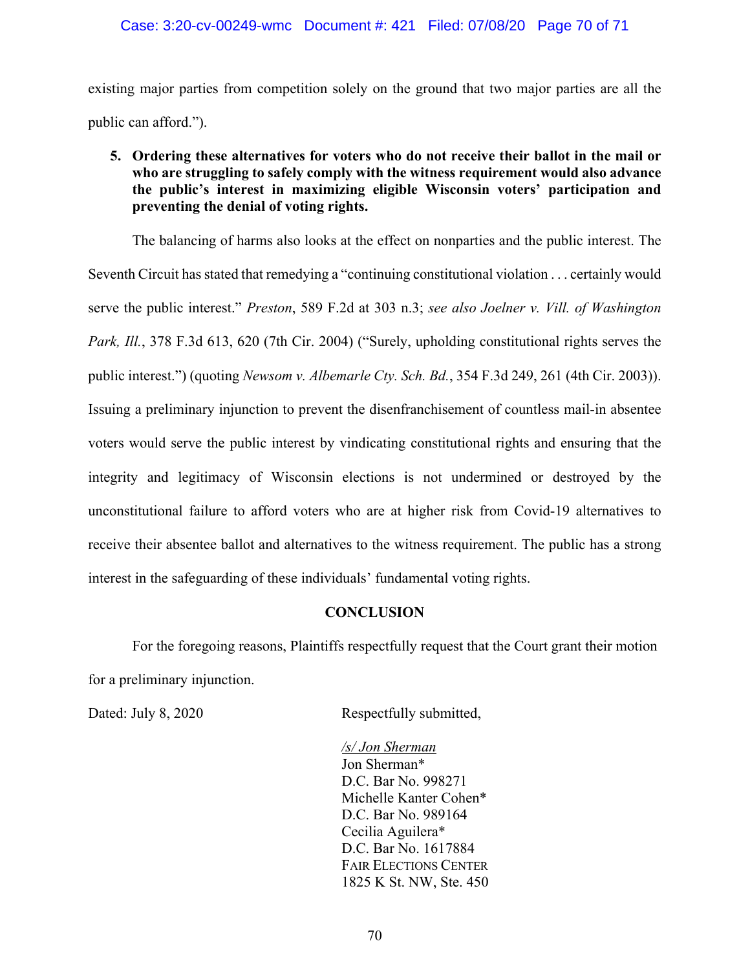existing major parties from competition solely on the ground that two major parties are all the public can afford.").

# **5. Ordering these alternatives for voters who do not receive their ballot in the mail or who are struggling to safely comply with the witness requirement would also advance the public's interest in maximizing eligible Wisconsin voters' participation and preventing the denial of voting rights.**

The balancing of harms also looks at the effect on nonparties and the public interest. The Seventh Circuit has stated that remedying a "continuing constitutional violation . . . certainly would serve the public interest." *Preston*, 589 F.2d at 303 n.3; *see also Joelner v. Vill. of Washington Park, Ill.*, 378 F.3d 613, 620 (7th Cir. 2004) ("Surely, upholding constitutional rights serves the public interest.") (quoting *Newsom v. Albemarle Cty. Sch. Bd.*, 354 F.3d 249, 261 (4th Cir. 2003)). Issuing a preliminary injunction to prevent the disenfranchisement of countless mail-in absentee voters would serve the public interest by vindicating constitutional rights and ensuring that the integrity and legitimacy of Wisconsin elections is not undermined or destroyed by the unconstitutional failure to afford voters who are at higher risk from Covid-19 alternatives to receive their absentee ballot and alternatives to the witness requirement. The public has a strong interest in the safeguarding of these individuals' fundamental voting rights.

# **CONCLUSION**

For the foregoing reasons, Plaintiffs respectfully request that the Court grant their motion for a preliminary injunction.

Dated: July 8, 2020 Respectfully submitted,

*/s/ Jon Sherman* Jon Sherman\* D.C. Bar No. 998271 Michelle Kanter Cohen\* D.C. Bar No. 989164 Cecilia Aguilera\* D.C. Bar No. 1617884 FAIR ELECTIONS CENTER 1825 K St. NW, Ste. 450